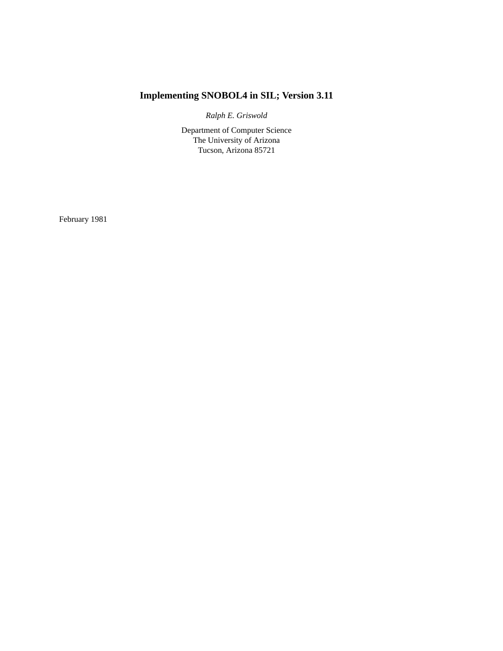# **Implementing SNOBOL4 in SIL; Version 3.11**

*Ralph E. Griswold*

Department of Computer Science The University of Arizona Tucson, Arizona 85721

February 1981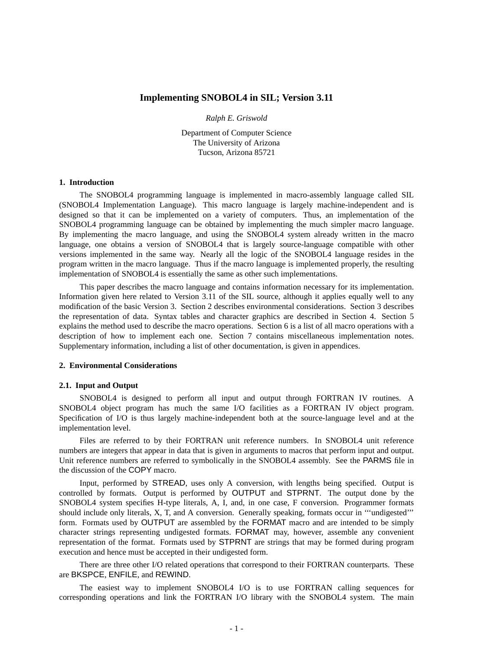#### **Implementing SNOBOL4 in SIL; Version 3.11**

*Ralph E. Griswold*

Department of Computer Science The University of Arizona Tucson, Arizona 85721

#### **1. Introduction**

The SNOBOL4 programming language is implemented in macro-assembly language called SIL (SNOBOL4 Implementation Language). This macro language is largely machine-independent and is designed so that it can be implemented on a variety of computers. Thus, an implementation of the SNOBOL4 programming language can be obtained by implementing the much simpler macro language. By implementing the macro language, and using the SNOBOL4 system already written in the macro language, one obtains a version of SNOBOL4 that is largely source-language compatible with other versions implemented in the same way. Nearly all the logic of the SNOBOL4 language resides in the program written in the macro language. Thus if the macro language is implemented properly, the resulting implementation of SNOBOL4 is essentially the same as other such implementations.

This paper describes the macro language and contains information necessary for its implementation. Information given here related to Version 3.11 of the SIL source, although it applies equally well to any modification of the basic Version 3. Section 2 describes environmental considerations. Section 3 describes the representation of data. Syntax tables and character graphics are described in Section 4. Section 5 explains the method used to describe the macro operations. Section 6 is a list of all macro operations with a description of how to implement each one. Section 7 contains miscellaneous implementation notes. Supplementary information, including a list of other documentation, is given in appendices.

#### **2. Environmental Considerations**

#### **2.1. Input and Output**

SNOBOL4 is designed to perform all input and output through FORTRAN IV routines. A SNOBOL4 object program has much the same I/O facilities as a FORTRAN IV object program. Specification of I/O is thus largely machine-independent both at the source-language level and at the implementation level.

Files are referred to by their FORTRAN unit reference numbers. In SNOBOL4 unit reference numbers are integers that appear in data that is given in arguments to macros that perform input and output. Unit reference numbers are referred to symbolically in the SNOBOL4 assembly. See the PARMS file in the discussion of the COPY macro.

Input, performed by STREAD, uses only A conversion, with lengths being specified. Output is controlled by formats. Output is performed by OUTPUT and STPRNT. The output done by the SNOBOL4 system specifies H-type literals, A, I, and, in one case, F conversion. Programmer formats should include only literals, X, T, and A conversion. Generally speaking, formats occur in '''undigested''' form. Formats used by OUTPUT are assembled by the FORMAT macro and are intended to be simply character strings representing undigested formats. FORMAT may, however, assemble any convenient representation of the format. Formats used by STPRNT are strings that may be formed during program execution and hence must be accepted in their undigested form.

There are three other I/O related operations that correspond to their FORTRAN counterparts. These are BKSPCE, ENFILE, and REWIND.

The easiest way to implement SNOBOL4 I/O is to use FORTRAN calling sequences for corresponding operations and link the FORTRAN I/O library with the SNOBOL4 system. The main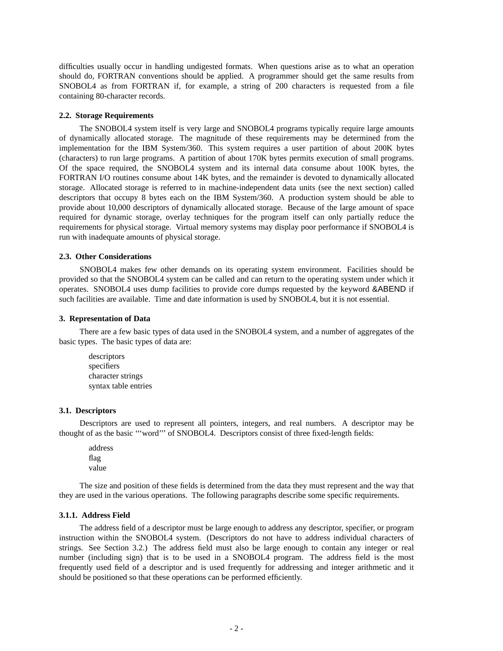difficulties usually occur in handling undigested formats. When questions arise as to what an operation should do, FORTRAN conventions should be applied. A programmer should get the same results from SNOBOL4 as from FORTRAN if, for example, a string of 200 characters is requested from a file containing 80-character records.

#### **2.2. Storage Requirements**

The SNOBOL4 system itself is very large and SNOBOL4 programs typically require large amounts of dynamically allocated storage. The magnitude of these requirements may be determined from the implementation for the IBM System/360. This system requires a user partition of about 200K bytes (characters) to run large programs. A partition of about 170K bytes permits execution of small programs. Of the space required, the SNOBOL4 system and its internal data consume about 100K bytes, the FORTRAN I/O routines consume about 14K bytes, and the remainder is devoted to dynamically allocated storage. Allocated storage is referred to in machine-independent data units (see the next section) called descriptors that occupy 8 bytes each on the IBM System/360. A production system should be able to provide about 10,000 descriptors of dynamically allocated storage. Because of the large amount of space required for dynamic storage, overlay techniques for the program itself can only partially reduce the requirements for physical storage. Virtual memory systems may display poor performance if SNOBOL4 is run with inadequate amounts of physical storage.

#### **2.3. Other Considerations**

SNOBOL4 makes few other demands on its operating system environment. Facilities should be provided so that the SNOBOL4 system can be called and can return to the operating system under which it operates. SNOBOL4 uses dump facilities to provide core dumps requested by the keyword &ABEND if such facilities are available. Time and date information is used by SNOBOL4, but it is not essential.

#### **3. Representation of Data**

There are a few basic types of data used in the SNOBOL4 system, and a number of aggregates of the basic types. The basic types of data are:

descriptors specifiers character strings syntax table entries

#### **3.1. Descriptors**

Descriptors are used to represent all pointers, integers, and real numbers. A descriptor may be thought of as the basic '''word''' of SNOBOL4. Descriptors consist of three fixed-length fields:

address flag value

The size and position of these fields is determined from the data they must represent and the way that they are used in the various operations. The following paragraphs describe some specific requirements.

#### **3.1.1. Address Field**

The address field of a descriptor must be large enough to address any descriptor, specifier, or program instruction within the SNOBOL4 system. (Descriptors do not have to address individual characters of strings. See Section 3.2.) The address field must also be large enough to contain any integer or real number (including sign) that is to be used in a SNOBOL4 program. The address field is the most frequently used field of a descriptor and is used frequently for addressing and integer arithmetic and it should be positioned so that these operations can be performed efficiently.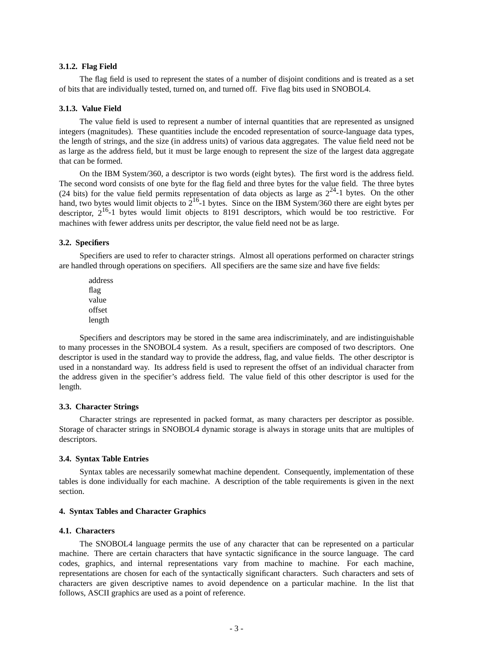#### **3.1.2. Flag Field**

The flag field is used to represent the states of a number of disjoint conditions and is treated as a set of bits that are individually tested, turned on, and turned off. Five flag bits used in SNOBOL4.

#### **3.1.3. Value Field**

The value field is used to represent a number of internal quantities that are represented as unsigned integers (magnitudes). These quantities include the encoded representation of source-language data types, the length of strings, and the size (in address units) of various data aggregates. The value field need not be as large as the address field, but it must be large enough to represent the size of the largest data aggregate that can be formed.

On the IBM System/360, a descriptor is two words (eight bytes). The first word is the address field. The second word consists of one byte for the flag field and three bytes for the value field. The three bytes (24 bits) for the value field permits representation of data objects as large as  $2^{24}$ -1 bytes. On the other hand, two bytes would limit objects to  $2^{16}$ -1 bytes. Since on the IBM System/360 there are eight bytes per descriptor,  $2^{16}$ -1 bytes would limit objects to 8191 descriptors, which would be too restrictive. For machines with fewer address units per descriptor, the value field need not be as large.

#### **3.2. Specifiers**

Specifiers are used to refer to character strings. Almost all operations performed on character strings are handled through operations on specifiers. All specifiers are the same size and have five fields:

address flag value offset length

Specifiers and descriptors may be stored in the same area indiscriminately, and are indistinguishable to many processes in the SNOBOL4 system. As a result, specifiers are composed of two descriptors. One descriptor is used in the standard way to provide the address, flag, and value fields. The other descriptor is used in a nonstandard way. Its address field is used to represent the offset of an individual character from the address given in the specifier's address field. The value field of this other descriptor is used for the length.

#### **3.3. Character Strings**

Character strings are represented in packed format, as many characters per descriptor as possible. Storage of character strings in SNOBOL4 dynamic storage is always in storage units that are multiples of descriptors.

#### **3.4. Syntax Table Entries**

Syntax tables are necessarily somewhat machine dependent. Consequently, implementation of these tables is done individually for each machine. A description of the table requirements is given in the next section.

#### **4. Syntax Tables and Character Graphics**

#### **4.1. Characters**

The SNOBOL4 language permits the use of any character that can be represented on a particular machine. There are certain characters that have syntactic significance in the source language. The card codes, graphics, and internal representations vary from machine to machine. For each machine, representations are chosen for each of the syntactically significant characters. Such characters and sets of characters are given descriptive names to avoid dependence on a particular machine. In the list that follows, ASCII graphics are used as a point of reference.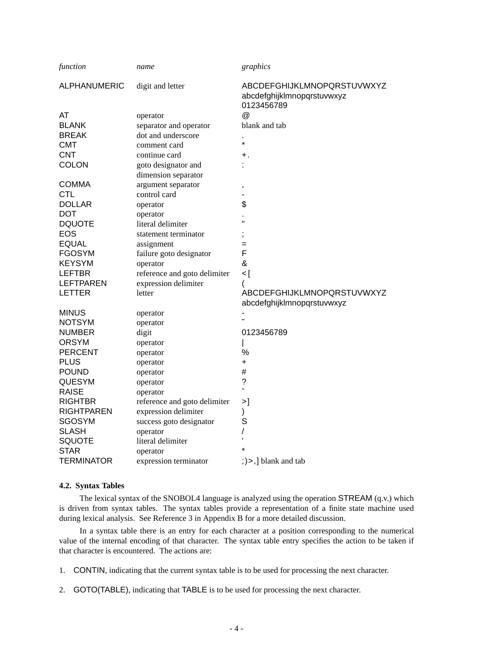| function            | name                         | graphics                                                               |
|---------------------|------------------------------|------------------------------------------------------------------------|
| <b>ALPHANUMERIC</b> | digit and letter             | ABCDEFGHIJKLMNOPQRSTUVWXYZ<br>abcdefghijklmnopqrstuvwxyz<br>0123456789 |
| AT                  | operator                     | @                                                                      |
| <b>BLANK</b>        | separator and operator       | blank and tab                                                          |
| <b>BREAK</b>        | dot and underscore           |                                                                        |
| СМТ                 | comment card                 | $\star$                                                                |
| <b>CNT</b>          | continue card                | +.                                                                     |
| <b>COLON</b>        | goto designator and          |                                                                        |
|                     | dimension separator          |                                                                        |
| <b>COMMA</b>        | argument separator           | ,                                                                      |
| <b>CTL</b>          | control card                 |                                                                        |
| <b>DOLLAR</b>       | operator                     | \$                                                                     |
| <b>DOT</b>          | operator                     |                                                                        |
| <b>DQUOTE</b>       | literal delimiter            | Ħ                                                                      |
| <b>EOS</b>          | statement terminator         |                                                                        |
| <b>EQUAL</b>        | assignment                   | $=$                                                                    |
| <b>FGOSYM</b>       | failure goto designator      | F                                                                      |
| <b>KEYSYM</b>       | operator                     | &                                                                      |
| LEFTBR              | reference and goto delimiter | ]>                                                                     |
| <b>LEFTPAREN</b>    | expression delimiter         | (                                                                      |
| <b>LETTER</b>       | letter                       | ABCDEFGHIJKLMNOPQRSTUVWXYZ                                             |
|                     |                              | abcdefghijklmnopqrstuvwxyz                                             |
| <b>MINUS</b>        | operator                     |                                                                        |
| <b>NOTSYM</b>       | operator                     |                                                                        |
| <b>NUMBER</b>       | digit                        | 0123456789                                                             |
| <b>ORSYM</b>        | operator                     |                                                                        |
| <b>PERCENT</b>      | operator                     | %                                                                      |
| <b>PLUS</b>         | operator                     | $\ddot{}$                                                              |
| <b>POUND</b>        | operator                     | #                                                                      |
| <b>QUESYM</b>       | operator                     | $\ddot{\phantom{0}}$<br>$\overline{\phantom{a}}$                       |
| <b>RAISE</b>        | operator                     |                                                                        |
| <b>RIGHTBR</b>      | reference and goto delimiter | >1                                                                     |
| <b>RIGHTPAREN</b>   | expression delimiter         | )                                                                      |
| <b>SGOSYM</b>       | success goto designator      | S                                                                      |
| <b>SLASH</b>        | operator                     | /                                                                      |
| <b>SQUOTE</b>       | literal delimiter            |                                                                        |
| <b>STAR</b>         | operator                     |                                                                        |
| <b>TERMINATOR</b>   | expression terminator        | $ $ , $ $ >, $ $ blank and tab                                         |

#### **4.2. Syntax Tables**

The lexical syntax of the SNOBOL4 language is analyzed using the operation STREAM (q.v.) which is driven from syntax tables. The syntax tables provide a representation of a finite state machine used during lexical analysis. See Reference 3 in Appendix B for a more detailed discussion.

In a syntax table there is an entry for each character at a position corresponding to the numerical value of the internal encoding of that character. The syntax table entry specifies the action to be taken if that character is encountered. The actions are:

- 1. CONTIN, indicating that the current syntax table is to be used for processing the next character.
- 2. GOTO(TABLE), indicating that TABLE is to be used for processing the next character.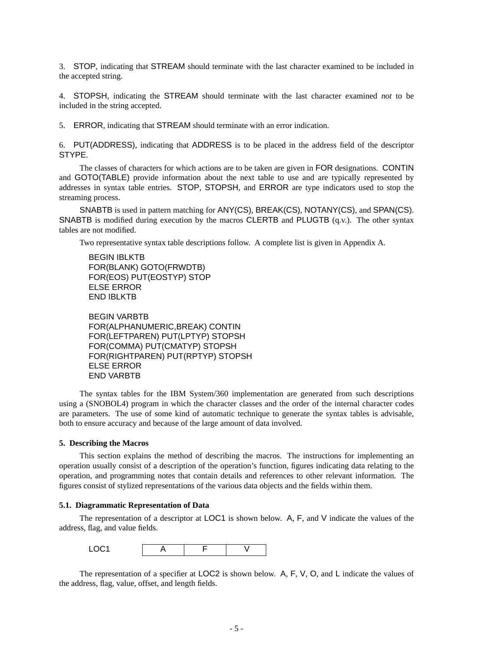3. STOP, indicating that STREAM should terminate with the last character examined to be included in the accepted string.

4. STOPSH, indicating the STREAM should terminate with the last character examined *not* to be included in the string accepted.

5. ERROR, indicating that STREAM should terminate with an error indication.

6. PUT(ADDRESS), indicating that ADDRESS is to be placed in the address field of the descriptor STYPE.

The classes of characters for which actions are to be taken are given in FOR designations. CONTIN and GOTO(TABLE) provide information about the next table to use and are typically represented by addresses in syntax table entries. STOP, STOPSH, and ERROR are type indicators used to stop the streaming process.

SNABTB is used in pattern matching for ANY(CS), BREAK(CS), NOTANY(CS), and SPAN(CS). SNABTB is modified during execution by the macros CLERTB and PLUGTB (q.v.). The other syntax tables are not modified.

Two representative syntax table descriptions follow. A complete list is given in Appendix A.

BEGIN IBLKTB FOR(BLANK) GOTO(FRWDTB) FOR(EOS) PUT(EOSTYP) STOP ELSE ERROR END IBLKTB

BEGIN VARBTB FOR(ALPHANUMERIC,BREAK) CONTIN FOR(LEFTPAREN) PUT(LPTYP) STOPSH FOR(COMMA) PUT(CMATYP) STOPSH FOR(RIGHTPAREN) PUT(RPTYP) STOPSH ELSE ERROR END VARBTB

The syntax tables for the IBM System/360 implementation are generated from such descriptions using a (SNOBOL4) program in which the character classes and the order of the internal character codes are parameters. The use of some kind of automatic technique to generate the syntax tables is advisable, both to ensure accuracy and because of the large amount of data involved.

#### **5. Describing the Macros**

This section explains the method of describing the macros. The instructions for implementing an operation usually consist of a description of the operation's function, figures indicating data relating to the operation, and programming notes that contain details and references to other relevant information. The figures consist of stylized representations of the various data objects and the fields within them.

#### **5.1. Diagrammatic Representation of Data**

The representation of a descriptor at LOC1 is shown below. A, F, and V indicate the values of the address, flag, and value fields.



The representation of a specifier at LOC2 is shown below. A, F, V, O, and L indicate the values of the address, flag, value, offset, and length fields.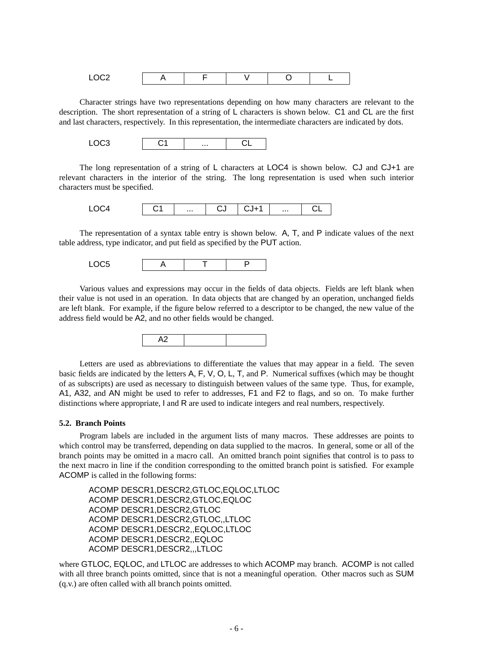| - - - |  |  |  |
|-------|--|--|--|

Character strings have two representations depending on how many characters are relevant to the description. The short representation of a string of L characters is shown below. C1 and CL are the first and last characters, respectively. In this representation, the intermediate characters are indicated by dots.



The long representation of a string of L characters at LOC4 is shown below. CJ and CJ+1 are relevant characters in the interior of the string. The long representation is used when such interior characters must be specified.

|  | <br>ںر |  |  |
|--|--------|--|--|
|  |        |  |  |

The representation of a syntax table entry is shown below. A, T, and P indicate values of the next table address, type indicator, and put field as specified by the PUT action.

LOC5 | A | T | P

Various values and expressions may occur in the fields of data objects. Fields are left blank when their value is not used in an operation. In data objects that are changed by an operation, unchanged fields are left blank. For example, if the figure below referred to a descriptor to be changed, the new value of the address field would be A2, and no other fields would be changed.



Letters are used as abbreviations to differentiate the values that may appear in a field. The seven basic fields are indicated by the letters A, F, V, O, L, T, and P. Numerical suffixes (which may be thought of as subscripts) are used as necessary to distinguish between values of the same type. Thus, for example, A1, A32, and AN might be used to refer to addresses, F1 and F2 to flags, and so on. To make further distinctions where appropriate, I and R are used to indicate integers and real numbers, respectively.

#### **5.2. Branch Points**

Program labels are included in the argument lists of many macros. These addresses are points to which control may be transferred, depending on data supplied to the macros. In general, some or all of the branch points may be omitted in a macro call. An omitted branch point signifies that control is to pass to the next macro in line if the condition corresponding to the omitted branch point is satisfied. For example ACOMP is called in the following forms:

ACOMP DESCR1,DESCR2,GTLOC,EQLOC,LTLOC ACOMP DESCR1,DESCR2,GTLOC,EQLOC ACOMP DESCR1,DESCR2,GTLOC ACOMP DESCR1,DESCR2,GTLOC,,LTLOC ACOMP DESCR1,DESCR2,,EQLOC,LTLOC ACOMP DESCR1,DESCR2,,EQLOC ACOMP DESCR1,DESCR2,,,LTLOC

where GTLOC, EQLOC, and LTLOC are addresses to which ACOMP may branch. ACOMP is not called with all three branch points omitted, since that is not a meaningful operation. Other macros such as SUM (q.v.) are often called with all branch points omitted.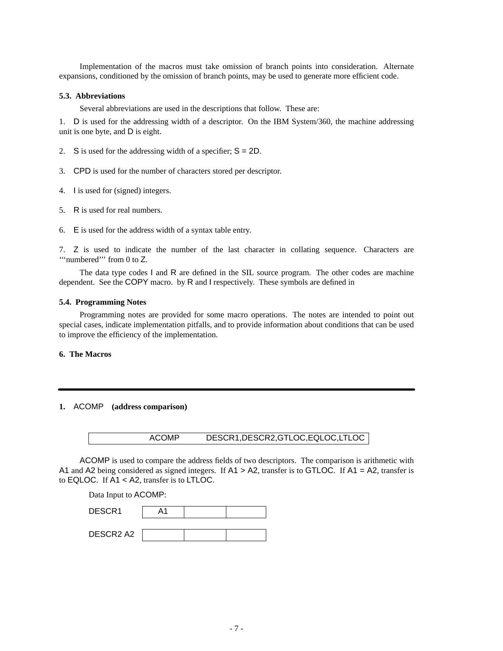Implementation of the macros must take omission of branch points into consideration. Alternate expansions, conditioned by the omission of branch points, may be used to generate more efficient code.

#### **5.3. Abbreviations**

Several abbreviations are used in the descriptions that follow. These are:

1. D is used for the addressing width of a descriptor. On the IBM System/360, the machine addressing unit is one byte, and D is eight.

- 2. S is used for the addressing width of a specifier;  $S = 2D$ .
- 3. CPD is used for the number of characters stored per descriptor.
- 4. I is used for (signed) integers.
- 5. R is used for real numbers.
- 6. E is used for the address width of a syntax table entry.

7. Z is used to indicate the number of the last character in collating sequence. Characters are "'uumbered"' from 0 to Z.

The data type codes I and R are defined in the SIL source program. The other codes are machine dependent. See the COPY macro. by R and I respectively. These symbols are defined in

#### **5.4. Programming Notes**

Programming notes are provided for some macro operations. The notes are intended to point out special cases, indicate implementation pitfalls, and to provide information about conditions that can be used to improve the efficiency of the implementation.

#### **6. The Macros**

### **1.** ACOMP **(address comparison)**

| <b>ACOMP</b> | DESCR1, DESCR2, GTLOC, EQLOC, LTLOC |
|--------------|-------------------------------------|
|--------------|-------------------------------------|

ACOMP is used to compare the address fields of two descriptors. The comparison is arithmetic with A1 and A2 being considered as signed integers. If A1 > A2, transfer is to GTLOC. If A1 = A2, transfer is to EQLOC. If A1 < A2, transfer is to LTLOC.

Data Input to ACOMP:

| DESCR1    | Λ1 |  |
|-----------|----|--|
|           |    |  |
| DESCR2 A2 |    |  |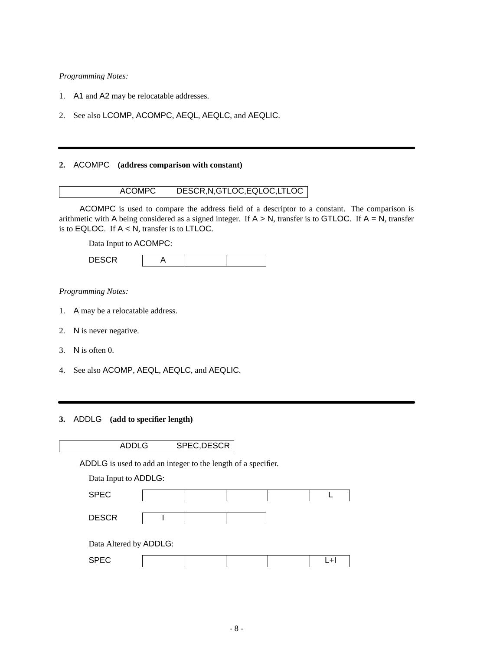- 1. A1 and A2 may be relocatable addresses.
- 2. See also LCOMP, ACOMPC, AEQL, AEQLC, and AEQLIC.

#### **2.** ACOMPC **(address comparison with constant)**



ACOMPC is used to compare the address field of a descriptor to a constant. The comparison is arithmetic with A being considered as a signed integer. If  $A > N$ , transfer is to GTLOC. If  $A = N$ , transfer is to EQLOC. If  $A < N$ , transfer is to LTLOC.

Data Input to ACOMPC:

| $- - - - -$<br>-<br>--<br>--- |  |  |
|-------------------------------|--|--|
|                               |  |  |

*Programming Notes:*

- 1. A may be a relocatable address.
- 2. N is never negative.
- 3. N is often 0.
- 4. See also ACOMP, AEQL, AEQLC, and AEQLIC.

### **3.** ADDLG **(add to specifier length)**

| ADDLG | SPEC, DESCR |
|-------|-------------|
|-------|-------------|

ADDLG is used to add an integer to the length of a specifier.

Data Input to ADDLG:

| <b>SPEC</b>            |  |  |  |
|------------------------|--|--|--|
|                        |  |  |  |
| <b>DESCR</b>           |  |  |  |
|                        |  |  |  |
| Data Altered by ADDLG: |  |  |  |

| ---<br>$\sim$<br>$ -$ |  |  |  |  | $ -$ |
|-----------------------|--|--|--|--|------|
|-----------------------|--|--|--|--|------|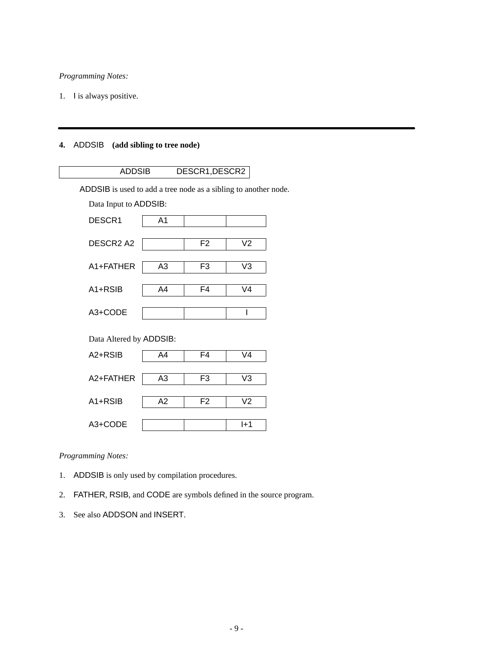1. I is always positive.

# **4.** ADDSIB **(add sibling to tree node)**

| <b>ADDSIB</b>                                                   |                | DESCR1, DESCR2 |                |  |  |  |
|-----------------------------------------------------------------|----------------|----------------|----------------|--|--|--|
| ADDSIB is used to add a tree node as a sibling to another node. |                |                |                |  |  |  |
| Data Input to ADDSIB:                                           |                |                |                |  |  |  |
| DESCR1                                                          | A <sub>1</sub> |                |                |  |  |  |
| DESCR <sub>2</sub> A <sub>2</sub>                               |                | F <sub>2</sub> | V <sub>2</sub> |  |  |  |
| A1+FATHER                                                       | A <sub>3</sub> | F <sub>3</sub> | V <sub>3</sub> |  |  |  |
| $A1 + RSIB$                                                     | A4             | F4             | V <sub>4</sub> |  |  |  |
| A3+CODE                                                         |                |                | I              |  |  |  |
| Data Altered by ADDSIB:                                         |                |                |                |  |  |  |
| A2+RSIB                                                         | A4             | F <sub>4</sub> | V <sub>4</sub> |  |  |  |
| A2+FATHER                                                       | A3             | F <sub>3</sub> | V <sub>3</sub> |  |  |  |
| $A1 + RSIB$                                                     | A2             | F <sub>2</sub> | V <sub>2</sub> |  |  |  |
| A3+CODE                                                         |                |                | $1+1$          |  |  |  |
|                                                                 |                |                |                |  |  |  |

# *Programming Notes:*

- 1. ADDSIB is only used by compilation procedures.
- 2. FATHER, RSIB, and CODE are symbols defined in the source program.
- 3. See also ADDSON and INSERT.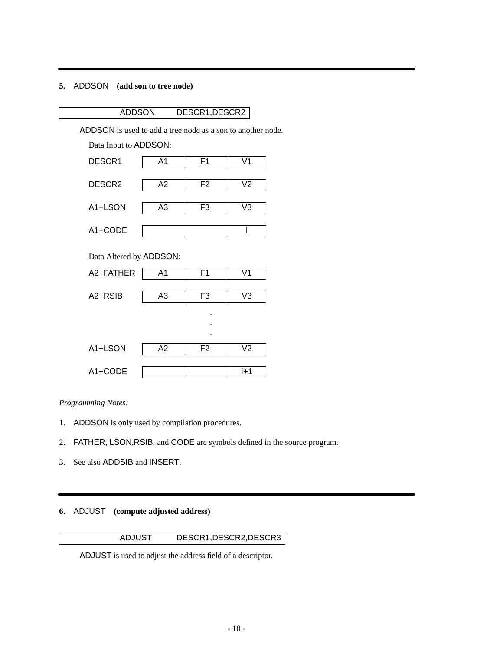## **5.** ADDSON **(add son to tree node)**

# ADDSON DESCR1,DESCR2

ADDSON is used to add a tree node as a son to another node.

Data Input to ADDSON:



*Programming Notes:*

- 1. ADDSON is only used by compilation procedures.
- 2. FATHER, LSON,RSIB, and CODE are symbols defined in the source program.
- 3. See also ADDSIB and INSERT.

# **6.** ADJUST **(compute adjusted address)**

## ADJUST DESCR1,DESCR2,DESCR3

ADJUST is used to adjust the address field of a descriptor.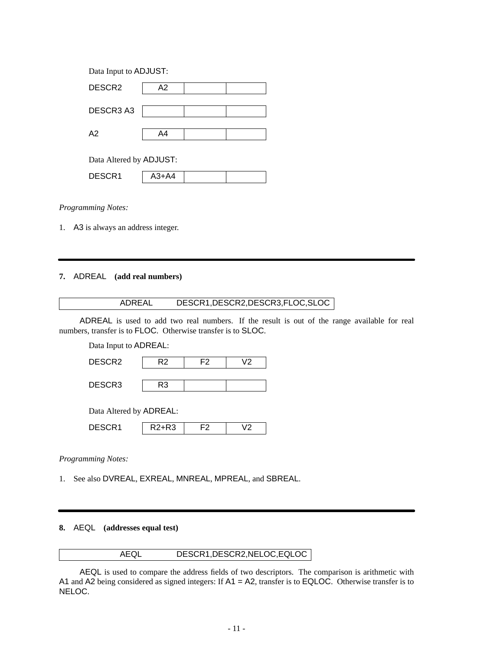| Data Input to ADJUST:   |       |  |  |  |  |
|-------------------------|-------|--|--|--|--|
| DESCR <sub>2</sub>      | A2    |  |  |  |  |
|                         |       |  |  |  |  |
| DESCR3 A3               |       |  |  |  |  |
| A2                      | A4    |  |  |  |  |
|                         |       |  |  |  |  |
| Data Altered by ADJUST: |       |  |  |  |  |
| DESCR1                  | A3+A4 |  |  |  |  |

1. A3 is always an address integer.

# **7.** ADREAL **(add real numbers)**

| ADREAL | DESCR1, DESCR2, DESCR3, FLOC, SLOC |
|--------|------------------------------------|
|        |                                    |

ADREAL is used to add two real numbers. If the result is out of the range available for real numbers, transfer is to FLOC. Otherwise transfer is to SLOC.

Data Input to ADREAL:

| DESCR <sub>2</sub> | -7 |  |
|--------------------|----|--|
|                    |    |  |
| DESCR3             |    |  |

Data Altered by ADREAL:

| <b>COD</b><br>D)<br>וע<br>$\ddotsc$ | nn<br>.ت | r |  |
|-------------------------------------|----------|---|--|
|                                     |          |   |  |

#### *Programming Notes:*

1. See also DVREAL, EXREAL, MNREAL, MPREAL, and SBREAL.

### **8.** AEQL **(addresses equal test)**

### AEQL DESCR1,DESCR2,NELOC,EQLOC

AEQL is used to compare the address fields of two descriptors. The comparison is arithmetic with A1 and A2 being considered as signed integers: If A1 = A2, transfer is to EQLOC. Otherwise transfer is to NELOC.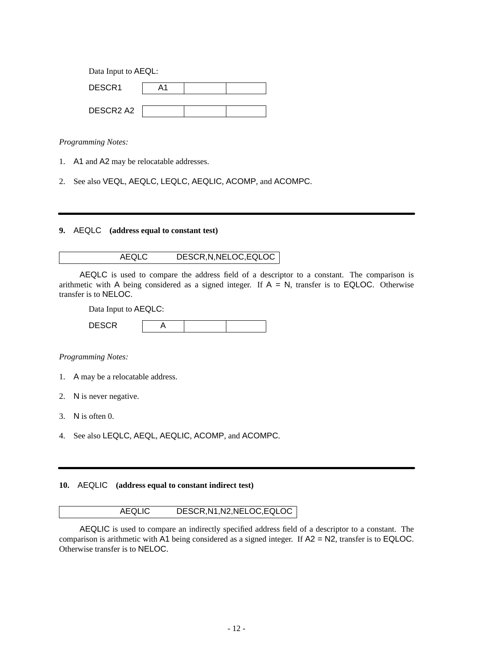| Data Input to AEQL:               |    |  |  |  |  |
|-----------------------------------|----|--|--|--|--|
| DESCR1                            | Δ1 |  |  |  |  |
|                                   |    |  |  |  |  |
| DESCR <sub>2</sub> A <sub>2</sub> |    |  |  |  |  |

- 1. A1 and A2 may be relocatable addresses.
- 2. See also VEQL, AEQLC, LEQLC, AEQLIC, ACOMP, and ACOMPC.

# **9.** AEQLC **(address equal to constant test)**

### AEQLC DESCR,N,NELOC,EQLOC

AEQLC is used to compare the address field of a descriptor to a constant. The comparison is arithmetic with A being considered as a signed integer. If  $A = N$ , transfer is to EQLOC. Otherwise transfer is to NELOC.

Data Input to AEQLC:

| $\frac{1}{2}$<br>----- |  |  |
|------------------------|--|--|

*Programming Notes:*

- 1. A may be a relocatable address.
- 2. N is never negative.
- 3. N is often 0.
- 4. See also LEQLC, AEQL, AEQLIC, ACOMP, and ACOMPC.

## **10.** AEQLIC **(address equal to constant indirect test)**

# AEQLIC DESCR,N1,N2,NELOC,EQLOC

AEQLIC is used to compare an indirectly specified address field of a descriptor to a constant. The comparison is arithmetic with A1 being considered as a signed integer. If A2 = N2, transfer is to EQLOC. Otherwise transfer is to NELOC.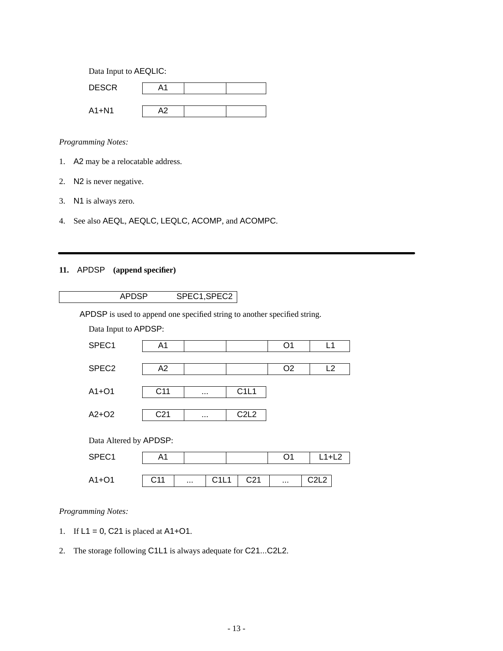Data Input to AEQLIC:

| <b>DESCR</b> | Δ1  |  |
|--------------|-----|--|
|              |     |  |
| $A1 + N1$    | ∧ ∩ |  |

### *Programming Notes:*

- 1. A2 may be a relocatable address.
- 2. N2 is never negative.
- 3. N1 is always zero.
- 4. See also AEQL, AEQLC, LEQLC, ACOMP, and ACOMPC.

# **11.** APDSP **(append specifier)**

APDSP is used to append one specified string to another specified string.

| Data Input to APDSP: |  |  |  |
|----------------------|--|--|--|
| SPFC <sub>1</sub>    |  |  |  |

| <u>UILVI</u>      | $\sqrt{1}$      |          |                               | ັັ             | . . |
|-------------------|-----------------|----------|-------------------------------|----------------|-----|
|                   |                 |          |                               |                |     |
| SPEC <sub>2</sub> | A2              |          |                               | O <sub>2</sub> | L2  |
|                   |                 |          |                               |                |     |
| $A1+O1$           | C <sub>11</sub> | $\cdots$ | C1L1                          |                |     |
|                   |                 |          |                               |                |     |
| $A2+O2$           | C <sub>21</sub> | $\cdots$ | C <sub>2</sub> L <sub>2</sub> |                |     |
|                   |                 |          |                               |                |     |
|                   |                 |          |                               |                |     |

Data Altered by APDSP:

| SPEC1   | и                   |          |                           |                 |          |               |  |
|---------|---------------------|----------|---------------------------|-----------------|----------|---------------|--|
| $A1+O1$ | $^{\sim}$ 11<br>◡╷╷ | $\cdots$ | $C$ <sub>1</sub><br>1 L L | C <sub>21</sub> | $\cdots$ | $\sim$<br>∸⊢∸ |  |
|         |                     |          |                           |                 |          |               |  |

### *Programming Notes:*

- 1. If  $L1 = 0$ , C21 is placed at A1+O1.
- 2. The storage following C1L1 is always adequate for C21...C2L2.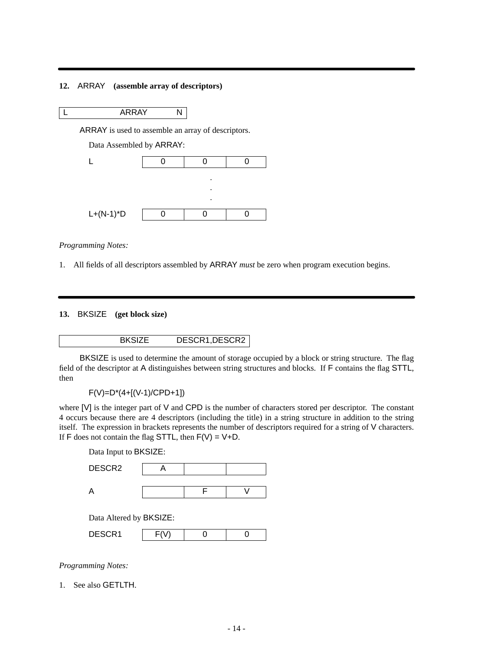### **12.** ARRAY **(assemble array of descriptors)**

L ARRAY N

ARRAY is used to assemble an array of descriptors.

Data Assembled by ARRAY:



*Programming Notes:*

1. All fields of all descriptors assembled by ARRAY *must* be zero when program execution begins.

**13.** BKSIZE **(get block size)**

BKSIZE DESCR1,DESCR2

BKSIZE is used to determine the amount of storage occupied by a block or string structure. The flag field of the descriptor at A distinguishes between string structures and blocks. If F contains the flag STTL, then

F(V)=D\*(4+[(V-1)/CPD+1])

where [V] is the integer part of V and CPD is the number of characters stored per descriptor. The constant 4 occurs because there are 4 descriptors (including the title) in a string structure in addition to the string itself. The expression in brackets represents the number of descriptors required for a string of V characters. If  $\overline{F}$  does not contain the flag STTL, then  $\overline{F}(V) = V + D$ .

Data Input to BKSIZE: DESCR2 | A A F V

Data Altered by BKSIZE:

| ~~~ ·<br>⌒<br>----- |  |  |
|---------------------|--|--|
|                     |  |  |

*Programming Notes:*

1. See also GETLTH.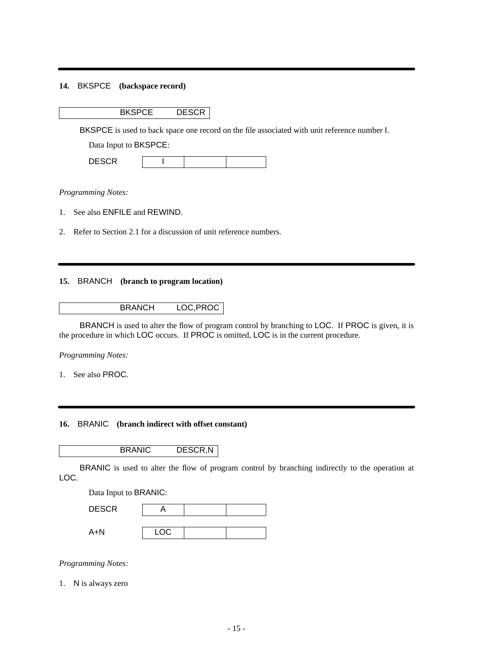## **14.** BKSPCE **(backspace record)**

BKSPCE DESCR

BKSPCE is used to back space one record on the file associated with unit reference number I.

Data Input to BKSPCE:

| <b>DEOOD</b><br>----- |  |  |  |
|-----------------------|--|--|--|
|-----------------------|--|--|--|

*Programming Notes:*

- 1. See also ENFILE and REWIND.
- 2. Refer to Section 2.1 for a discussion of unit reference numbers.

### **15.** BRANCH **(branch to program location)**

### BRANCH LOC,PROC

BRANCH is used to alter the flow of program control by branching to LOC. If PROC is given, it is the procedure in which LOC occurs. If PROC is omitted, LOC is in the current procedure.

*Programming Notes:*

1. See also PROC.

### **16.** BRANIC **(branch indirect with offset constant)**

BRANIC DESCR,N

BRANIC is used to alter the flow of program control by branching indirectly to the operation at LOC.

| Data Input to BRANIC: |      |  |  |  |
|-----------------------|------|--|--|--|
| <b>DESCR</b>          |      |  |  |  |
|                       |      |  |  |  |
| A+N                   | LOC. |  |  |  |

*Programming Notes:*

1. N is always zero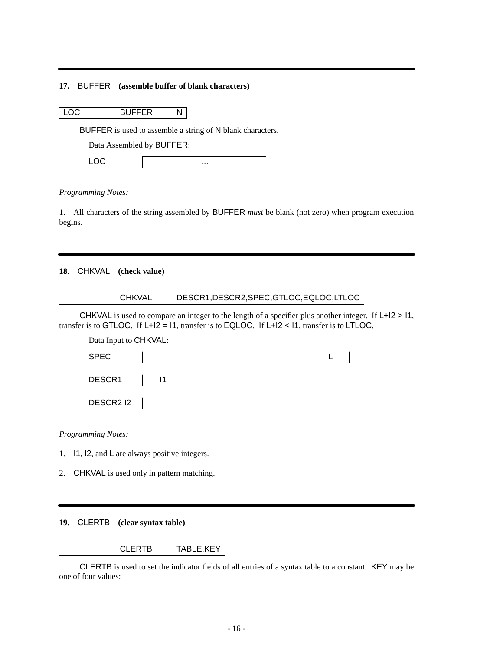### **17.** BUFFER **(assemble buffer of blank characters)**

|  | I LOC | <b>BUFFER</b> | N |
|--|-------|---------------|---|
|--|-------|---------------|---|

BUFFER is used to assemble a string of N blank characters.

Data Assembled by BUFFER:

 $\mathsf{LOC}$  ...

#### *Programming Notes:*

1. All characters of the string assembled by BUFFER *must* be blank (not zero) when program execution begins.

# **18.** CHKVAL **(check value)**

| DESCR1, DESCR2, SPEC, GTLOC, EQLOC, LTLOC<br><b>CHKVAL</b> |
|------------------------------------------------------------|
|------------------------------------------------------------|

CHKVAL is used to compare an integer to the length of a specifier plus another integer. If L+I2 > I1, transfer is to GTLOC. If  $L+12 = 11$ , transfer is to EQLOC. If  $L+12 < 11$ , transfer is to LTLOC.

Data Input to CHKVAL:

*Programming Notes:*

- 1. I1, I2, and L are always positive integers.
- 2. CHKVAL is used only in pattern matching.

### **19.** CLERTB **(clear syntax table)**

#### CLERTB TABLE,KEY

CLERTB is used to set the indicator fields of all entries of a syntax table to a constant. KEY may be one of four values: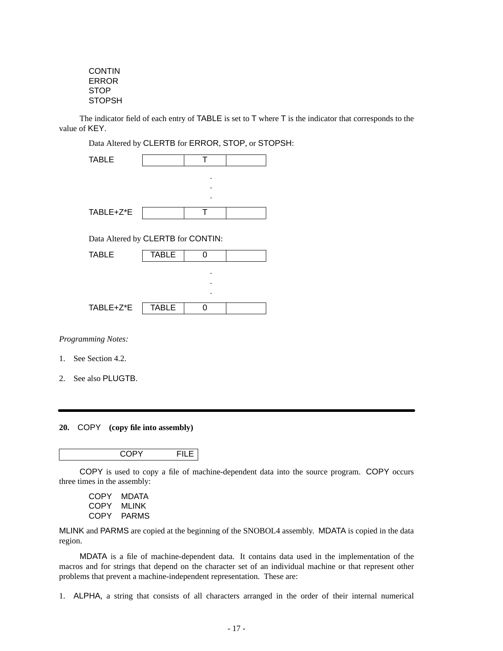CONTIN ERROR **STOP STOPSH** 

The indicator field of each entry of TABLE is set to T where T is the indicator that corresponds to the value of KEY.

Data Altered by CLERTB for ERROR, STOP, or STOPSH:

| <b>TABLE</b>                       |              | т |  |
|------------------------------------|--------------|---|--|
|                                    |              |   |  |
|                                    |              |   |  |
|                                    |              |   |  |
| TABLE+Z*E                          |              | т |  |
|                                    |              |   |  |
| Data Altered by CLERTB for CONTIN: |              |   |  |
| <b>TABLE</b>                       | <b>TABLE</b> | 0 |  |
|                                    |              |   |  |
|                                    |              |   |  |
|                                    |              |   |  |
| TABLE+Z*E                          | <b>TABLE</b> | ŋ |  |
|                                    |              |   |  |

*Programming Notes:*

- 1. See Section 4.2.
- 2. See also PLUGTB.

#### **20.** COPY **(copy file into assembly)**

COPY FILE

COPY is used to copy a file of machine-dependent data into the source program. COPY occurs three times in the assembly:

COPY MDATA COPY MLINK COPY PARMS

MLINK and PARMS are copied at the beginning of the SNOBOL4 assembly. MDATA is copied in the data region.

MDATA is a file of machine-dependent data. It contains data used in the implementation of the macros and for strings that depend on the character set of an individual machine or that represent other problems that prevent a machine-independent representation. These are:

1. ALPHA, a string that consists of all characters arranged in the order of their internal numerical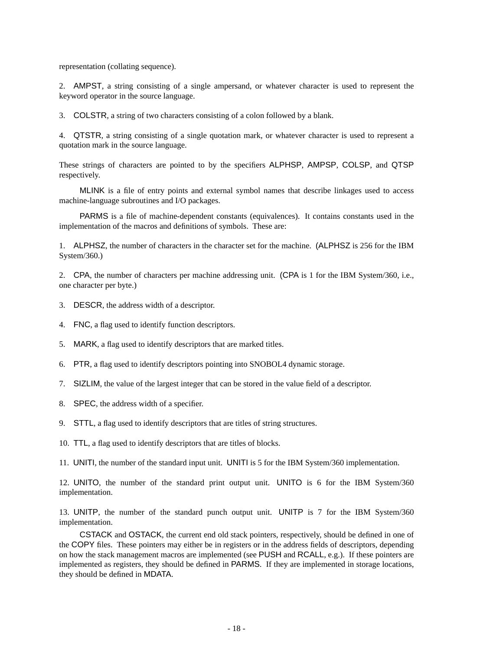representation (collating sequence).

2. AMPST, a string consisting of a single ampersand, or whatever character is used to represent the keyword operator in the source language.

3. COLSTR, a string of two characters consisting of a colon followed by a blank.

4. QTSTR,astring consisting of a single quotation mark, or whatever character is used to represent a quotation mark in the source language.

These strings of characters are pointed to by the specifiers ALPHSP, AMPSP, COLSP, and QTSP respectively.

MLINK is a file of entry points and external symbol names that describe linkages used to access machine-language subroutines and I/O packages.

PARMS is a file of machine-dependent constants (equivalences). It contains constants used in the implementation of the macros and definitions of symbols. These are:

1. ALPHSZ, the number of characters in the character set for the machine. (ALPHSZ is 256 for the IBM System/360.)

2. CPA, the number of characters per machine addressing unit. (CPA is 1 for the IBM System/360, i.e., one character per byte.)

3. DESCR, the address width of a descriptor.

- 4. FNC, a flag used to identify function descriptors.
- 5. MARK, a flag used to identify descriptors that are marked titles.
- 6. PTR,aflag used to identify descriptors pointing into SNOBOL4 dynamic storage.
- 7. SIZLIM, the value of the largest integer that can be stored in the value field of a descriptor.
- 8. SPEC, the address width of a specifier.
- 9. STTL, a flag used to identify descriptors that are titles of string structures.
- 10. TTL, a flag used to identify descriptors that are titles of blocks.
- 11. UNITI, the number of the standard input unit. UNITI is 5 for the IBM System/360 implementation.

12. UNITO, the number of the standard print output unit. UNITO is 6 for the IBM System/360 implementation.

13. UNITP, the number of the standard punch output unit. UNITP is 7 for the IBM System/360 implementation.

CSTACK and OSTACK, the current end old stack pointers, respectively, should be defined in one of the COPY files. These pointers may either be in registers or in the address fields of descriptors, depending on how the stack management macros are implemented (see PUSH and RCALL, e.g.). If these pointers are implemented as registers, they should be defined in PARMS. If they are implemented in storage locations, they should be defined in MDATA.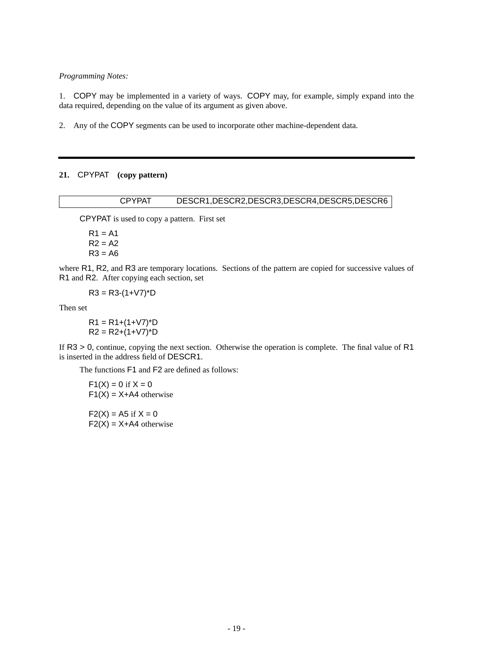1. COPY may be implemented in a variety of ways. COPY may, for example, simply expand into the data required, depending on the value of its argument as given above.

2. Any of the COPY segments can be used to incorporate other machine-dependent data.

### **21.** CPYPAT **(copy pattern)**

### CPYPAT DESCR1,DESCR2,DESCR3,DESCR4,DESCR5,DESCR6

CPYPAT is used to copy a pattern. First set

 $R1 = A1$  $R2 = A2$  $R3 = A6$ 

where R1, R2, and R3 are temporary locations. Sections of the pattern are copied for successive values of R1 and R2. After copying each section, set

 $R3 = R3-(1+\sqrt{7})^*D$ 

Then set

 $R1 = R1+(1+V7)^*D$  $R2 = R2+(1+V7)^*D$ 

If R3 > 0, continue, copying the next section. Otherwise the operation is complete. The final value of R1 is inserted in the address field of DESCR1.

The functions F1 and F2 are defined as follows:

 $F1(X) = 0$  if  $X = 0$  $F1(X) = X + A4$  otherwise

 $F2(X) = A5$  if  $X = 0$  $F2(X) = X + A4$  otherwise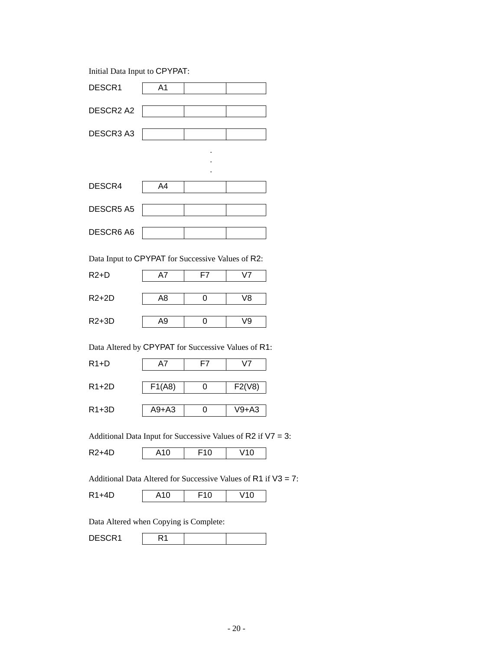Initial Data Input to CPYPAT:

| DESCR1    | A1 |   |  |
|-----------|----|---|--|
| DESCR2 A2 |    |   |  |
| DESCR3 A3 |    |   |  |
|           |    | ٠ |  |

| DESCR4    | A4 |  |
|-----------|----|--|
|           |    |  |
| DESCR5 A5 |    |  |
|           |    |  |
| DESCR6 A6 |    |  |

.

Data Input to CPYPAT for Successive Values of R2:

| $R2+D$  |    | $V$ 7 |
|---------|----|-------|
|         |    |       |
| $R2+2D$ | A8 | V8    |
|         |    |       |
| $R2+3D$ | Α9 | 79    |
|         |    |       |

Data Altered by CPYPAT for Successive Values of R1:

| $R1+D$  | Α7      | F7 | $V$ 7   |
|---------|---------|----|---------|
| $R1+2D$ | F1(A8)  |    | F2(V8)  |
| $R1+3D$ | $A9+A3$ |    | $V9+A3$ |

Additional Data Input for Successive Values of R2 if V7 = 3:

| $\overline{\phantom{a}}$<br>R |  | ີ | ັ |
|-------------------------------|--|---|---|
|-------------------------------|--|---|---|

Additional Data Altered for Successive Values of R1 if V3 = 7:

| ີ |
|---|
|---|

Data Altered when Copying is Complete:

| <b>DECOD</b><br>ย⊑จ∪๙ เ |  |  |  |
|-------------------------|--|--|--|
|-------------------------|--|--|--|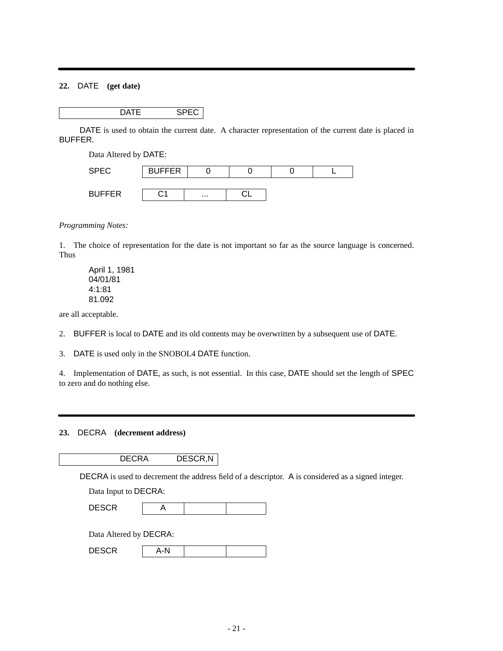## **22.** DATE **(get date)**

DATE SPEC

DATE is used to obtain the current date. A character representation of the current date is placed in BUFFER.

Data Altered by DATE:

| <b>SPEC</b>   | <b>BUFFER</b> |          |  |  |
|---------------|---------------|----------|--|--|
| <b>BUFFER</b> |               | $\cdots$ |  |  |

*Programming Notes:*

1. The choice of representation for the date is not important so far as the source language is concerned. Thus

April 1, 1981 04/01/81 4:1:81 81.092

are all acceptable.

- 2. BUFFER is local to DATE and its old contents may be overwritten by a subsequent use of DATE.
- 3. DATE is used only in the SNOBOL4 DATE function.

4. Implementation of DATE, as such, is not essential. In this case, DATE should set the length of SPEC to zero and do nothing else.

### **23.** DECRA **(decrement address)**

DECRA DESCR,N

DECRA is used to decrement the address field of a descriptor. A is considered as a signed integer.

| Data Input to DECRA: |  |
|----------------------|--|
|----------------------|--|

| - - - -<br>n'<br><u>DLOOIT</u> |  |  |
|--------------------------------|--|--|
|                                |  |  |

Data Altered by DECRA:

| <b>DESCR</b><br>4-N |  |  |
|---------------------|--|--|
|---------------------|--|--|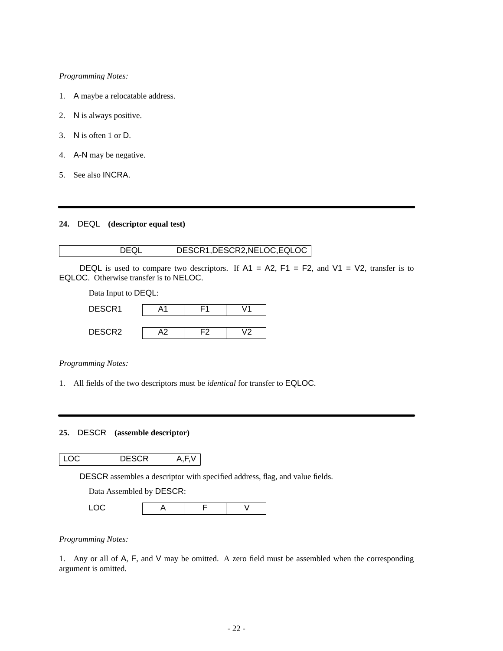- 1. A maybe a relocatable address.
- 2. N is always positive.
- 3. N is often 1 or D.
- 4. A-N may be negative.
- 5. See also INCRA.

### **24.** DEQL **(descriptor equal test)**

### DEQL DESCR1,DESCR2,NELOC,EQLOC

|                                        | DEQL is used to compare two descriptors. If A1 = A2, F1 = F2, and V1 = V2, transfer is to |
|----------------------------------------|-------------------------------------------------------------------------------------------|
| EQLOC. Otherwise transfer is to NELOC. |                                                                                           |

Data Input to DEQL:

| Α1 |    | $\overline{11}$ |
|----|----|-----------------|
|    |    |                 |
| А2 | F2 | J 2             |
|    |    |                 |

*Programming Notes:*

1. All fields of the two descriptors must be *identical* for transfer to EQLOC.

### **25.** DESCR **(assemble descriptor)**

# LOC DESCR A,F,V

DESCR assembles a descriptor with specified address, flag, and value fields.

Data Assembled by DESCR:

| ~~ |  |  |
|----|--|--|
|    |  |  |

## *Programming Notes:*

1. Any or all of A, F, and V may be omitted. A zero field must be assembled when the corresponding argument is omitted.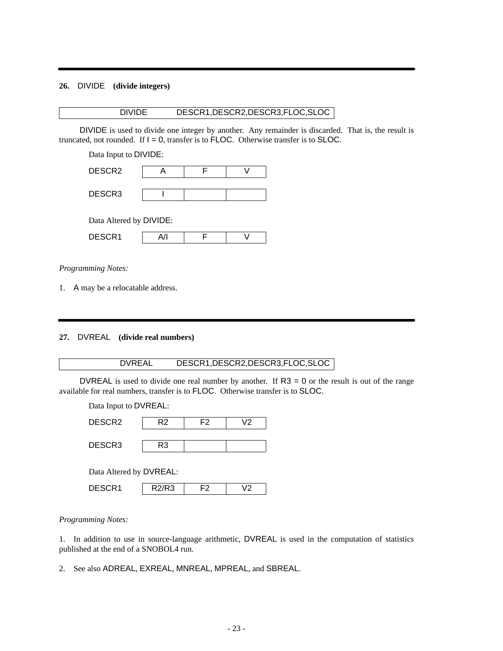## **26.** DIVIDE **(divide integers)**

### DIVIDE DESCR1,DESCR2,DESCR3,FLOC,SLOC

DIVIDE is used to divide one integer by another. Any remainder is discarded. That is, the result is truncated, not rounded. If  $I = 0$ , transfer is to FLOC. Otherwise transfer is to SLOC.

Data Input to DIVIDE:

| DESCR2 |  |  |
|--------|--|--|
|        |  |  |
| DESCR3 |  |  |

Data Altered by DIVIDE:

|  | DESCR1 | A/I |  |  |
|--|--------|-----|--|--|
|--|--------|-----|--|--|

*Programming Notes:*

1. A may be a relocatable address.

**27.** DVREAL **(divide real numbers)**

## DVREAL DESCR1,DESCR2,DESCR3,FLOC,SLOC

DVREAL is used to divide one real number by another. If  $R3 = 0$  or the result is out of the range available for real numbers, transfer is to FLOC. Otherwise transfer is to SLOC.

Data Input to DVREAL:

| DESCR <sub>2</sub>      | R2    | F2 | V2 |  |  |
|-------------------------|-------|----|----|--|--|
| DESCR <sub>3</sub>      | R3    |    |    |  |  |
|                         |       |    |    |  |  |
| Data Altered by DVREAL: |       |    |    |  |  |
| DESCR <sub>1</sub>      | R2/R3 | F2 | V2 |  |  |
|                         |       |    |    |  |  |

*Programming Notes:*

1. In addition to use in source-language arithmetic, DVREAL is used in the computation of statistics published at the end of a SNOBOL4 run.

2. See also ADREAL, EXREAL, MNREAL, MPREAL, and SBREAL.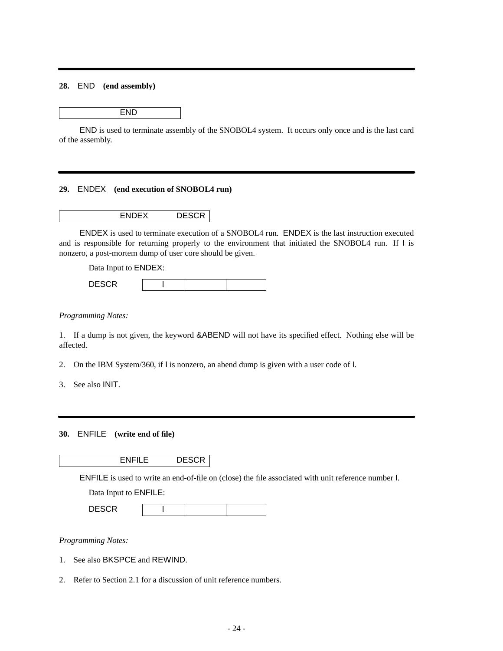### **28.** END **(end assembly)**

END

END is used to terminate assembly of the SNOBOL4 system. It occurs only once and is the last card of the assembly.

#### **29.** ENDEX **(end execution of SNOBOL4 run)**

ENDEX DESCR

ENDEX is used to terminate execution of a SNOBOL4 run. ENDEX is the last instruction executed and is responsible for returning properly to the environment that initiated the SNOBOL4 run. If I is nonzero, a post-mortem dump of user core should be given.

Data Input to ENDEX:

| $   -$<br>$\blacksquare$<br>----- |  |  |
|-----------------------------------|--|--|
|                                   |  |  |

*Programming Notes:*

1. If a dump is not given, the keyword &ABEND will not have its specified effect. Nothing else will be affected.

2. On the IBM System/360, if I is nonzero, an abend dump is given with a user code of I.

3. See also INIT.

### **30.** ENFILE **(write end of file)**

ENFILE is used to write an end-of-file on (close) the file associated with unit reference number I.

Data Input to ENFILE:

| <b>DECOD</b><br><b>טבטעו</b> |  |  |
|------------------------------|--|--|
|                              |  |  |

*Programming Notes:*

- 1. See also BKSPCE and REWIND.
- 2. Refer to Section 2.1 for a discussion of unit reference numbers.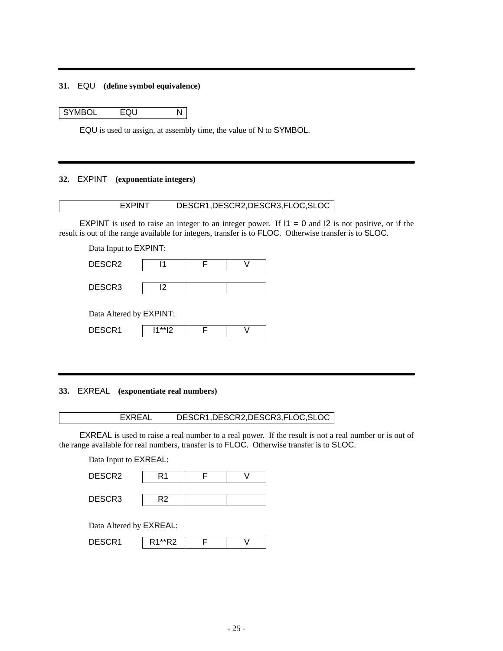### **31.** EQU **(define symbol equivalence)**

SYMBOL EQU N

EQU is used to assign, at assembly time, the value of N to SYMBOL.

### **32.** EXPINT **(exponentiate integers)**

# EXPINT DESCR1,DESCR2,DESCR3,FLOC,SLOC

EXPINT is used to raise an integer to an integer power. If  $11 = 0$  and  $12$  is not positive, or if the result is out of the range available for integers, transfer is to FLOC. Otherwise transfer is to SLOC.

Data Input to EXPINT:

| DESCR <sub>2</sub>      |    |  |
|-------------------------|----|--|
| DESCR <sub>3</sub>      | 12 |  |
| Data Altered by EXPINT: |    |  |

| $   -$<br>∽<br>------ | $\overline{a}$ |  |
|-----------------------|----------------|--|

#### **33.** EXREAL **(exponentiate real numbers)**

### EXREAL DESCR1,DESCR2,DESCR3,FLOC,SLOC

EXREAL is used to raise a real number to a real power. If the result is not a real number or is out of the range available for real numbers, transfer is to FLOC. Otherwise transfer is to SLOC.

Data Input to EXREAL:

| DESCR <sub>2</sub> |  |  |
|--------------------|--|--|
|                    |  |  |
| DESCR3             |  |  |

Data Altered by EXREAL:

| DESCR1 | R <sub>1</sub> **R <sub>2</sub> |  |  |
|--------|---------------------------------|--|--|
|--------|---------------------------------|--|--|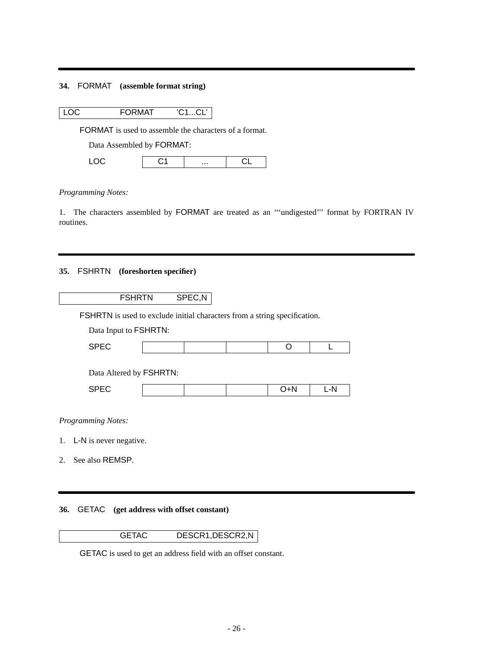# **34.** FORMAT **(assemble format string)**

|  | $ $ LOC | <b>FORMAT</b> | 'C1CL' |
|--|---------|---------------|--------|
|--|---------|---------------|--------|

FORMAT is used to assemble the characters of a format.

Data Assembled by FORMAT:

#### *Programming Notes:*

1. The characters assembled by FORMAT are treated as an '''undigested''' format by FORTRAN IV routines.

# **35.** FSHRTN **(foreshorten specifier)**

| <b>FSHRTN</b>                                                                    | SPEC, N |     |     |
|----------------------------------------------------------------------------------|---------|-----|-----|
| <b>FSHRTN</b> is used to exclude initial characters from a string specification. |         |     |     |
| Data Input to FSHRTN:                                                            |         |     |     |
| <b>SPEC</b>                                                                      |         |     |     |
| Data Altered by FSHRTN:                                                          |         |     |     |
| <b>SPEC</b>                                                                      |         | O+N | L-N |
| <b>Programming Notes:</b>                                                        |         |     |     |

- 
- 1. L-N is never negative.
- 2. See also REMSP.

# **36.** GETAC **(get address with offset constant)**



GETAC is used to get an address field with an offset constant.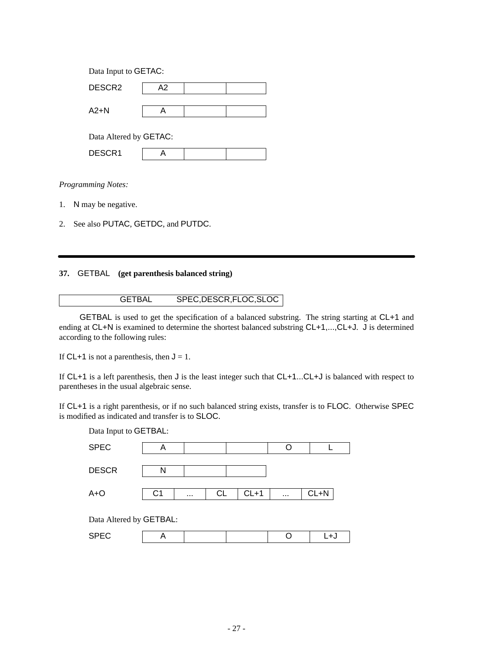| Data Input to GETAC:   |  |  |  |  |  |
|------------------------|--|--|--|--|--|
| A2                     |  |  |  |  |  |
|                        |  |  |  |  |  |
|                        |  |  |  |  |  |
| Data Altered by GETAC: |  |  |  |  |  |
|                        |  |  |  |  |  |
|                        |  |  |  |  |  |

- 1. N may be negative.
- 2. See also PUTAC, GETDC, and PUTDC.

### **37.** GETBAL **(get parenthesis balanced string)**

# GETBAL SPEC,DESCR,FLOC,SLOC

GETBAL is used to get the specification of a balanced substring. The string starting at CL+1 and ending at CL+N is examined to determine the shortest balanced substring CL+1,...,CL+J. J is determined according to the following rules:

If CL+1 is not a parenthesis, then  $J = 1$ .

If CL+1 is a left parenthesis, then J is the least integer such that CL+1...CL+J is balanced with respect to parentheses in the usual algebraic sense.

If CL+1 is a right parenthesis, or if no such balanced string exists, transfer is to FLOC. Otherwise SPEC is modified as indicated and transfer is to SLOC.

| Data Input to GETBAL:   |                |          |    |        |          |          |  |
|-------------------------|----------------|----------|----|--------|----------|----------|--|
| <b>SPEC</b>             | A              |          |    |        | Ω        |          |  |
| <b>DESCR</b>            | N              |          |    |        |          |          |  |
| $A + O$                 | C <sub>1</sub> | $\cdots$ | CL | $CL+1$ | $\cdots$ | $CL + N$ |  |
| Data Altered by GETBAL: |                |          |    |        |          |          |  |
| <b>SPEC</b>             | A              |          |    |        | ┌        | L+J      |  |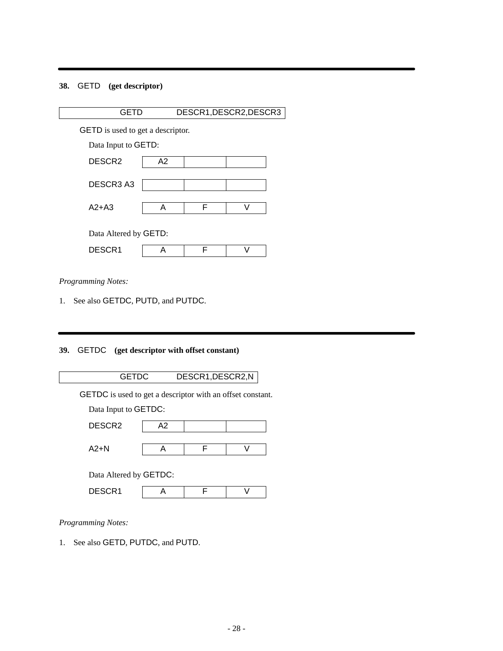# **38.** GETD **(get descriptor)**

| <b>GETD</b>                              |    |   | DESCR1, DESCR2, DESCR3 |  |
|------------------------------------------|----|---|------------------------|--|
| <b>GETD</b> is used to get a descriptor. |    |   |                        |  |
| Data Input to GETD:                      |    |   |                        |  |
| DESCR <sub>2</sub>                       | A2 |   |                        |  |
| DESCR3 A3                                |    |   |                        |  |
| $A2+A3$                                  | А  | F | $\mathcal{L}$          |  |
| Data Altered by GETD:                    |    |   |                        |  |
| DESCR1                                   | А  | F |                        |  |
|                                          |    |   |                        |  |

*Programming Notes:*

1. See also GETDC, PUTD, and PUTDC.

# **39.** GETDC **(get descriptor with offset constant)**

|        | <b>GETDC</b>                                                      |    | DESCR1, DESCR2, N |    |  |
|--------|-------------------------------------------------------------------|----|-------------------|----|--|
|        | <b>GETDC</b> is used to get a descriptor with an offset constant. |    |                   |    |  |
|        | Data Input to GETDC:                                              |    |                   |    |  |
|        | DESCR <sub>2</sub>                                                | A2 |                   |    |  |
| $A2+N$ |                                                                   | A  | F                 | \/ |  |
|        | Data Altered by GETDC:                                            |    |                   |    |  |
| DESCR1 |                                                                   | Α  | F                 |    |  |
|        |                                                                   |    |                   |    |  |

*Programming Notes:*

1. See also GETD, PUTDC, and PUTD.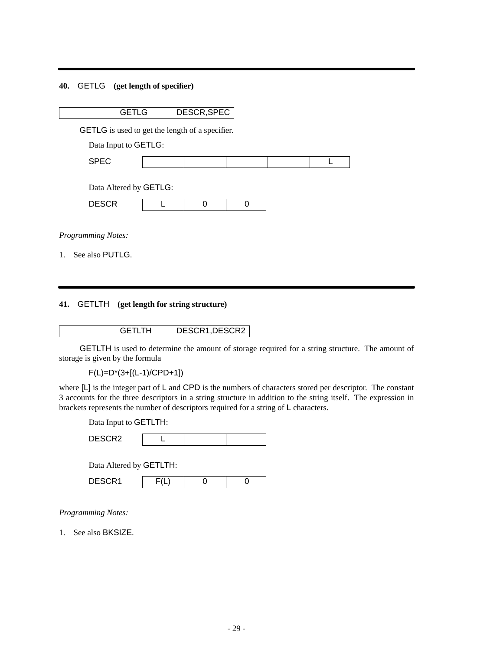## **40.** GETLG **(get length of specifier)**

| <b>GETLG</b>                                           | DESCR, SPEC |   |  |
|--------------------------------------------------------|-------------|---|--|
| <b>GETLG</b> is used to get the length of a specifier. |             |   |  |
| Data Input to GETLG:                                   |             |   |  |
| <b>SPEC</b>                                            |             |   |  |
|                                                        |             |   |  |
| Data Altered by GETLG:                                 |             |   |  |
| <b>DESCR</b>                                           | O           | U |  |
|                                                        |             |   |  |
| Programming Notes:                                     |             |   |  |

1. See also PUTLG.

## **41.** GETLTH **(get length for string structure)**

# GETLTH DESCR1,DESCR2

GETLTH is used to determine the amount of storage required for a string structure. The amount of storage is given by the formula

F(L)=D\*(3+[(L-1)/CPD+1])

where [L] is the integer part of L and CPD is the numbers of characters stored per descriptor. The constant 3 accounts for the three descriptors in a string structure in addition to the string itself. The expression in brackets represents the number of descriptors required for a string of L characters.

Data Input to GETLTH:

| DESCR <sub>2</sub> |  |  |  |
|--------------------|--|--|--|
|--------------------|--|--|--|

Data Altered by GETLTH:

| DESCR1 |  |  |  |
|--------|--|--|--|
|--------|--|--|--|

*Programming Notes:*

1. See also BKSIZE.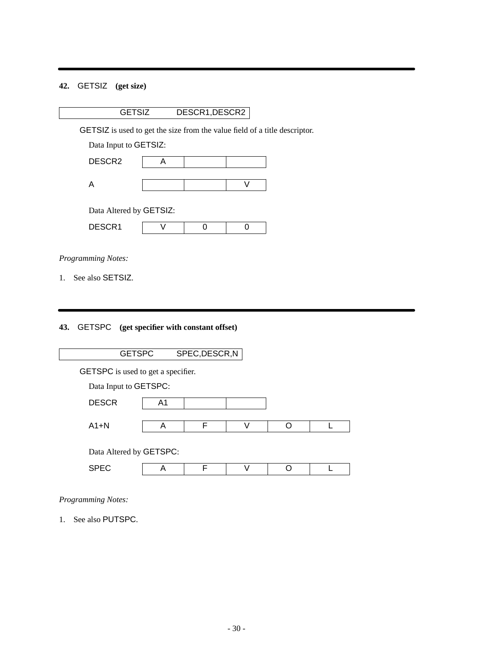# **42.** GETSIZ **(get size)**

GETSIZ is used to get the size from the value field of a title descriptor.

Data Input to GETSIZ:

| DESCR2 |  |  |
|--------|--|--|
|        |  |  |
|        |  |  |

Data Altered by GETSIZ:

| <b>DECODA</b><br><u>DLOOINI</u> |  |  |
|---------------------------------|--|--|

*Programming Notes:*

1. See also SETSIZ.

# **43.** GETSPC **(get specifier with constant offset)**

| <b>GETSPC</b>                             |    | SPEC, DESCR, N |    |  |
|-------------------------------------------|----|----------------|----|--|
| <b>GETSPC</b> is used to get a specifier. |    |                |    |  |
| Data Input to GETSPC:                     |    |                |    |  |
| <b>DESCR</b>                              | A1 |                |    |  |
|                                           |    |                |    |  |
| $A1+N$                                    | A  | F              | V  |  |
| Data Altered by GETSPC:                   |    |                |    |  |
| <b>SPEC</b>                               | А  | F              | ١1 |  |
|                                           |    |                |    |  |

*Programming Notes:*

1. See also PUTSPC.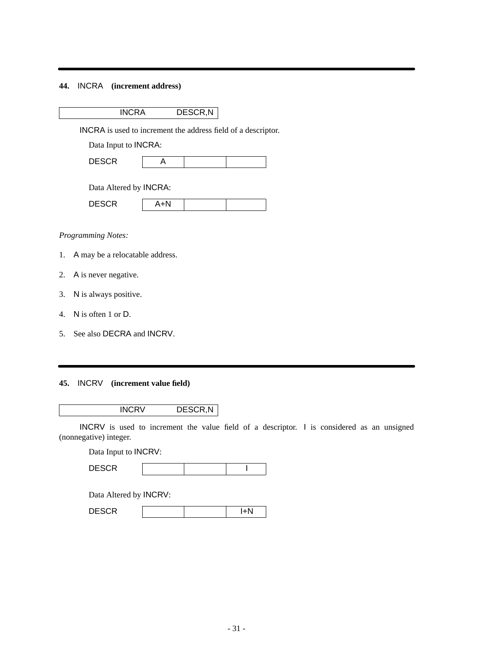### **44.** INCRA **(increment address)**

INCRA DESCR,N

INCRA is used to increment the address field of a descriptor.

Data Input to INCRA:

| nroon.<br>ม∟จ∪ห |  |  |  |
|-----------------|--|--|--|
|-----------------|--|--|--|

Data Altered by INCRA:

| $P^{\text{max}}$<br>$- - - -$ | $\sim$ $\sim$ |  |
|-------------------------------|---------------|--|

### *Programming Notes:*

- 1. A may be a relocatable address.
- 2. A is never negative.
- 3. N is always positive.
- 4. N is often 1 or D.
- 5. See also DECRA and INCRV.

### **45.** INCRV **(increment value field)**

INCRV DESCR,N

INCRV is used to increment the value field of a descriptor. I is considered as an unsigned (nonnegative) integer.

Data Input to INCRV:

|  | $\frac{1}{2}$<br>----- |  |  |  |
|--|------------------------|--|--|--|
|--|------------------------|--|--|--|

Data Altered by INCRV:

| <b>DECOD</b><br>ᇧ<br>レレい |  |  |
|--------------------------|--|--|
|                          |  |  |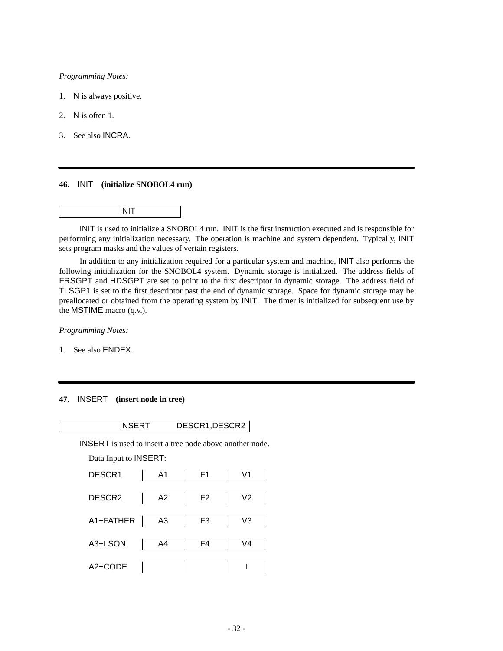- 1. N is always positive.
- 2. N is often 1.
- 3. See also INCRA.

#### **46.** INIT **(initialize SNOBOL4 run)**

### INIT

INIT is used to initialize a SNOBOL4 run. INIT is the first instruction executed and is responsible for performing any initialization necessary. The operation is machine and system dependent. Typically, INIT sets program masks and the values of vertain registers.

In addition to any initialization required for a particular system and machine, INIT also performs the following initialization for the SNOBOL4 system. Dynamic storage is initialized. The address fields of FRSGPT and HDSGPT are set to point to the first descriptor in dynamic storage. The address field of TLSGP1 is set to the first descriptor past the end of dynamic storage. Space for dynamic storage may be preallocated or obtained from the operating system by INIT. The timer is initialized for subsequent use by the MSTIME macro (q.v.).

*Programming Notes:*

1. See also ENDEX.

### **47.** INSERT **(insert node in tree)**

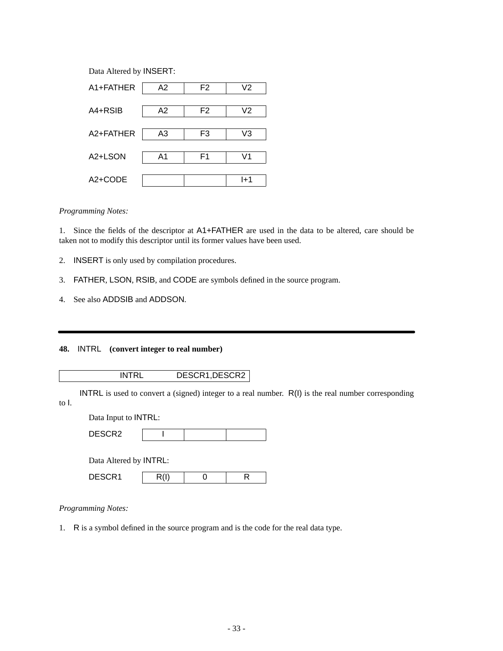Data Altered by INSERT:

| A1+FATHER            | A2 | F2 | V2  |
|----------------------|----|----|-----|
|                      |    |    |     |
| A4+RSIB              | A2 | F2 | V2  |
| A2+FATHER            | A3 | F3 | V3  |
|                      |    |    |     |
| A <sub>2+</sub> LSON | A1 | F1 | V1  |
| A2+CODE              |    |    | l+1 |

### *Programming Notes:*

1. Since the fields of the descriptor at A1+FATHER are used in the data to be altered, care should be taken not to modify this descriptor until its former values have been used.

- 2. INSERT is only used by compilation procedures.
- 3. FATHER, LSON, RSIB, and CODE are symbols defined in the source program.
- 4. See also ADDSIB and ADDSON.

### **48.** INTRL **(convert integer to real number)**

INTRL DESCR1,DESCR2

INTRL is used to convert a (signed) integer to a real number. R(I) is the real number corresponding to I.

Data Input to INTRL:

| <b>DESCR2</b> |  |  |
|---------------|--|--|
|               |  |  |

| Data Altered by <b>INTRL</b> : |      |  |  |  |  |  |
|--------------------------------|------|--|--|--|--|--|
| DESCR1                         | R(I) |  |  |  |  |  |

*Programming Notes:*

1. R is a symbol defined in the source program and is the code for the real data type.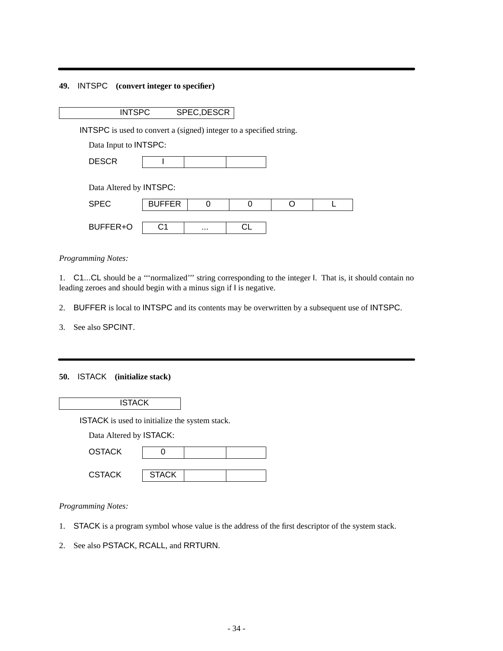### **49.** INTSPC **(convert integer to specifier)**

| <b>INTSPC</b> | SPEC, DESCR |
|---------------|-------------|
|               |             |

INTSPC is used to convert a (signed) integer to a specified string.

Data Input to INTSPC:

| ----        |  |  |
|-------------|--|--|
| D.<br>----- |  |  |

| <b>SPEC</b> | <b>BUFFER</b> |          |  |  |
|-------------|---------------|----------|--|--|
| BUFFER+O    | ۰,            | $\cdots$ |  |  |

*Programming Notes:*

1. C1...CL should be a '''normalized''' string corresponding to the integer I. That is, it should contain no leading zeroes and should begin with a minus sign if I is negative.

2. BUFFER is local to INTSPC and its contents may be overwritten by a subsequent use of INTSPC.

3. See also SPCINT.

### **50.** ISTACK **(initialize stack)**

**ISTACK** 

ISTACK is used to initialize the system stack.

| <b>OSTACK</b> |              |  |
|---------------|--------------|--|
|               |              |  |
| <b>CSTACK</b> | <b>STACK</b> |  |

*Programming Notes:*

- 1. STACK is a program symbol whose value is the address of the first descriptor of the system stack.
- 2. See also PSTACK, RCALL, and RRTURN.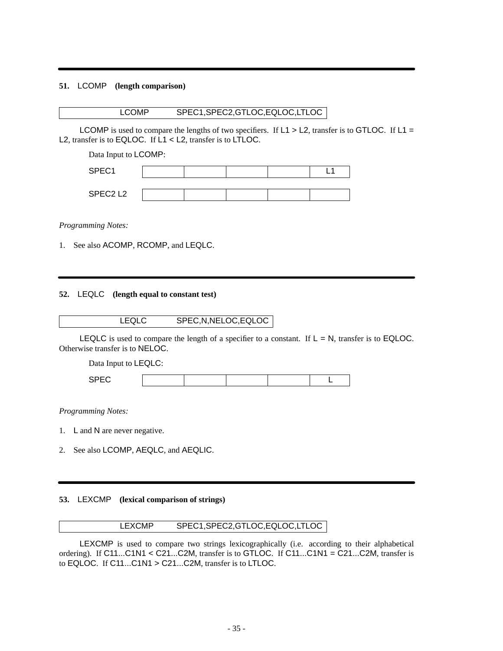### **51.** LCOMP **(length comparison)**

### LCOMP SPEC1,SPEC2,GTLOC,EQLOC,LTLOC

LCOMP is used to compare the lengths of two specifiers. If  $L1 > L2$ , transfer is to GTLOC. If  $L1 =$ L2, transfer is to EQLOC. If L1 < L2, transfer is to LTLOC.

Data Input to LCOMP:

| SPEC1   |  |  |  |
|---------|--|--|--|
|         |  |  |  |
| SPEC2L2 |  |  |  |

*Programming Notes:*

1. See also ACOMP, RCOMP, and LEQLC.

### **52.** LEQLC **(length equal to constant test)**

| <b>LEQLC</b> | SPEC, N, NELOC, EQLOC |
|--------------|-----------------------|
|--------------|-----------------------|

LEQLC is used to compare the length of a specifier to a constant. If  $L = N$ , transfer is to EQLOC. Otherwise transfer is to NELOC.

Data Input to LEQLC:

| ---<br>- - |  |  |  |  |  |
|------------|--|--|--|--|--|
|------------|--|--|--|--|--|

*Programming Notes:*

- 1. L and N are never negative.
- 2. See also LCOMP, AEQLC, and AEQLIC.

### **53.** LEXCMP **(lexical comparison of strings)**

## LEXCMP SPEC1,SPEC2,GTLOC,EQLOC,LTLOC

LEXCMP is used to compare two strings lexicographically (i.e. according to their alphabetical ordering). If C11...C1N1 < C21...C2M, transfer is to GTLOC. If C11...C1N1 = C21...C2M, transfer is to EQLOC. If C11...C1N1 > C21...C2M, transfer is to LTLOC.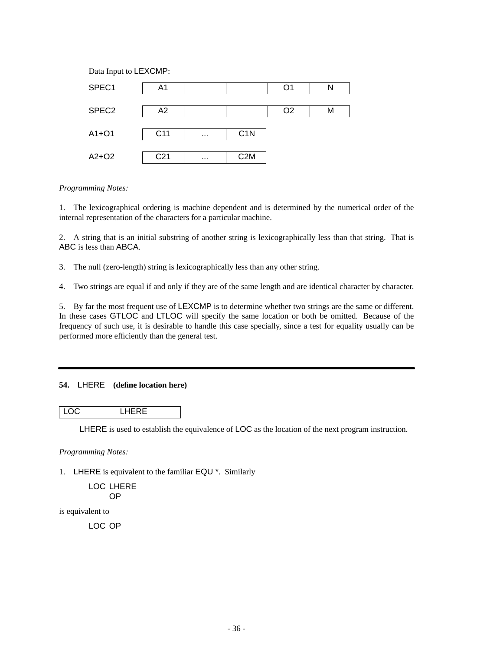

1. The lexicographical ordering is machine dependent and is determined by the numerical order of the internal representation of the characters for a particular machine.

2. A string that is an initial substring of another string is lexicographically less than that string. That is ABC is less than ABCA.

3. The null (zero-length) string is lexicographically less than any other string.

4. Two strings are equal if and only if they are of the same length and are identical character by character.

5. By far the most frequent use of LEXCMP is to determine whether two strings are the same or different. In these cases GTLOC and LTLOC will specify the same location or both be omitted. Because of the frequency of such use, it is desirable to handle this case specially, since a test for equality usually can be performed more efficiently than the general test.

#### **54.** LHERE **(define location here)**

LOC LHERE

LHERE is used to establish the equivalence of LOC as the location of the next program instruction.

*Programming Notes:*

1. LHERE is equivalent to the familiar EQU \*. Similarly

LOC LHERE OP

is equivalent to

LOC OP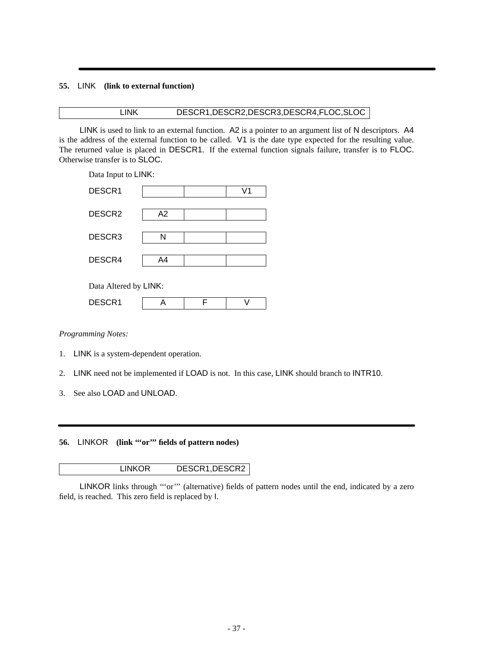## **55.** LINK **(link to external function)**

## LINK DESCR1,DESCR2,DESCR3,DESCR4,FLOC,SLOC

LINK is used to link to an external function. A2 is a pointer to an argument list of N descriptors. A4 is the address of the external function to be called. V1 is the date type expected for the resulting value. The returned value is placed in DESCR1. If the external function signals failure, transfer is to FLOC. Otherwise transfer is to SLOC.

Data Input to LINK: DESCR1 V1 DESCR2 A2 DESCR3 N DESCR4 | A4 Data Altered by LINK: DESCR1 | A | F | V

*Programming Notes:*

- 1. LINK is a system-dependent operation.
- 2. LINK need not be implemented if LOAD is not. In this case, LINK should branch to INTR10.
- 3. See also LOAD and UNLOAD.

**56.** LINKOR (link ""or"" fields of pattern nodes)

| <b>LINKOR</b> | DESCR1, DESCR2 |
|---------------|----------------|
|---------------|----------------|

LINKOR links through "'or"' (alternative) fields of pattern nodes until the end, indicated by a zero field, is reached. This zero field is replaced by I.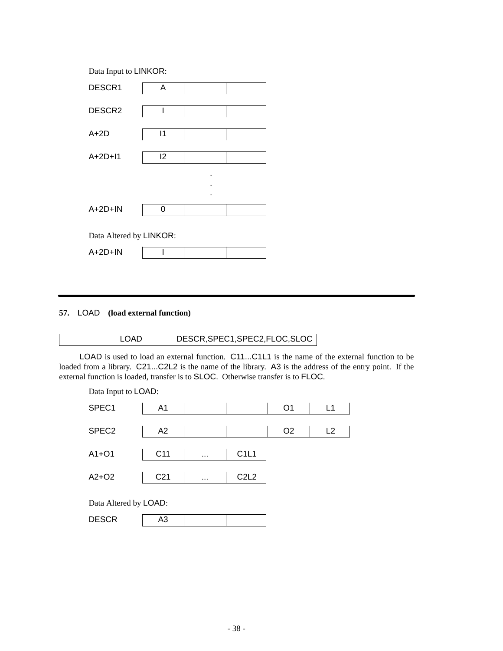Data Input to LINKOR:

| DESCR1                  | A            |  |
|-------------------------|--------------|--|
| DESCR2                  | I            |  |
| $A+2D$                  | $\mathsf{I}$ |  |
| $A+2D+11$               | 12           |  |
|                         |              |  |
|                         |              |  |
| $A+2D+IN$               | 0            |  |
| Data Altered by LINKOR: |              |  |
| $A+2D+IN$               |              |  |

## **57.** LOAD **(load external function)**

# LOAD DESCR, SPEC1, SPEC2, FLOC, SLOC

LOAD is used to load an external function. C11...C1L1 is the name of the external function to be loaded from a library. C21...C2L2 is the name of the library. A3 is the address of the entry point. If the external function is loaded, transfer is to SLOC. Otherwise transfer is to FLOC.

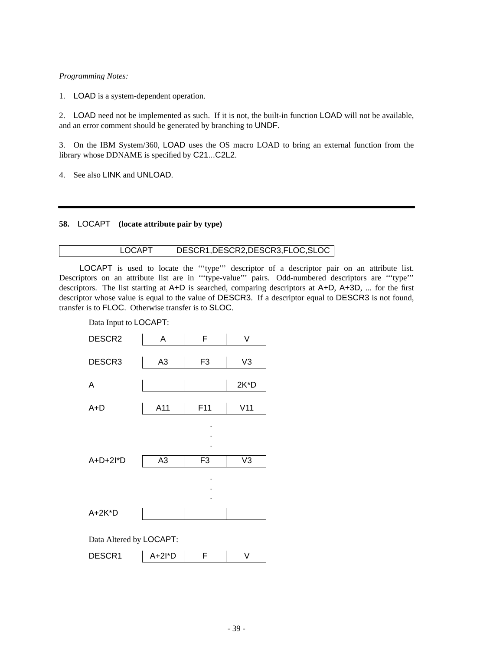1. LOAD is a system-dependent operation.

2. LOAD need not be implemented as such. If it is not, the built-in function LOAD will not be available, and an error comment should be generated by branching to UNDF.

3. On the IBM System/360, LOAD uses the OS macro LOAD to bring an external function from the library whose DDNAME is specified by C21...C2L2.

4. See also LINK and UNLOAD.

## **58.** LOCAPT **(locate attribute pair by type)**

## LOCAPT DESCR1,DESCR2,DESCR3,FLOC,SLOC

LOCAPT is used to locate the '''type''' descriptor of a descriptor pair on an attribute list. Descriptors on an attribute list are in '''type-value''' pairs. Odd-numbered descriptors are '''type''' descriptors. The list starting at A+D is searched, comparing descriptors at A+D, A+3D, ... for the first descriptor whose value is equal to the value of DESCR3. If a descriptor equal to DESCR3 is not found, transfer is to FLOC. Otherwise transfer is to SLOC.

| Data Input to LOCAPT:   |                |                |                |  |
|-------------------------|----------------|----------------|----------------|--|
| DESCR <sub>2</sub>      | Α              | F              | V              |  |
|                         |                |                |                |  |
| DESCR <sub>3</sub>      | A <sub>3</sub> | F <sub>3</sub> | V <sub>3</sub> |  |
|                         |                |                |                |  |
| A                       |                |                | $2K^*D$        |  |
| $A+D$                   | A11            | F11            | V11            |  |
|                         |                |                |                |  |
|                         |                |                |                |  |
|                         |                |                |                |  |
|                         |                |                |                |  |
| $A+D+2I^*D$             | A <sub>3</sub> | F <sub>3</sub> | V <sub>3</sub> |  |
|                         |                |                |                |  |
|                         |                |                |                |  |
|                         |                |                |                |  |
| $A+2K^*D$               |                |                |                |  |
|                         |                |                |                |  |
| Data Altered by LOCAPT: |                |                |                |  |
| DESCR1                  | $A+2I^*D$      | F              | V              |  |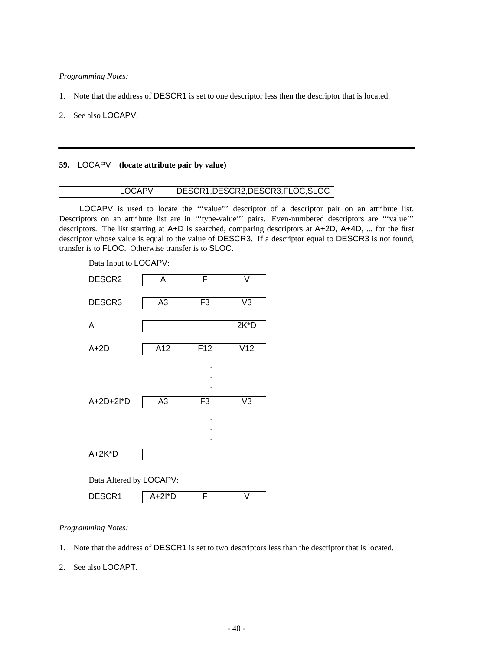- 1. Note that the address of DESCR1 is set to one descriptor less then the descriptor that is located.
- 2. See also LOCAPV.

#### **59.** LOCAPV **(locate attribute pair by value)**

## LOCAPV DESCR1,DESCR2,DESCR3,FLOC,SLOC

LOCAPV is used to locate the "'value'" descriptor of a descriptor pair on an attribute list. Descriptors on an attribute list are in '''type-value''' pairs. Even-numbered descriptors are '''value''' descriptors. The list starting at A+D is searched, comparing descriptors at A+2D, A+4D, ... for the first descriptor whose value is equal to the value of DESCR3. If a descriptor equal to DESCR3 is not found, transfer is to FLOC. Otherwise transfer is to SLOC.



*Programming Notes:*

1. Note that the address of DESCR1 is set to two descriptors less than the descriptor that is located.

2. See also LOCAPT.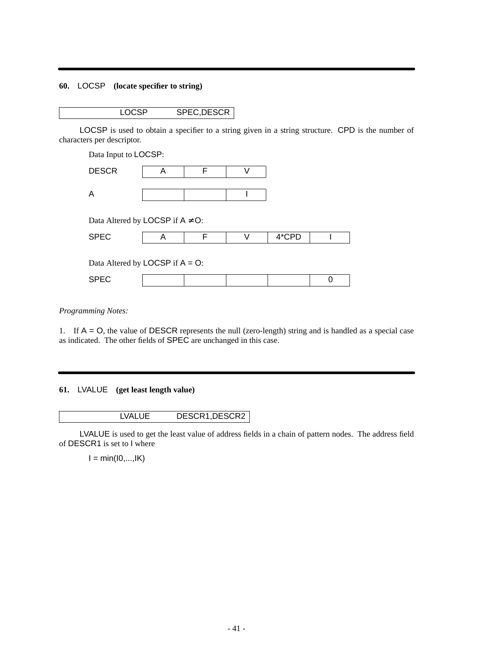# **60.** LOCSP **(locate specifier to string)**

LOCSP SPEC,DESCR

LOCSP is used to obtain a specifier to a string given in a string structure. CPD is the number of characters per descriptor.

Data Input to LOCSP: DESCR | A | F | V  $\mathsf A$  I I I

Data Altered by LOCSP if  $A \neq O$ :

| $\sim$<br>ບ<br>- |  |  |  |
|------------------|--|--|--|

Data Altered by  $LOGSP$  if  $A = O$ :

*Programming Notes:*

1. If  $A = O$ , the value of DESCR represents the null (zero-length) string and is handled as a special case as indicated. The other fields of SPEC are unchanged in this case.

**61.** LVALUE **(get least length value)**

LVALUE DESCR1,DESCR2

LVALUE is used to get the least value of address fields in a chain of pattern nodes. The address field of DESCR1 is set to I where

 $I = min(10,...,IK)$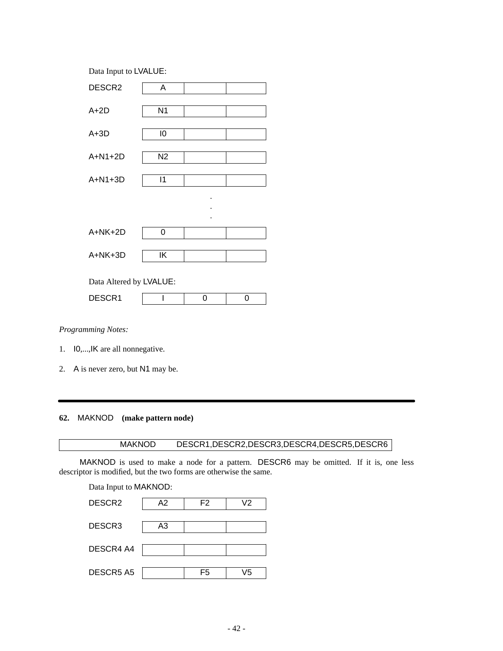Data Input to LVALUE: DESCR2 | A A+2D N1  $A+3D$   $\boxed{10}$ A+N1+2D | N2 A+N1+3D 11 . . .  $A+NK+2D$  0  $A+NK+3D$  | IK Data Altered by LVALUE: DESCR1 1 0 0

## *Programming Notes:*

- 1. I0,...,IK are all nonnegative.
- 2. A is never zero, but N1 may be.

# **62.** MAKNOD **(make pattern node)**

# MAKNOD DESCR1,DESCR2,DESCR3,DESCR4,DESCR5,DESCR6

MAKNOD is used to make a node for a pattern. DESCR6 may be omitted. If it is, one less descriptor is modified, but the two forms are otherwise the same.

Data Input to MAKNOD: DESCR2 A2 F2 V2 DESCR3 A3 DESCR4 A4 DESCR5 A5 | F5 | V5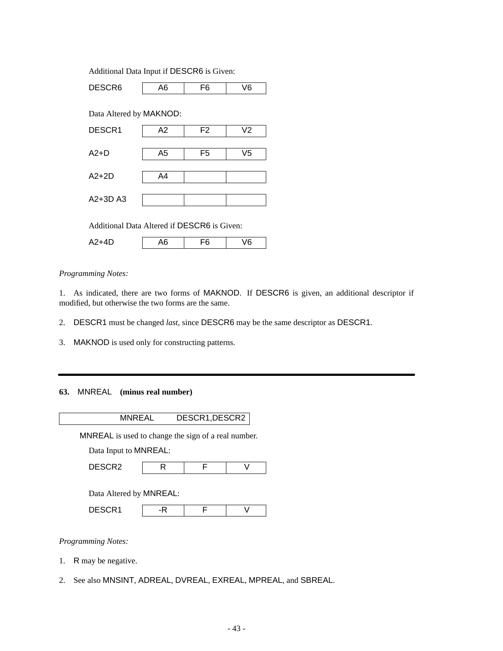Additional Data Input if DESCR6 is Given:

DESCR6 | A6 | F6 | V6 Data Altered by MAKNOD: DESCR1 | A2 | F2 | V2 A2+D | A5 | F5 | V5 A2+2D A4 A2+3D A3 Additional Data Altered if DESCR6 is Given:

A2+4D | A6 | F6 | V6

## *Programming Notes:*

1. As indicated, there are two forms of MAKNOD. If DESCR6 is given, an additional descriptor if modified, but otherwise the two forms are the same.

2. DESCR1 must be changed *last*, since DESCR6 may be the same descriptor as DESCR1.

3. MAKNOD is used only for constructing patterns.

## **63.** MNREAL **(minus real number)**

MNREAL DESCR1,DESCR2

MNREAL is used to change the sign of a real number.

Data Input to MNREAL:

Data Altered by MNREAL:

| - - - - -<br>n,<br>----- |  |  |
|--------------------------|--|--|
|                          |  |  |

*Programming Notes:*

- 1. R may be negative.
- 2. See also MNSINT, ADREAL, DVREAL, EXREAL, MPREAL, and SBREAL.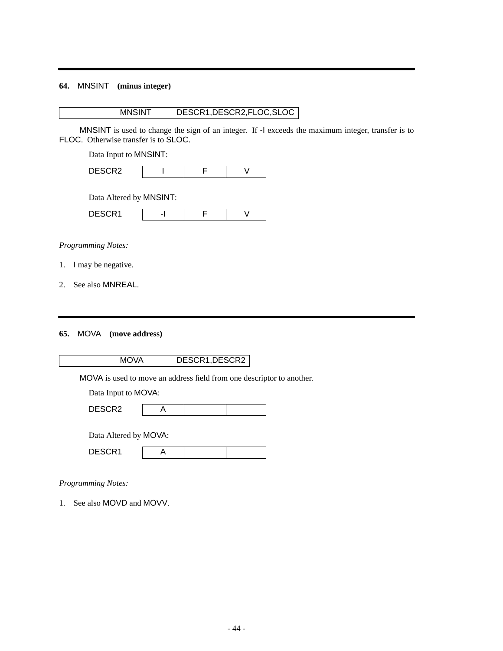# **64.** MNSINT **(minus integer)**

# MNSINT DESCR1,DESCR2,FLOC,SLOC

MNSINT is used to change the sign of an integer. If -I exceeds the maximum integer, transfer is to FLOC. Otherwise transfer is to SLOC.

Data Input to MNSINT:

| DESCR2 |  |  |
|--------|--|--|
|        |  |  |

Data Altered by MNSINT:

| <b>DECOD</b><br>ย⊑จ∪ห เ |  |  |
|-------------------------|--|--|

## *Programming Notes:*

- 1. I may be negative.
- 2. See also MNREAL.

#### **65.** MOVA **(move address)**

| MOVA | DESCR1, DESCR2 |
|------|----------------|
|------|----------------|

MOVA is used to move an address field from one descriptor to another.

Data Input to MOVA:

|--|

| Data Altered by MOVA: |  |
|-----------------------|--|
|-----------------------|--|

| <b>DECODA</b><br>------ |  |  |
|-------------------------|--|--|
|                         |  |  |

*Programming Notes:*

1. See also MOVD and MOVV.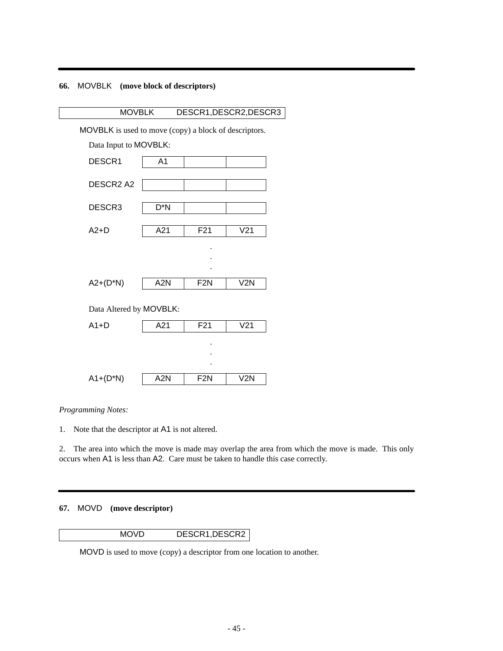# **66.** MOVBLK **(move block of descriptors)**



*Programming Notes:*

1. Note that the descriptor at A1 is not altered.

2. The area into which the move is made may overlap the area from which the move is made. This only occurs when A1 is less than A2. Care must be taken to handle this case correctly.

## **67.** MOVD **(move descriptor)**

MOVD DESCR1, DESCR2

MOVD is used to move (copy) a descriptor from one location to another.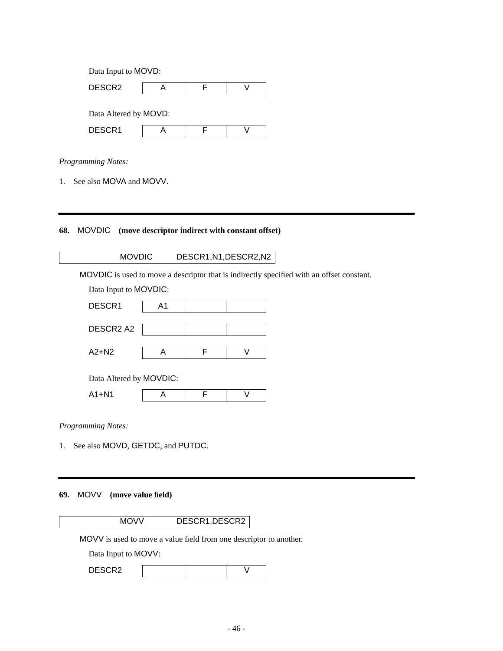| Data Input to MOVD:   |  |  |  |  |
|-----------------------|--|--|--|--|
| DESCR <sub>2</sub>    |  |  |  |  |
|                       |  |  |  |  |
| Data Altered by MOVD: |  |  |  |  |
| DESCR1                |  |  |  |  |

1. See also MOVA and MOVV.

# **68.** MOVDIC **(move descriptor indirect with constant offset)**

# MOVDIC DESCR1,N1,DESCR2,N2

MOVDIC is used to move a descriptor that is indirectly specified with an offset constant.

| Data Input to MOVDIC:   |    |  |   |  |
|-------------------------|----|--|---|--|
| DESCR1                  | A1 |  |   |  |
| DESCR2 A2               |    |  |   |  |
| $A2 + N2$               | Α  |  | v |  |
| Data Altered by MOVDIC: |    |  |   |  |
| $A1 + N1$               |    |  |   |  |

*Programming Notes:*

1. See also MOVD, GETDC, and PUTDC.

# **69.** MOVV **(move value field)**

MOVV DESCR1, DESCR2

MOVV is used to move a value field from one descriptor to another.

Data Input to MOVV:

| DESCR2 |  |  |  |
|--------|--|--|--|
|--------|--|--|--|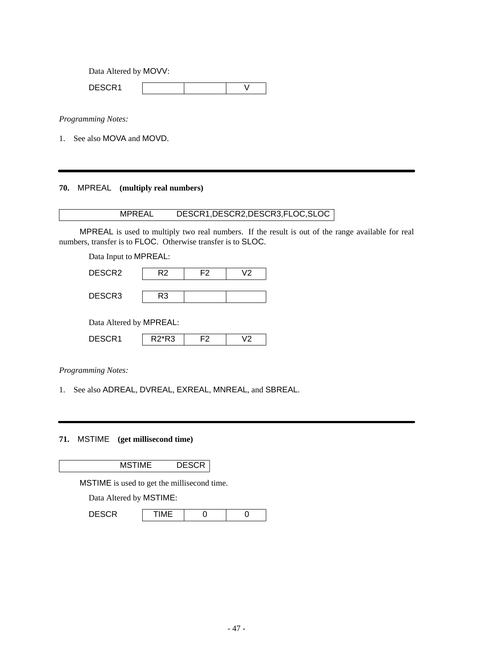Data Altered by MOVV:

DESCR1 V

*Programming Notes:*

1. See also MOVA and MOVD.

# **70.** MPREAL **(multiply real numbers)**

# MPREAL DESCR1,DESCR2,DESCR3,FLOC,SLOC

MPREAL is used to multiply two real numbers. If the result is out of the range available for real numbers, transfer is to FLOC. Otherwise transfer is to SLOC.

Data Input to MPREAL:

| DESCR2 | R2 | F2 | \/2 |
|--------|----|----|-----|
| DESCR3 | R3 |    |     |
|        |    |    |     |

Data Altered by MPREAL:

| DESCF<br>79UR 1 | מה*ה<br>ک. |  |
|-----------------|------------|--|

*Programming Notes:*

1. See also ADREAL, DVREAL, EXREAL, MNREAL, and SBREAL.

**71.** MSTIME **(get millisecond time)**

MSTIME DESCR

MSTIME is used to get the millisecond time.

Data Altered by MSTIME:

| <b>DESCR</b><br>IMI |  |
|---------------------|--|
|---------------------|--|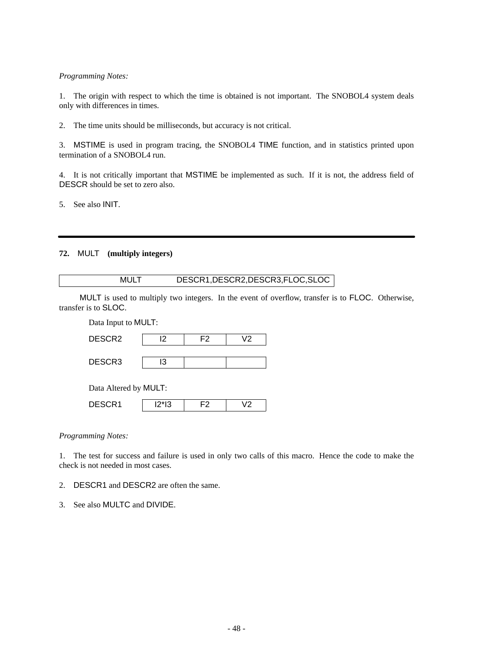1. The origin with respect to which the time is obtained is not important. The SNOBOL4 system deals only with differences in times.

2. The time units should be milliseconds, but accuracy is not critical.

3. MSTIME is used in program tracing, the SNOBOL4 TIME function, and in statistics printed upon termination of a SNOBOL4 run.

4. It is not critically important that MSTIME be implemented as such. If it is not, the address field of DESCR should be set to zero also.

5. See also INIT.

## **72.** MULT **(multiply integers)**

# MULT DESCR1,DESCR2,DESCR3,FLOC,SLOC

MULT is used to multiply two integers. In the event of overflow, transfer is to FLOC. Otherwise, transfer is to SLOC.

Data Input to MULT:

| DESCR <sub>2</sub>    | I2      | F2 | V2 |
|-----------------------|---------|----|----|
| DESCR3                | IЗ      |    |    |
| Data Altered by MULT: |         |    |    |
| DESCR1                | $12*13$ | F2 | V2 |

#### *Programming Notes:*

1. The test for success and failure is used in only two calls of this macro. Hence the code to make the check is not needed in most cases.

2. DESCR1 and DESCR2 are often the same.

3. See also MULTC and DIVIDE.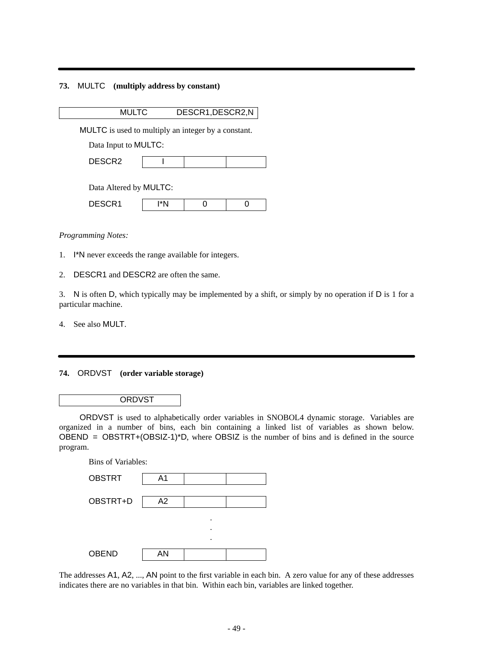## **73.** MULTC **(multiply address by constant)**

| DESCR1, DESCR2, N |
|-------------------|
|                   |

MULTC is used to multiply an integer by a constant.

Data Input to MULTC:

| <b>DECODO</b><br>אוטבים |  |  |  |
|-------------------------|--|--|--|
|-------------------------|--|--|--|

| Data Altered by MULTC: |
|------------------------|
|------------------------|

| $-0.001$<br>------ |  |  |
|--------------------|--|--|

*Programming Notes:*

- 1. I\*N never exceeds the range available for integers.
- 2. DESCR1 and DESCR2 are often the same.

3. N is often D, which typically may be implemented by a shift, or simply by no operation if D is 1 for a particular machine.

4. See also MULT.

## **74.** ORDVST **(order variable storage)**

#### **ORDVST**

ORDVST is used to alphabetically order variables in SNOBOL4 dynamic storage. Variables are organized in a number of bins, each bin containing a linked list of variables as shown below. OBEND =  $OBSTRT+(OBSIZ-1)^*D$ , where  $OBSIZ$  is the number of bins and is defined in the source program.

| <b>Bins of Variables:</b> |   |  |  |  |
|---------------------------|---|--|--|--|
| A <sub>1</sub>            |   |  |  |  |
|                           |   |  |  |  |
| A2                        |   |  |  |  |
|                           | ٠ |  |  |  |
|                           | ٠ |  |  |  |
|                           | ٠ |  |  |  |
| AN                        |   |  |  |  |
|                           |   |  |  |  |

The addresses A1, A2, ..., AN point to the first variable in each bin. A zero value for any of these addresses indicates there are no variables in that bin. Within each bin, variables are linked together.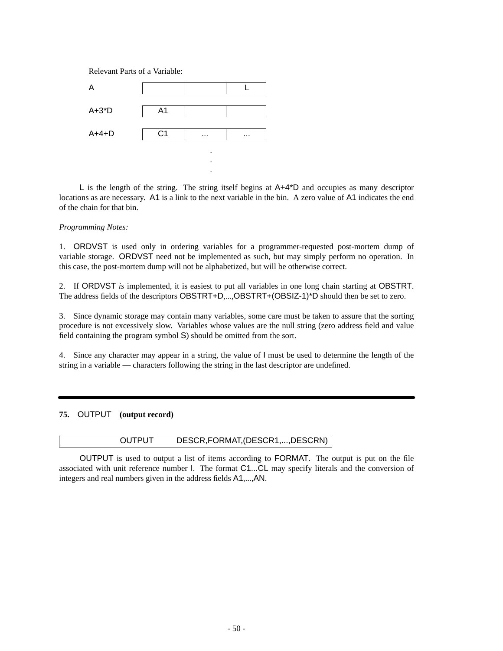Relevant Parts of a Variable:



L is the length of the string. The string itself begins at A+4\*D and occupies as many descriptor locations as are necessary. A1 is a link to the next variable in the bin. A zero value of A1 indicates the end of the chain for that bin.

#### *Programming Notes:*

1. ORDVST is used only in ordering variables for a programmer-requested post-mortem dump of variable storage. ORDVST need not be implemented as such, but may simply perform no operation. In this case, the post-mortem dump will not be alphabetized, but will be otherwise correct.

2. If ORDVST *is* implemented, it is easiest to put all variables in one long chain starting at OBSTRT. The address fields of the descriptors OBSTRT+D,...,OBSTRT+(OBSIZ-1)\*D should then be set to zero.

3. Since dynamic storage may contain many variables, some care must be taken to assure that the sorting procedure is not excessively slow. Variables whose values are the null string (zero address field and value field containing the program symbol S) should be omitted from the sort.

4. Since any character may appear in a string, the value of I must be used to determine the length of the string in a variable — characters following the string in the last descriptor are undefined.

## **75.** OUTPUT **(output record)**

## OUTPUT DESCR,FORMAT,(DESCR1,...,DESCRN)

OUTPUT is used to output a list of items according to FORMAT. The output is put on the file associated with unit reference number I. The format C1...CL may specify literals and the conversion of integers and real numbers given in the address fields A1,...,AN.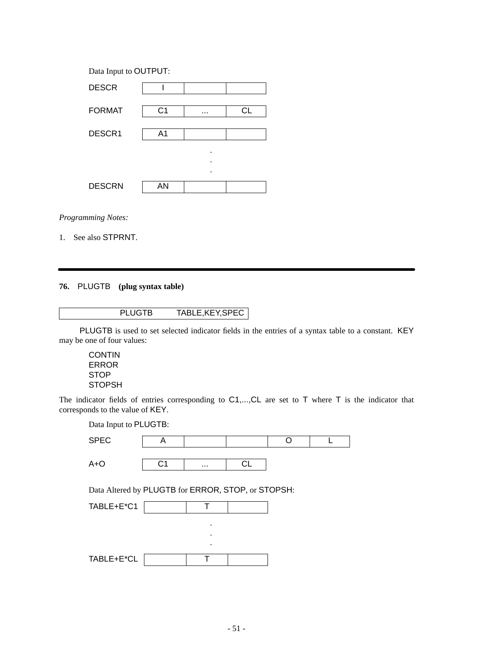| Data Input to OUTPUT: |    |   |    |  |
|-----------------------|----|---|----|--|
| <b>DESCR</b>          |    |   |    |  |
|                       |    |   |    |  |
| <b>FORMAT</b>         | C1 |   | СL |  |
| DESCR1                | A1 |   |    |  |
|                       |    | ٠ |    |  |
|                       |    | ٠ |    |  |
|                       |    | ٠ |    |  |
| <b>DESCRN</b>         | AN |   |    |  |

1. See also STPRNT.

# **76.** PLUGTB **(plug syntax table)**

PLUGTB is used to set selected indicator fields in the entries of a syntax table to a constant. KEY may be one of four values:

**CONTIN** ERROR STOP **STOPSH** 

The indicator fields of entries corresponding to C1,..., CL are set to T where T is the indicator that corresponds to the value of KEY.

Data Input to PLUGTB:

| <b>SPEC</b> |    |          |  |  |
|-------------|----|----------|--|--|
| A+O         | ৲◢ | $\cdots$ |  |  |

Data Altered by PLUGTB for ERROR, STOP, or STOPSH:

| TABLE+E*C1 |   |  |
|------------|---|--|
|            |   |  |
|            | ٠ |  |
|            |   |  |
| TABLE+E*CL |   |  |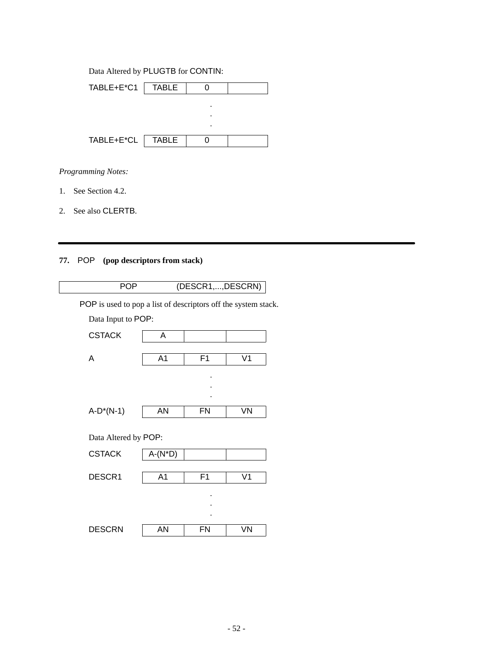# Data Altered by PLUGTB for CONTIN:

| TABLE+E*C1 | TABLE        |   |  |
|------------|--------------|---|--|
|            |              | ٠ |  |
|            |              | ٠ |  |
|            |              |   |  |
| TABLE+E*CL | <b>TABLE</b> |   |  |

*Programming Notes:*

- 1. See Section 4.2.
- 2. See also CLERTB.

# **77.** POP **(pop descriptors from stack)**

| <b>POP</b>                                                     |                | (DESCR1,, DESCRN) |                |  |
|----------------------------------------------------------------|----------------|-------------------|----------------|--|
| POP is used to pop a list of descriptors off the system stack. |                |                   |                |  |
| Data Input to POP:                                             |                |                   |                |  |
| <b>CSTACK</b>                                                  | A              |                   |                |  |
| A                                                              | A <sub>1</sub> | F1                | V <sub>1</sub> |  |
|                                                                |                |                   |                |  |
|                                                                |                |                   |                |  |
| $A-D^*(N-1)$                                                   | AN             | FN                | VN             |  |
| Data Altered by POP:                                           |                |                   |                |  |
| <b>CSTACK</b>                                                  | $A-(N^*D)$     |                   |                |  |
| DESCR1                                                         | A <sub>1</sub> | F <sub>1</sub>    | V <sub>1</sub> |  |
|                                                                |                |                   |                |  |
|                                                                |                |                   |                |  |
| <b>DESCRN</b>                                                  | AN             | <b>FN</b>         | VN             |  |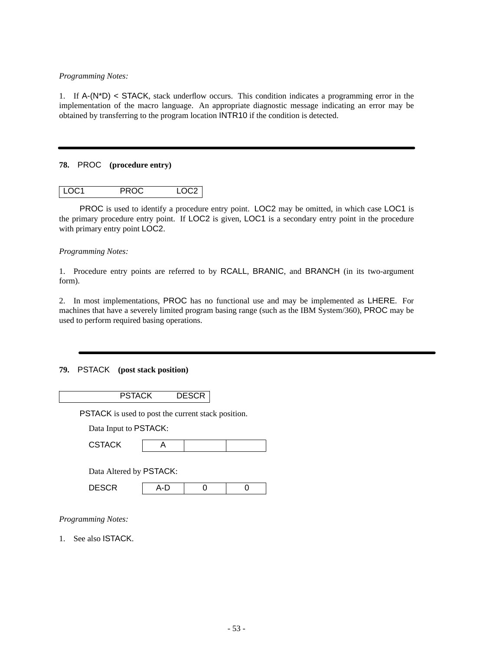1. If  $A-(N^*D) <$  STACK, stack underflow occurs. This condition indicates a programming error in the implementation of the macro language. An appropriate diagnostic message indicating an error may be obtained by transferring to the program location INTR10 if the condition is detected.

## **78.** PROC **(procedure entry)**

| $ $ LOC1<br><b>PROC</b> | LOC <sub>2</sub> |
|-------------------------|------------------|
|-------------------------|------------------|

PROC is used to identify a procedure entry point. LOC2 may be omitted, in which case LOC1 is the primary procedure entry point. If LOC2 is given, LOC1 is a secondary entry point in the procedure with primary entry point LOC2.

## *Programming Notes:*

1. Procedure entry points are referred to by RCALL, BRANIC, and BRANCH (in its two-argument form).

2. In most implementations, PROC has no functional use and may be implemented as LHERE. For machines that have a severely limited program basing range (such as the IBM System/360), PROC may be used to perform required basing operations.

## **79.** PSTACK **(post stack position)**

| <b>PSTACK</b>                                             |   | <b>DESCR</b> |  |
|-----------------------------------------------------------|---|--------------|--|
| <b>PSTACK</b> is used to post the current stack position. |   |              |  |
| Data Input to PSTACK:                                     |   |              |  |
| <b>CSTACK</b>                                             | A |              |  |
| Data Altered by PSTACK:                                   |   |              |  |

| . .<br>r<br>----- |  |  |
|-------------------|--|--|
|                   |  |  |

*Programming Notes:*

1. See also ISTACK.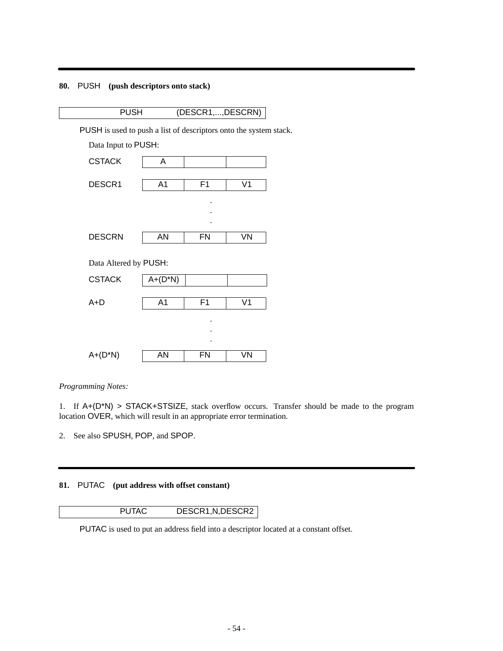# **80.** PUSH **(push descriptors onto stack)**

| <b>PUSH</b>         | (DESCR1, , DESCRN)                                                       |
|---------------------|--------------------------------------------------------------------------|
|                     | <b>PUSH</b> is used to push a list of descriptors onto the system stack. |
| Data Input to PUSH: |                                                                          |

| <b>CSTACK</b>         | Α              |           |                |
|-----------------------|----------------|-----------|----------------|
| DESCR1                | A <sub>1</sub> | F1        | V <sub>1</sub> |
|                       |                | ٠         |                |
|                       |                |           |                |
| <b>DESCRN</b>         | AN             | FN        | VN             |
|                       |                |           |                |
| Data Altered by PUSH: |                |           |                |
| <b>CSTACK</b>         | $A + (D^*N)$   |           |                |
| $A+D$                 | A <sub>1</sub> | F1        | V <sub>1</sub> |
|                       |                |           |                |
|                       |                |           |                |
|                       |                |           |                |
| $A+(D^*N)$            | AN             | <b>FN</b> | VN             |

*Programming Notes:*

1. If A+(D\*N) > STACK+STSIZE, stack overflow occurs. Transfer should be made to the program location OVER, which will result in an appropriate error termination.

2. See also SPUSH, POP, and SPOP.

# **81.** PUTAC **(put address with offset constant)**

# PUTAC DESCR1,N,DESCR2

PUTAC is used to put an address field into a descriptor located at a constant offset.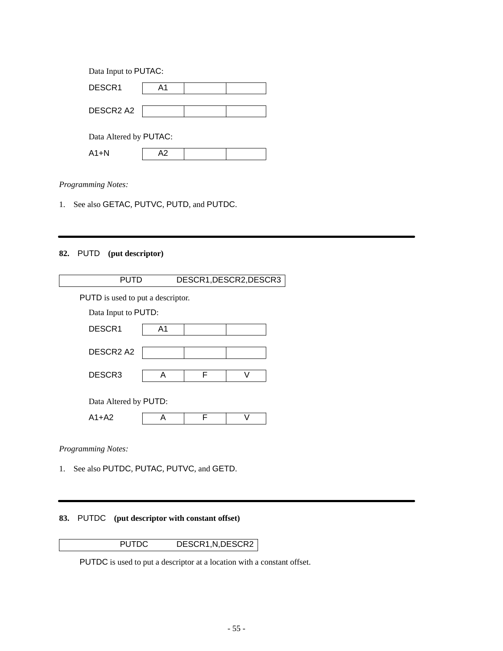| Data Input to PUTAC:   |    |  |
|------------------------|----|--|
| DESCR1                 | A1 |  |
| DESCR2 A2              |    |  |
| Data Altered by PUTAC: |    |  |
| A1+N                   |    |  |

1. See also GETAC, PUTVC, PUTD, and PUTDC.

# **82.** PUTD **(put descriptor)**

| PUTD                              |                |   | DESCR1, DESCR2, DESCR3 |
|-----------------------------------|----------------|---|------------------------|
| PUTD is used to put a descriptor. |                |   |                        |
| Data Input to PUTD:               |                |   |                        |
| DESCR <sub>1</sub>                | A <sub>1</sub> |   |                        |
| DESCR <sub>2</sub> A <sub>2</sub> |                |   |                        |
| DESCR <sub>3</sub>                | A              | F |                        |
| Data Altered by PUTD:             |                |   |                        |
| $A1+A2$                           | А              |   |                        |
|                                   |                |   |                        |

*Programming Notes:*

1. See also PUTDC, PUTAC, PUTVC, and GETD.

# **83.** PUTDC **(put descriptor with constant offset)**

# PUTDC DESCR1, N, DESCR2

PUTDC is used to put a descriptor at a location with a constant offset.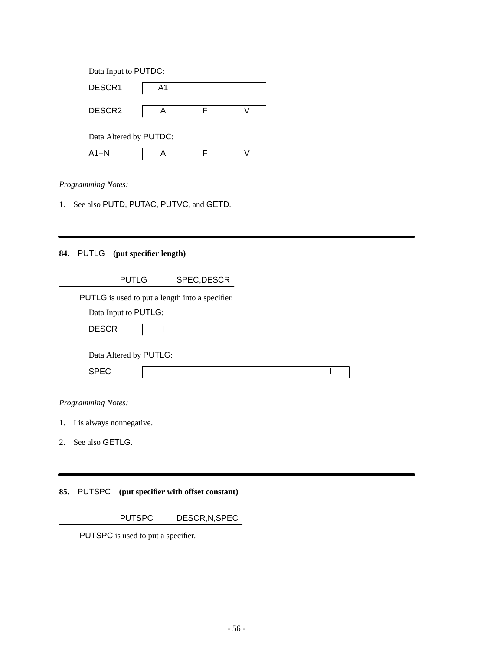| Data Input to PUTDC:   |    |  |
|------------------------|----|--|
| DESCR1                 | A1 |  |
|                        |    |  |
| DESCR <sub>2</sub>     |    |  |
| Data Altered by PUTDC: |    |  |
| $A1+N$                 |    |  |
|                        |    |  |

1. See also PUTD, PUTAC, PUTVC, and GETD.

# **84.** PUTLG **(put specifier length)**

|                                | <b>PUTLG</b>                                    | SPEC, DESCR |  |  |
|--------------------------------|-------------------------------------------------|-------------|--|--|
|                                | PUTLG is used to put a length into a specifier. |             |  |  |
|                                | Data Input to PUTLG:                            |             |  |  |
| <b>DESCR</b>                   |                                                 |             |  |  |
|                                |                                                 |             |  |  |
|                                | Data Altered by PUTLG:                          |             |  |  |
| <b>SPEC</b>                    |                                                 |             |  |  |
|                                |                                                 |             |  |  |
| <b>Programming Notes:</b>      |                                                 |             |  |  |
| I is always nonnegative.<br>1. |                                                 |             |  |  |

2. See also GETLG.

# **85.** PUTSPC **(put specifier with offset constant)**

PUTSPC DESCR,N,SPEC

PUTSPC is used to put a specifier.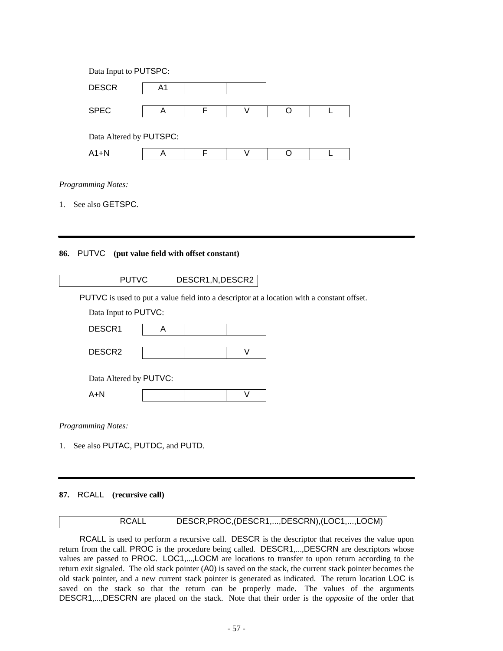| Data Input to PUTSPC:   |    |   |   |  |
|-------------------------|----|---|---|--|
| <b>DESCR</b>            | A1 |   |   |  |
|                         |    |   |   |  |
| <b>SPEC</b>             | Α  | F | V |  |
|                         |    |   |   |  |
| Data Altered by PUTSPC: |    |   |   |  |
| $A1+N$                  | А  | F |   |  |
|                         |    |   |   |  |

1. See also GETSPC.

## **86.** PUTVC **(put value field with offset constant)**

| <b>PUTVC</b>                                   |   | DESCR1, N, DESCR2 |   |                                                                                            |
|------------------------------------------------|---|-------------------|---|--------------------------------------------------------------------------------------------|
|                                                |   |                   |   | PUTVC is used to put a value field into a descriptor at a location with a constant offset. |
| Data Input to PUTVC:                           |   |                   |   |                                                                                            |
| DESCR1                                         | A |                   |   |                                                                                            |
| DESCR <sub>2</sub>                             |   |                   | V |                                                                                            |
| Data Altered by PUTVC:                         |   |                   |   |                                                                                            |
| $A+N$                                          |   |                   |   |                                                                                            |
| $D_{\text{max}}$ = $\ldots$ = $M_{\text{max}}$ |   |                   |   |                                                                                            |

*Programming Notes:*

1. See also PUTAC, PUTDC, and PUTD.

## **87.** RCALL **(recursive call)**

# RCALL DESCR,PROC,(DESCR1,...,DESCRN),(LOC1,...,LOCM)

RCALL is used to perform a recursive call. DESCR is the descriptor that receives the value upon return from the call. PROC is the procedure being called. DESCR1,...,DESCRN are descriptors whose values are passed to PROC. LOC1,...,LOCM are locations to transfer to upon return according to the return exit signaled. The old stack pointer (A0) is saved on the stack, the current stack pointer becomes the old stack pointer, and a new current stack pointer is generated as indicated. The return location LOC is saved on the stack so that the return can be properly made. The values of the arguments DESCR1,...,DESCRN are placed on the stack. Note that their order is the *opposite* of the order that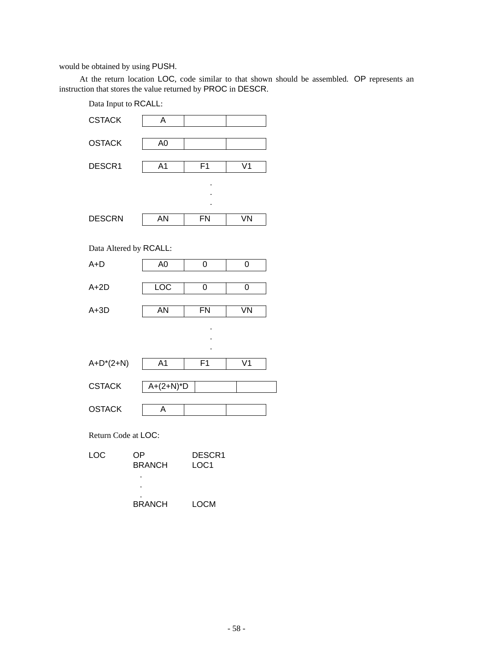would be obtained by using PUSH.

At the return location LOC, code similar to that shown should be assembled. OP represents an instruction that stores the value returned by PROC in DESCR.

| Data Input to RCALL: |                        |                |                |  |  |  |
|----------------------|------------------------|----------------|----------------|--|--|--|
| <b>CSTACK</b>        | A                      |                |                |  |  |  |
| <b>OSTACK</b>        | A <sub>0</sub>         |                |                |  |  |  |
| DESCR1               | A <sub>1</sub>         | F <sub>1</sub> | $\overline{V}$ |  |  |  |
|                      |                        |                |                |  |  |  |
|                      |                        |                |                |  |  |  |
| <b>DESCRN</b>        | <b>AN</b>              | <b>FN</b>      | VN             |  |  |  |
|                      | Data Altered by RCALL: |                |                |  |  |  |
|                      |                        |                |                |  |  |  |
| $A+D$                | A <sub>0</sub>         | 0              | 0              |  |  |  |
| $A+2D$               | LOC                    | 0              | 0              |  |  |  |
|                      |                        |                |                |  |  |  |
| $A + 3D$             | AN                     | <b>FN</b>      | VN             |  |  |  |
|                      |                        |                |                |  |  |  |
|                      |                        |                |                |  |  |  |
|                      |                        |                |                |  |  |  |
| $A + D^{*}(2+N)$     | A <sub>1</sub>         | F <sub>1</sub> | V <sub>1</sub> |  |  |  |
| <b>CSTACK</b>        | $A+(2+N)*D$            |                |                |  |  |  |
|                      |                        |                |                |  |  |  |
| <b>OSTACK</b>        | A                      |                |                |  |  |  |
| Return Code at LOC:  |                        |                |                |  |  |  |
| LOC                  | OP                     | DESCR1         |                |  |  |  |
|                      | <b>BRANCH</b>          | LOC1           |                |  |  |  |
|                      |                        |                |                |  |  |  |
|                      |                        |                |                |  |  |  |
|                      |                        |                |                |  |  |  |

| <b>BRANCH</b> | <b>LOCM</b> |
|---------------|-------------|
|---------------|-------------|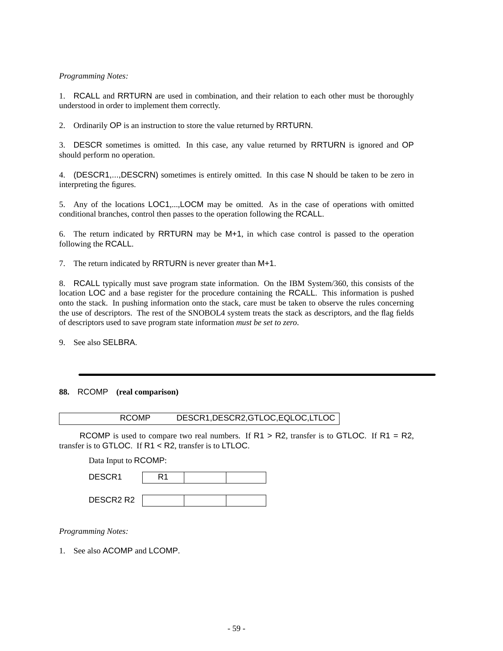1. RCALL and RRTURN are used in combination, and their relation to each other must be thoroughly understood in order to implement them correctly.

2. Ordinarily OP is an instruction to store the value returned by RRTURN.

3. DESCR sometimes is omitted. In this case, any value returned by RRTURN is ignored and OP should perform no operation.

4. (DESCR1,...,DESCRN) sometimes is entirely omitted. In this case N should be taken to be zero in interpreting the figures.

5. Any of the locations LOC1,...,LOCM may be omitted. As in the case of operations with omitted conditional branches, control then passes to the operation following the RCALL.

6. The return indicated by RRTURN may be M+1, in which case control is passed to the operation following the RCALL.

7. The return indicated by RRTURN is never greater than M+1.

8. RCALL typically must save program state information. On the IBM System/360, this consists of the location LOC and a base register for the procedure containing the RCALL. This information is pushed onto the stack. In pushing information onto the stack, care must be taken to observe the rules concerning the use of descriptors. The rest of the SNOBOL4 system treats the stack as descriptors, and the flag fields of descriptors used to save program state information *must be set to zero*.

9. See also SELBRA.

## **88.** RCOMP **(real comparison)**

| <b>RCOMP</b> | DESCR1, DESCR2, GTLOC, EQLOC, LTLOC |
|--------------|-------------------------------------|
|--------------|-------------------------------------|

RCOMP is used to compare two real numbers. If  $R1 > R2$ , transfer is to GTLOC. If  $R1 = R2$ , transfer is to GTLOC. If R1 < R2, transfer is to LTLOC.

Data Input to RCOMP:

| DESCR1    | ر د |  |
|-----------|-----|--|
|           |     |  |
| DESCR2 R2 |     |  |

*Programming Notes:*

1. See also ACOMP and LCOMP.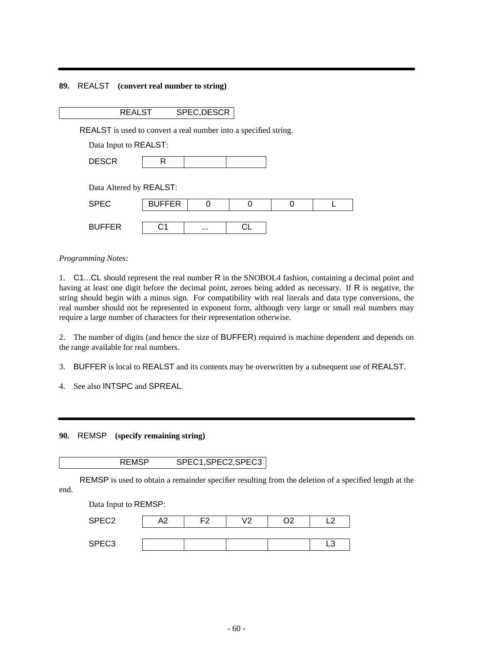## **89.** REALST **(convert real number to string)**

| -- |  |
|----|--|
|    |  |

REALST is used to convert a real number into a specified string.

Data Input to REALST:

| $-0.0m$<br>n,<br>----- |  |  |  |
|------------------------|--|--|--|
|------------------------|--|--|--|

Data Altered by REALST:

| <b>SPEC</b>   | <b>BUFFER</b> |          |  |  |
|---------------|---------------|----------|--|--|
| <b>BUFFER</b> | ۰,            | $\cdots$ |  |  |

*Programming Notes:*

1. C1...CL should represent the real number R in the SNOBOL4 fashion, containing a decimal point and having at least one digit before the decimal point, zeroes being added as necessary. If R is negative, the string should begin with a minus sign. For compatibility with real literals and data type conversions, the real number should not be represented in exponent form, although very large or small real numbers may require a large number of characters for their representation otherwise.

2. The number of digits (and hence the size of BUFFER) required is machine dependent and depends on the range available for real numbers.

3. BUFFER is local to REALST and its contents may be overwritten by a subsequent use of REALST.

4. See also INTSPC and SPREAL.

**90.** REMSP **(specify remaining string)**

| <b>REMSP</b> | SPEC1, SPEC2, SPEC3 |
|--------------|---------------------|
|--------------|---------------------|

REMSP is used to obtain a remainder specifier resulting from the deletion of a specified length at the end.

Data Input to REMSP: SPEC2 | A2 | F2 | V2 | O2 | L2 SPEC3 | | | | | | | | L3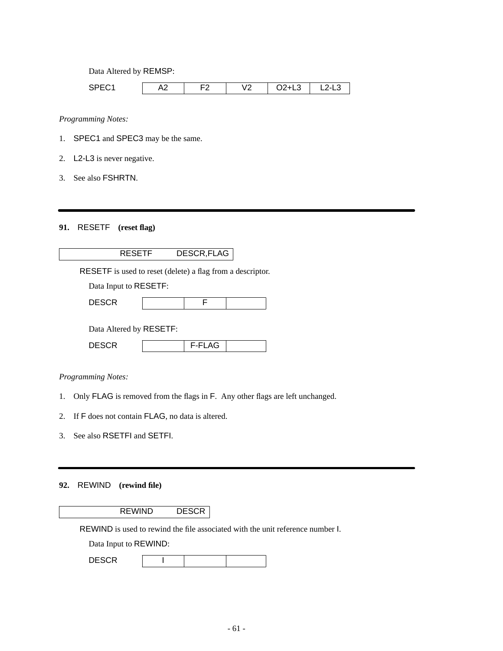Data Altered by REMSP:

| ---<br>. . | ∼<br>$-$ | $\sim$ $\sim$ | $\sqrt{2}$<br>$\cdot$ $\sim$ | –∽<br>$-$<br>$\sim$ | $-$ |
|------------|----------|---------------|------------------------------|---------------------|-----|

*Programming Notes:*

- 1. SPEC1 and SPEC3 may be the same.
- 2. L2-L3 is never negative.
- 3. See also FSHRTN.

# **91.** RESETF **(reset flag)**

# RESETF DESCR,FLAG

RESETF is used to reset (delete) a flag from a descriptor.

Data Input to RESETF:

| <b>DESCR</b> |  |  |
|--------------|--|--|
|              |  |  |

Data Altered by RESETF:

| $\sim$ $\sim$<br>E.<br>----- | $- \cdot -$ |  |
|------------------------------|-------------|--|
|                              |             |  |

*Programming Notes:*

- 1. Only FLAG is removed from the flags in F. Any other flags are left unchanged.
- 2. If F does not contain FLAG, no data is altered.
- 3. See also RSETFI and SETFI.

# **92.** REWIND **(rewind file)**

REWIND DESCR

REWIND is used to rewind the file associated with the unit reference number I.

Data Input to REWIND:

| <b>DESCR</b> |  |  |  |
|--------------|--|--|--|
|--------------|--|--|--|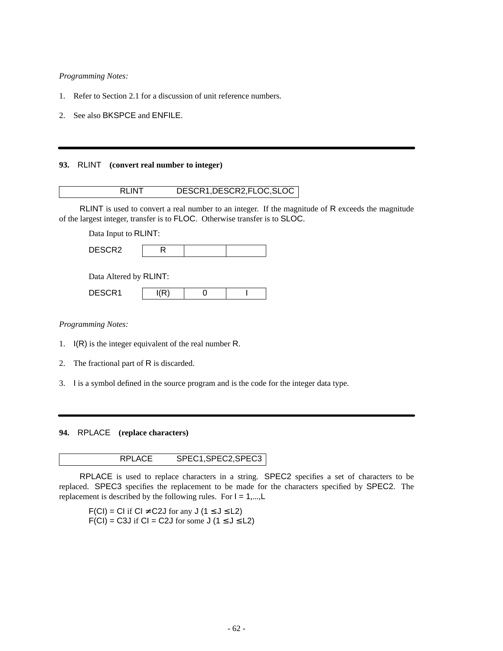- 1. Refer to Section 2.1 for a discussion of unit reference numbers.
- 2. See also BKSPCE and ENFILE.

#### **93.** RLINT **(convert real number to integer)**

RLINT is used to convert a real number to an integer. If the magnitude of R exceeds the magnitude of the largest integer, transfer is to FLOC. Otherwise transfer is to SLOC.

Data Input to RLINT:

| DECODO<br>--- |  |  |
|---------------|--|--|
|               |  |  |

| Data Altered by RLINT: |  |
|------------------------|--|
|------------------------|--|

| <b>DECOD</b> |  |  |
|--------------|--|--|
|              |  |  |

*Programming Notes:*

- 1. I(R) is the integer equivalent of the real number R.
- 2. The fractional part of R is discarded.
- 3. I is a symbol defined in the source program and is the code for the integer data type.

**94.** RPLACE **(replace characters)**

RPLACE SPEC1,SPEC2,SPEC3

RPLACE is used to replace characters in a string. SPEC2 specifies a set of characters to be replaced. SPEC3 specifies the replacement to be made for the characters specified by SPEC2. The replacement is described by the following rules. For  $I = 1,...,L$ 

 $F(Cl) = CI$  if  $Cl \neq C2J$  for any  $J(1 \leq J \leq L2)$  $F(Cl) = C3J$  if  $Cl = C2J$  for some  $J(1 \le J \le L2)$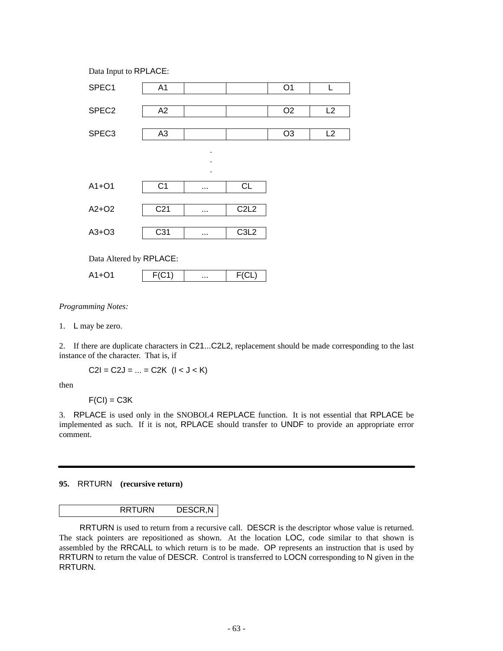

1. L may be zero.

2. If there are duplicate characters in C21...C2L2, replacement should be made corresponding to the last instance of the character. That is, if

 $C2I = C2J = ... = C2K$   $(I < J < K)$ 

then

 $F(Cl) = C3K$ 

3. RPLACE is used only in the SNOBOL4 REPLACE function. It is not essential that RPLACE be implemented as such. If it is not, RPLACE should transfer to UNDF to provide an appropriate error comment.

## **95.** RRTURN **(recursive return)**

# RRTURN DESCR,N

RRTURN is used to return from a recursive call. DESCR is the descriptor whose value is returned. The stack pointers are repositioned as shown. At the location LOC, code similar to that shown is assembled by the RRCALL to which return is to be made. OP represents an instruction that is used by RRTURN to return the value of DESCR. Control is transferred to LOCN corresponding to N given in the RRTURN.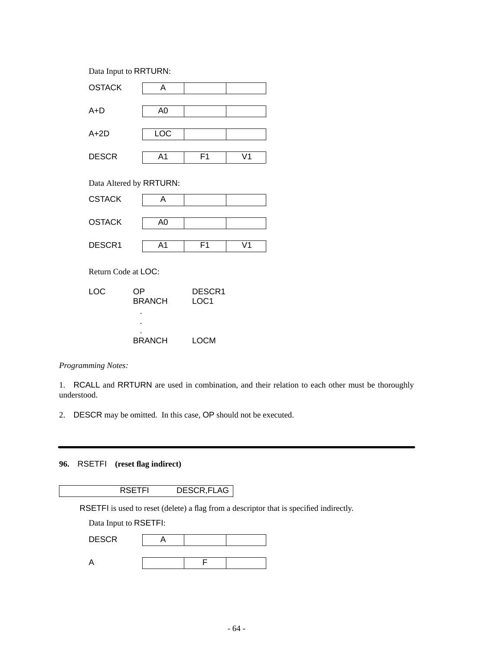Data Input to RRTURN:



. . BRANCH LOCM

*Programming Notes:*

1. RCALL and RRTURN are used in combination, and their relation to each other must be thoroughly understood.

2. DESCR may be omitted. In this case, OP should not be executed.

**96.** RSETFI **(reset flag indirect)**

RSETFI DESCR,FLAG

RSETFI is used to reset (delete) a flag from a descriptor that is specified indirectly.

Data Input to RSETFI:

| <b>DESCR</b> |  |  |
|--------------|--|--|
|              |  |  |
|              |  |  |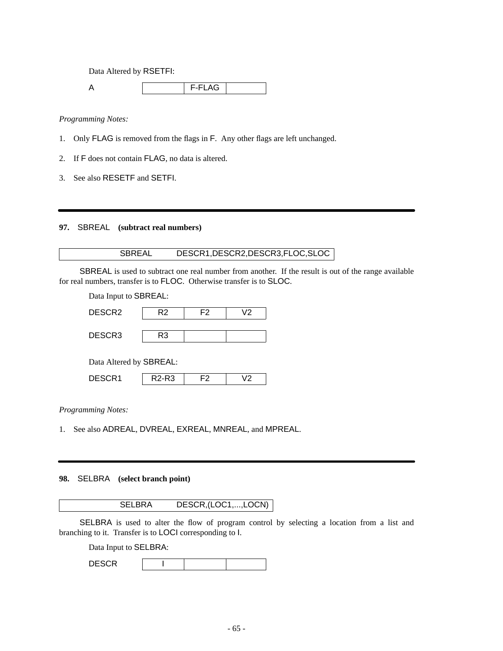Data Altered by RSETFI:

A F-FLAG

*Programming Notes:*

- 1. Only FLAG is removed from the flags in F. Any other flags are left unchanged.
- 2. If F does not contain FLAG, no data is altered.
- 3. See also RESETF and SETFI.

**97.** SBREAL **(subtract real numbers)**

# SBREAL DESCR1,DESCR2,DESCR3,FLOC,SLOC

SBREAL is used to subtract one real number from another. If the result is out of the range available for real numbers, transfer is to FLOC. Otherwise transfer is to SLOC.

| Data Input to SBREAL:   |                                |    |    |  |
|-------------------------|--------------------------------|----|----|--|
| DESCR2                  | R2                             | F2 | V2 |  |
|                         |                                |    |    |  |
| DESCR3                  | R3                             |    |    |  |
| Data Altered by SBREAL: |                                |    |    |  |
| DESCR1                  | R <sub>2</sub> -R <sub>3</sub> | F2 | V2 |  |

*Programming Notes:*

1. See also ADREAL, DVREAL, EXREAL, MNREAL, and MPREAL.

# **98.** SELBRA **(select branch point)**

SELBRA DESCR,(LOC1,...,LOCN)

SELBRA is used to alter the flow of program control by selecting a location from a list and branching to it. Transfer is to LOCI corresponding to I.

Data Input to SELBRA:

| <b>DESCR</b> |  |  |  |
|--------------|--|--|--|
|--------------|--|--|--|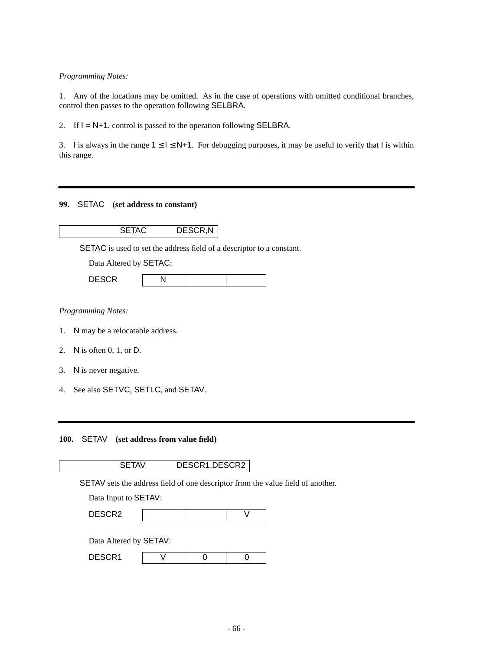1. Any of the locations may be omitted. As in the case of operations with omitted conditional branches, control then passes to the operation following SELBRA.

2. If  $I = N+1$ , control is passed to the operation following SELBRA.

3. I is always in the range  $1 \le l \le N+1$ . For debugging purposes, it may be useful to verify that I is within this range.

## **99.** SETAC **(set address to constant)**

| DESCR, N |
|----------|
|          |

SETAC is used to set the address field of a descriptor to a constant.

Data Altered by SETAC:

| <b>DECOD</b><br>ม∟ง∿ห |  |  |  |
|-----------------------|--|--|--|
|-----------------------|--|--|--|

*Programming Notes:*

- 1. N may be a relocatable address.
- 2. N is often 0, 1, or D.
- 3. N is never negative.
- 4. See also SETVC, SETLC, and SETAV.

**100.** SETAV **(set address from value field)**

SETAV DESCR1,DESCR2

SETAV sets the address field of one descriptor from the value field of another.

Data Input to SETAV:

Data Altered by SETAV:

| -----<br>----- |  |  |  |
|----------------|--|--|--|
|----------------|--|--|--|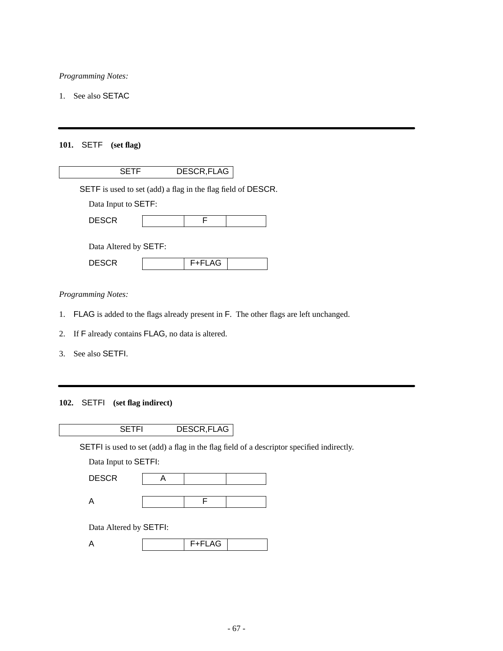1. See also SETAC

# **101.** SETF **(set flag)**

| SETF                                                         | DESCR, FLAG |  |
|--------------------------------------------------------------|-------------|--|
| SETF is used to set (add) a flag in the flag field of DESCR. |             |  |
| Data Input to SETF:                                          |             |  |
| <b>DESCR</b>                                                 | F           |  |
| Data Altered by <b>SETF</b> :<br><b>DESCR</b>                | F+FLAG      |  |
|                                                              |             |  |

*Programming Notes:*

- 1. FLAG is added to the flags already present in F. The other flags are left unchanged.
- 2. If F already contains FLAG, no data is altered.
- 3. See also SETFI.

# **102.** SETFI **(set flag indirect)**

| DESCR, FLAG |
|-------------|

SETFI is used to set (add) a flag in the flag field of a descriptor specified indirectly.

Data Input to SETFI:

| <b>DESCR</b> |  |  |
|--------------|--|--|
|              |  |  |
|              |  |  |

Data Altered by SETFI:

| . . <u>. .</u> |  |
|----------------|--|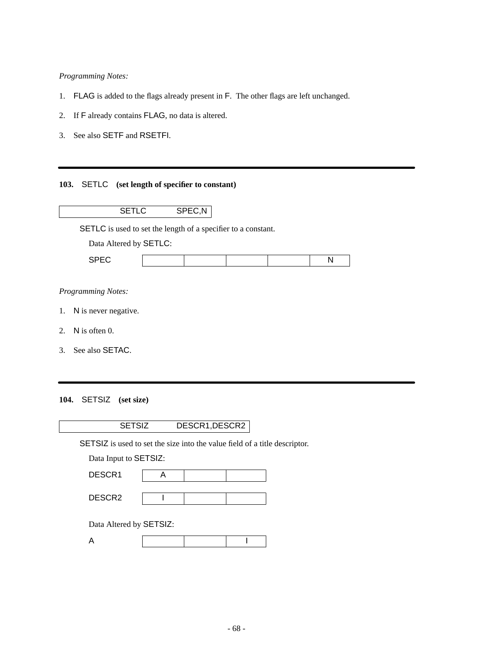- 1. FLAG is added to the flags already present in F. The other flags are left unchanged.
- 2. If F already contains FLAG, no data is altered.
- 3. See also SETF and RSETFI.

# **103.** SETLC **(set length of specifier to constant)**

|    | <b>SETLC</b>                                                         | SPEC,N |  |   |
|----|----------------------------------------------------------------------|--------|--|---|
|    | <b>SETLC</b> is used to set the length of a specifier to a constant. |        |  |   |
|    | Data Altered by SETLC:                                               |        |  |   |
|    | <b>SPEC</b>                                                          |        |  | N |
|    |                                                                      |        |  |   |
|    | <b>Programming Notes:</b>                                            |        |  |   |
|    | 1. N is never negative.                                              |        |  |   |
| 2. | N is often $0$ .                                                     |        |  |   |
| 3. | See also SETAC.                                                      |        |  |   |
|    |                                                                      |        |  |   |
|    |                                                                      |        |  |   |

**104.** SETSIZ **(set size)**

| <b>SETSIZ</b>                                                              |   | DESCR1, DESCR2 |  |
|----------------------------------------------------------------------------|---|----------------|--|
| SETSIZ is used to set the size into the value field of a title descriptor. |   |                |  |
| Data Input to SETSIZ:                                                      |   |                |  |
| DESCR <sub>1</sub>                                                         | Α |                |  |
| DESCR <sub>2</sub>                                                         |   |                |  |
| Data Altered by SETSIZ:                                                    |   |                |  |
| А                                                                          |   |                |  |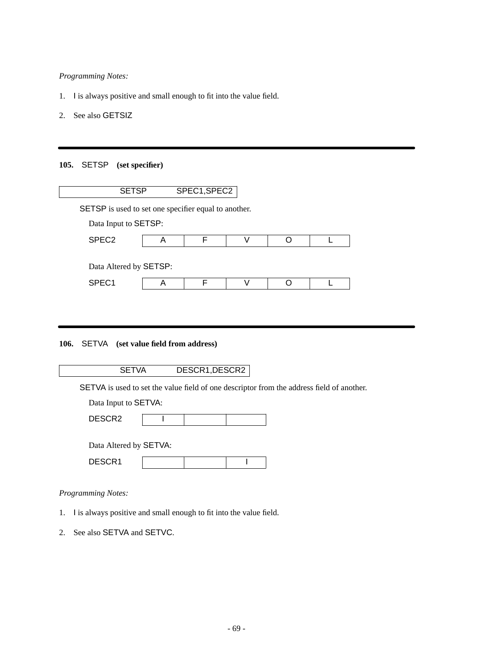- 1. I is always positive and small enough to fit into the value field.
- 2. See also GETSIZ

# **105.** SETSP **(set specifier)**

# **106.** SETVA **(set value field from address)**

|  | DESCR1, DESCR2 |
|--|----------------|
|  |                |

SETVA is used to set the value field of one descriptor from the address field of another.

| Data Input to SETVA: |  |
|----------------------|--|
|----------------------|--|

| $\cdots$     |  |  |
|--------------|--|--|
| n r<br>----- |  |  |
|              |  |  |

| Data Altered by SETVA: |  |  |
|------------------------|--|--|
| DESCR1                 |  |  |

# *Programming Notes:*

- 1. I is always positive and small enough to fit into the value field.
- 2. See also SETVA and SETVC.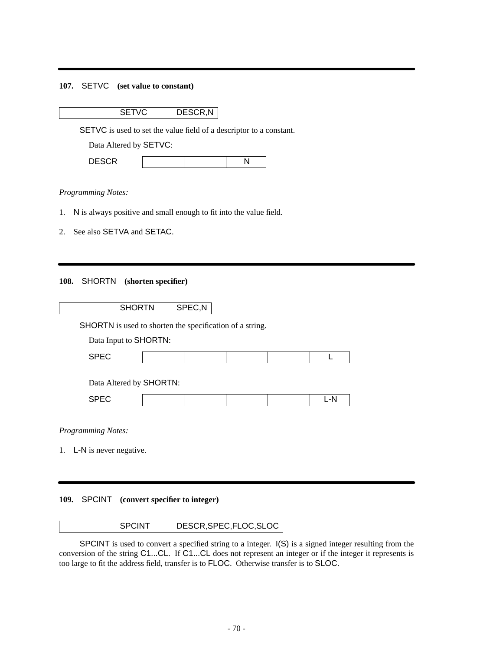## **107.** SETVC **(set value to constant)**

SETVC DESCR,N

SETVC is used to set the value field of a descriptor to a constant.

Data Altered by SETVC:

| <b>DECOD</b><br><b>DLOUI</b> |  |  | r |
|------------------------------|--|--|---|
|------------------------------|--|--|---|

#### *Programming Notes:*

- 1. N is always positive and small enough to fit into the value field.
- 2. See also SETVA and SETAC.

#### **108.** SHORTN **(shorten specifier)**

# SHORTN SPEC,N

SHORTN is used to shorten the specification of a string.

Data Input to SHORTN:

| $\overline{a}$ |  |  |  |
|----------------|--|--|--|

Data Altered by SHORTN:

|--|

*Programming Notes:*

1. L-N is never negative.

#### **109.** SPCINT **(convert specifier to integer)**

## SPCINT DESCR,SPEC,FLOC,SLOC

SPCINT is used to convert a specified string to a integer.  $I(S)$  is a signed integer resulting from the conversion of the string C1...CL. If C1...CL does not represent an integer or if the integer it represents is too large to fit the address field, transfer is to FLOC. Otherwise transfer is to SLOC.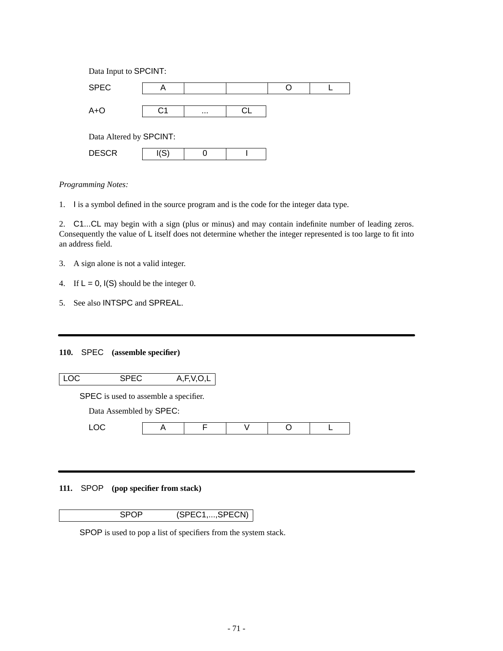| Data Input to SPCINT:   |      |          |    |  |  |  |
|-------------------------|------|----------|----|--|--|--|
| <b>SPEC</b>             | A    |          |    |  |  |  |
|                         |      |          |    |  |  |  |
| $A + O$                 | C1   | $\cdots$ | СL |  |  |  |
|                         |      |          |    |  |  |  |
| Data Altered by SPCINT: |      |          |    |  |  |  |
| <b>DESCR</b>            | I(S) |          |    |  |  |  |

1. I is a symbol defined in the source program and is the code for the integer data type.

2. C1...CL may begin with a sign (plus or minus) and may contain indefinite number of leading zeros. Consequently the value of L itself does not determine whether the integer represented is too large to fit into an address field.

- 3. A sign alone is not a valid integer.
- 4. If  $L = 0$ ,  $I(S)$  should be the integer 0.
- 5. See also INTSPC and SPREAL.

# **110.** SPEC **(assemble specifier)**

| LOC  | <b>SPEC</b>             |                                       | A, F, V, O, L |  |  |
|------|-------------------------|---------------------------------------|---------------|--|--|
|      |                         | SPEC is used to assemble a specifier. |               |  |  |
|      | Data Assembled by SPEC: |                                       |               |  |  |
| LOC. |                         |                                       |               |  |  |

# **111.** SPOP **(pop specifier from stack)**

SPOP (SPEC1,...,SPECN)

SPOP is used to pop a list of specifiers from the system stack.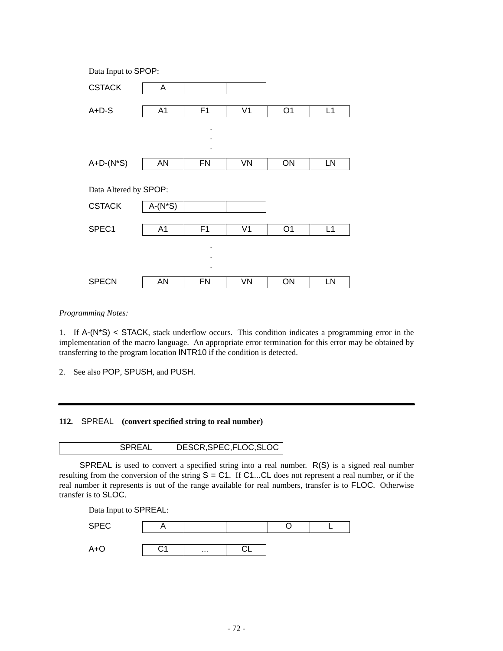| Data Input to SPOP:   |                |                |                |                |    |  |
|-----------------------|----------------|----------------|----------------|----------------|----|--|
| <b>CSTACK</b>         | A              |                |                |                |    |  |
| $A+D-S$               | A <sub>1</sub> | F1             | V <sub>1</sub> | O <sub>1</sub> | L1 |  |
|                       |                | ٠              |                |                |    |  |
|                       |                | ٠              |                |                |    |  |
| $A+D-(N^*S)$          | AN             | <b>FN</b>      | VN             | ON             | LN |  |
|                       |                |                |                |                |    |  |
| Data Altered by SPOP: |                |                |                |                |    |  |
| <b>CSTACK</b>         | $A-(N^*S)$     |                |                |                |    |  |
| SPEC1                 | A <sub>1</sub> | F <sub>1</sub> | V <sub>1</sub> | O <sub>1</sub> | L1 |  |
|                       |                |                |                |                |    |  |
|                       |                | ٠              |                |                |    |  |
|                       |                |                |                |                |    |  |
| <b>SPECN</b>          | <b>AN</b>      | <b>FN</b>      | VN             | ON             | LN |  |

*Programming Notes:*

1. If A-(N\*S) < STACK, stack underflow occurs. This condition indicates a programming error in the implementation of the macro language. An appropriate error termination for this error may be obtained by transferring to the program location INTR10 if the condition is detected.

2. See also POP, SPUSH, and PUSH.

**112.** SPREAL **(convert specified string to real number)**

SPREAL DESCR,SPEC,FLOC,SLOC

SPREAL is used to convert a specified string into a real number. R(S) is a signed real number resulting from the conversion of the string  $S = C1$ . If  $C1$ ...CL does not represent a real number, or if the real number it represents is out of the range available for real numbers, transfer is to FLOC. Otherwise transfer is to SLOC.

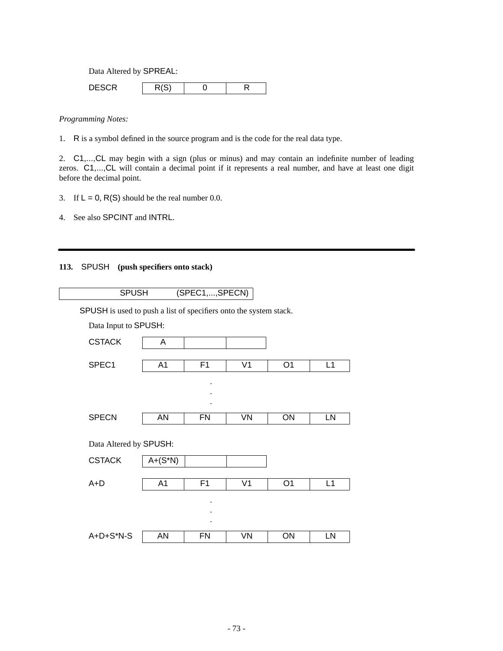Data Altered by SPREAL:

DESCR  $R(S)$  0 R

*Programming Notes:*

1. R is a symbol defined in the source program and is the code for the real data type.

2. C1,...,CL may begin with a sign (plus or minus) and may contain an indefinite number of leading zeros. C1,..., CL will contain a decimal point if it represents a real number, and have at least one digit before the decimal point.

- 3. If  $L = 0$ , R(S) should be the real number 0.0.
- 4. See also SPCINT and INTRL.

# **113.** SPUSH **(push specifiers onto stack)**

| <b>SPUSH</b> | (SPEC1, , SPECN) |
|--------------|------------------|
|              |                  |

SPUSH is used to push a list of specifiers onto the system stack.

| Data Input to SPUSH:   |                |                |                |                |    |
|------------------------|----------------|----------------|----------------|----------------|----|
| <b>CSTACK</b>          | A              |                |                |                |    |
| SPEC1                  | A <sub>1</sub> | F1             | V <sub>1</sub> | O <sub>1</sub> | L1 |
|                        |                |                |                |                |    |
|                        |                |                |                |                |    |
|                        |                |                |                |                |    |
| <b>SPECN</b>           | <b>AN</b>      | <b>FN</b>      | VN             | ON             | LN |
|                        |                |                |                |                |    |
| Data Altered by SPUSH: |                |                |                |                |    |
| <b>CSTACK</b>          | $A+(S*N)$      |                |                |                |    |
|                        |                |                |                |                |    |
| $A+D$                  | A <sub>1</sub> | F <sub>1</sub> | V <sub>1</sub> | O <sub>1</sub> | L1 |
|                        |                | ٠              |                |                |    |
|                        |                |                |                |                |    |
|                        |                |                |                |                |    |
| $A+D+S^*N-S$           | AN             | <b>FN</b>      | VN             | ON             | LN |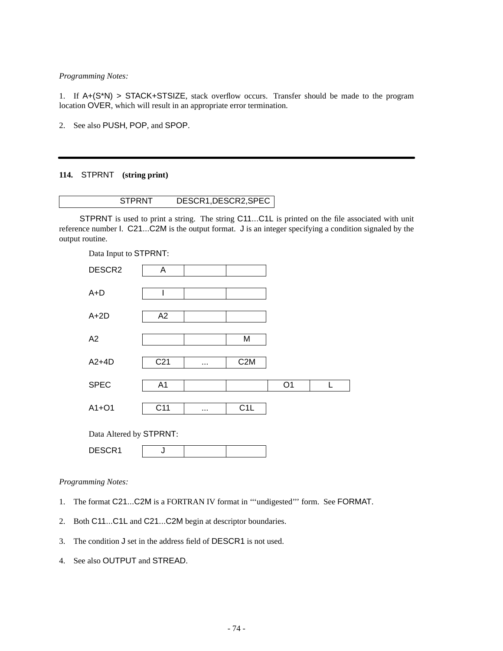*Programming Notes:*

1. If A+(S\*N) > STACK+STSIZE, stack overflow occurs. Transfer should be made to the program location OVER, which will result in an appropriate error termination.

2. See also PUSH, POP, and SPOP.

# **114.** STPRNT **(string print)**

STPRNT is used to print a string. The string C11...C1L is printed on the file associated with unit reference number I. C21...C2M is the output format. J is an integer specifying a condition signaled by the output routine.

| Data Input to STPRNT:   |                 |          |                  |                |   |
|-------------------------|-----------------|----------|------------------|----------------|---|
| DESCR2                  | A               |          |                  |                |   |
|                         |                 |          |                  |                |   |
| $A+D$                   | I               |          |                  |                |   |
| $A+2D$                  | A2              |          |                  |                |   |
|                         |                 |          |                  |                |   |
| A2                      |                 |          | M                |                |   |
| $A2+4D$                 | C <sub>21</sub> |          | C <sub>2</sub> M |                |   |
| <b>SPEC</b>             |                 |          |                  |                | L |
|                         | A <sub>1</sub>  |          |                  | O <sub>1</sub> |   |
| $A1+O1$                 | C <sub>11</sub> | $\cdots$ | C1L              |                |   |
|                         |                 |          |                  |                |   |
| Data Altered by STPRNT: |                 |          |                  |                |   |
| DESCR1                  | J               |          |                  |                |   |

*Programming Notes:*

- 1. The format C21...C2M is a FORTRAN IV format in '''undigested''' form. See FORMAT.
- 2. Both C11...C1L and C21...C2M begin at descriptor boundaries.
- 3. The condition J set in the address field of DESCR1 is not used.
- 4. See also OUTPUT and STREAD.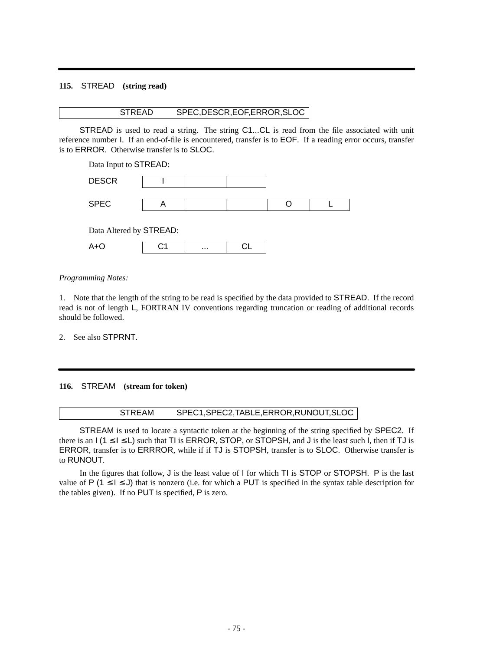### **115.** STREAD **(string read)**

# STREAD SPEC,DESCR,EOF,ERROR,SLOC

STREAD is used to read a string. The string C1...CL is read from the file associated with unit reference number I. If an end-of-file is encountered, transfer is to EOF. If a reading error occurs, transfer is to ERROR. Otherwise transfer is to SLOC.

| Data Input to STREAD:   |   |  |  |  |  |
|-------------------------|---|--|--|--|--|
| <b>DESCR</b>            |   |  |  |  |  |
|                         |   |  |  |  |  |
| <b>SPEC</b>             | A |  |  |  |  |
|                         |   |  |  |  |  |
| Data Altered by STREAD: |   |  |  |  |  |
|                         |   |  |  |  |  |

A+O C1 ... CL

*Programming Notes:*

1. Note that the length of the string to be read is specified by the data provided to STREAD. If the record read is not of length L, FORTRAN IV conventions regarding truncation or reading of additional records should be followed.

2. See also STPRNT.

### **116.** STREAM **(stream for token)**

### STREAM SPEC1,SPEC2,TABLE,ERROR,RUNOUT,SLOC

STREAM is used to locate a syntactic token at the beginning of the string specified by SPEC2. If there is an  $I$  (1  $\leq I \leq L$ ) such that TI is ERROR, STOP, or STOPSH, and J is the least such I, then if TJ is ERROR, transfer is to ERRROR, while if if TJ is STOPSH, transfer is to SLOC. Otherwise transfer is to RUNOUT.

In the figures that follow, J is the least value of I for which TI is STOP or STOPSH. P is the last value of P ( $1 \le l \le J$ ) that is nonzero (i.e. for which a PUT is specified in the syntax table description for the tables given). If no PUT is specified, P is zero.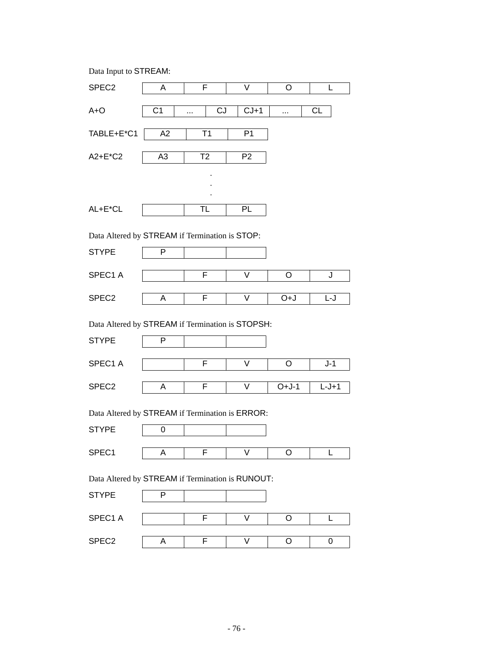|  |  | Data Input to STREAM: |
|--|--|-----------------------|
|--|--|-----------------------|

| SPEC <sub>2</sub>                                | A              | F              | V              | O       | L         |
|--------------------------------------------------|----------------|----------------|----------------|---------|-----------|
| $A + O$                                          | C <sub>1</sub> | CJ<br>$\cdots$ | $CJ+1$         |         | <b>CL</b> |
| TABLE+E*C1                                       | A2             | T1             | P <sub>1</sub> |         |           |
| A2+E*C2                                          | A <sub>3</sub> | T <sub>2</sub> | P <sub>2</sub> |         |           |
|                                                  |                |                |                |         |           |
|                                                  |                |                |                |         |           |
| AL+E*CL                                          |                | TL             | PL             |         |           |
| Data Altered by STREAM if Termination is STOP:   |                |                |                |         |           |
| <b>STYPE</b>                                     | P              |                |                |         |           |
|                                                  |                |                |                |         |           |
| SPEC1 A                                          |                | F              | V              | O       | J         |
| SPEC <sub>2</sub>                                | A              | F              | V              | U+O     | L-J       |
| Data Altered by STREAM if Termination is STOPSH: |                |                |                |         |           |
| <b>STYPE</b>                                     | P              |                |                |         |           |
|                                                  |                |                |                |         |           |
| SPEC1 A                                          |                | F              | V              | O       | $J-1$     |
| SPEC <sub>2</sub>                                | A              | F              | V              | $O+J-1$ | $L-J+1$   |
| Data Altered by STREAM if Termination is ERROR:  |                |                |                |         |           |
|                                                  |                |                |                |         |           |
| <b>STYPE</b>                                     | 0              |                |                |         |           |
| SPEC1                                            | Α              | F              | V              | O       | L         |
| Data Altered by STREAM if Termination is RUNOUT: |                |                |                |         |           |
| <b>STYPE</b>                                     | P              |                |                |         |           |
|                                                  |                |                |                |         |           |
| SPEC1 A                                          |                | F              | V              | O       | L         |
| SPEC <sub>2</sub>                                | А              | F              | V              | O       | 0         |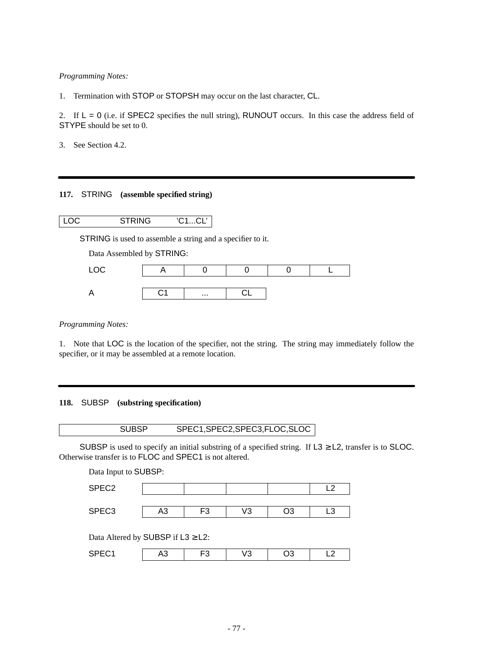# *Programming Notes:*

1. Termination with STOP or STOPSH may occur on the last character, CL.

2. If  $L = 0$  (i.e. if SPEC2 specifies the null string), RUNOUT occurs. In this case the address field of STYPE should be set to 0.

3. See Section 4.2.

# **117.** STRING **(assemble specified string)**

LOC STRING 'C1...CL'

STRING is used to assemble a string and a specifier to it.

Data Assembled by STRING:

|  | $\cdots$ |  |  |
|--|----------|--|--|

*Programming Notes:*

1. Note that LOC is the location of the specifier, not the string. The string may immediately follow the specifier, or it may be assembled at a remote location.

### **118.** SUBSP **(substring specification)**

SUBSP SPEC1,SPEC2,SPEC3,FLOC,SLOC

SUBSP is used to specify an initial substring of a specified string. If  $L3 \ge L2$ , transfer is to SLOC. Otherwise transfer is to FLOC and SPEC1 is not altered.

Data Input to SUBSP:

| SPEC <sub>2</sub> |         |          |                   |    | $\epsilon$ |
|-------------------|---------|----------|-------------------|----|------------|
| SPEC <sub>3</sub> | ົ<br>د۲ | ΓΩ<br>ر. | $\sqrt{2}$<br>כ ע | ١C | ∽∟         |
|                   |         |          |                   |    |            |

Data Altered by SUBSP if L3 ≥ L2:

| $-\sim$<br>$\sim$<br>$  -$ | w | ີ | ∼ | ີ | -- |
|----------------------------|---|---|---|---|----|
|----------------------------|---|---|---|---|----|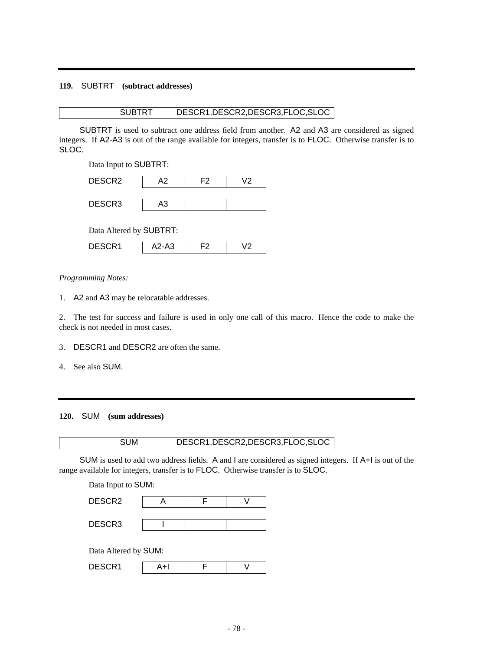# **119.** SUBTRT **(subtract addresses)**

# SUBTRT DESCR1,DESCR2,DESCR3,FLOC,SLOC

SUBTRT is used to subtract one address field from another. A2 and A3 are considered as signed integers. If A2-A3 is out of the range available for integers, transfer is to FLOC. Otherwise transfer is to SLOC.

Data Input to SUBTRT:

|                          | DESCR <sub>2</sub> | А2 | F2 | 12 |
|--------------------------|--------------------|----|----|----|
| DESCR <sub>3</sub><br>A3 |                    |    |    |    |

Data Altered by SUBTRT:

| D. 4<br>------- | AZ-AJ |  |
|-----------------|-------|--|

### *Programming Notes:*

1. A2 and A3 may be relocatable addresses.

2. The test for success and failure is used in only one call of this macro. Hence the code to make the check is not needed in most cases.

- 3. DESCR1 and DESCR2 are often the same.
- 4. See also SUM.

### **120.** SUM **(sum addresses)**

# SUM DESCR1,DESCR2,DESCR3,FLOC,SLOC

SUM is used to add two address fields. A and I are considered as signed integers. If A+I is out of the range available for integers, transfer is to FLOC. Otherwise transfer is to SLOC.

Data Input to SUM:

Data Altered by SUM:

| DESCR1 |  |  |  |
|--------|--|--|--|
|--------|--|--|--|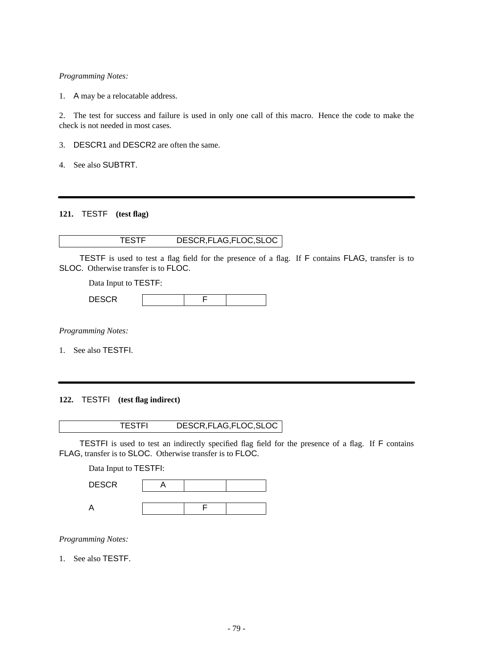*Programming Notes:*

1. A may be a relocatable address.

2. The test for success and failure is used in only one call of this macro. Hence the code to make the check is not needed in most cases.

3. DESCR1 and DESCR2 are often the same.

4. See also SUBTRT.

# **121.** TESTF **(test flag)**

| DESCR, FLAG, FLOC, SLOC |
|-------------------------|
|                         |

TESTF is used to test a flag field for the presence of a flag. If F contains FLAG, transfer is to SLOC. Otherwise transfer is to FLOC.

Data Input to TESTF:

| DECOD<br>DEJUN |  |  |
|----------------|--|--|

*Programming Notes:*

1. See also TESTFI.

**122.** TESTFI **(test flag indirect)**

TESTFI DESCR,FLAG,FLOC,SLOC

TESTFI is used to test an indirectly specified flag field for the presence of a flag. If F contains FLAG, transfer is to SLOC. Otherwise transfer is to FLOC.

Data Input to TESTFI:

| <b>DESCR</b> |  |  |
|--------------|--|--|
|              |  |  |
|              |  |  |

*Programming Notes:*

1. See also TESTF.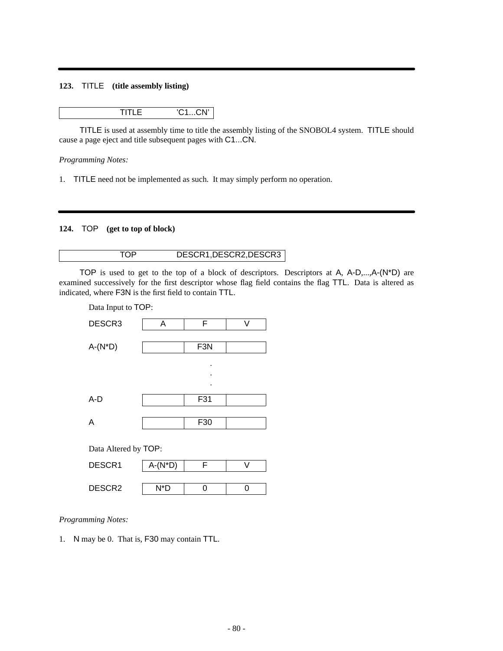### **123.** TITLE **(title assembly listing)**

TITLE 'C1...CN'

TITLE is used at assembly time to title the assembly listing of the SNOBOL4 system. TITLE should cause a page eject and title subsequent pages with C1...CN.

*Programming Notes:*

1. TITLE need not be implemented as such. It may simply perform no operation.

### **124.** TOP **(get to top of block)**

# TOP DESCR1, DESCR2, DESCR3

TOP is used to get to the top of a block of descriptors. Descriptors at A,  $A-D,...,A-(N^*D)$  are examined successively for the first descriptor whose flag field contains the flag TTL. Data is altered as indicated, where F3N is the first field to contain TTL.



*Programming Notes:*

1. N may be 0. That is, F30 may contain TTL.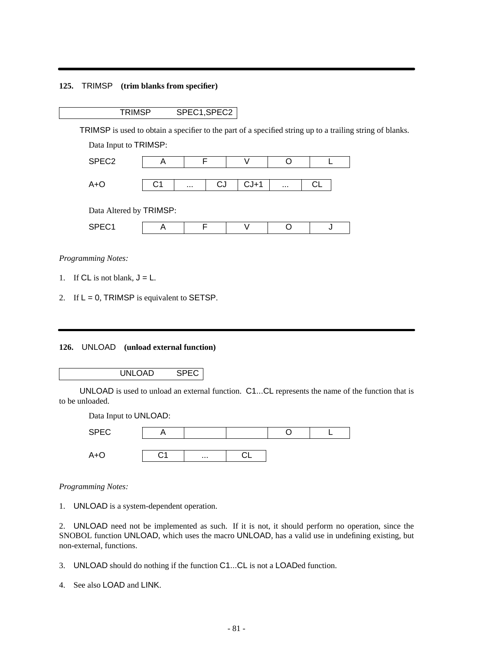### **125.** TRIMSP **(trim blanks from specifier)**

# TRIMSP SPEC1,SPEC2

TRIMSP is used to obtain a specifier to the part of a specified string up to a trailing string of blanks.

Data Input to TRIMSP:

| SPEC <sub>2</sub> |          |     |           |          |  |
|-------------------|----------|-----|-----------|----------|--|
| ື⊹∩<br>┐.         | $\cdots$ | ل ب | $C.1 + 1$ | $\cdots$ |  |
|                   |          |     |           |          |  |

Data Altered by TRIMSP:

*Programming Notes:*

- 1. If CL is not blank,  $J = L$ .
- 2. If  $L = 0$ , TRIMSP is equivalent to SETSP.

### **126.** UNLOAD **(unload external function)**

# UNLOAD SPEC

UNLOAD is used to unload an external function. C1...CL represents the name of the function that is to be unloaded.

Data Input to UNLOAD:

| <b>SPEC</b> |                          |          |  |  |
|-------------|--------------------------|----------|--|--|
| <b>ATV</b>  | $\overline{\phantom{a}}$ | $\cdots$ |  |  |

*Programming Notes:*

1. UNLOAD is a system-dependent operation.

2. UNLOAD need not be implemented as such. If it is not, it should perform no operation, since the SNOBOL function UNLOAD, which uses the macro UNLOAD, has a valid use in undefining existing, but non-external, functions.

- 3. UNLOAD should do nothing if the function C1...CL is not a LOADed function.
- 4. See also LOAD and LINK.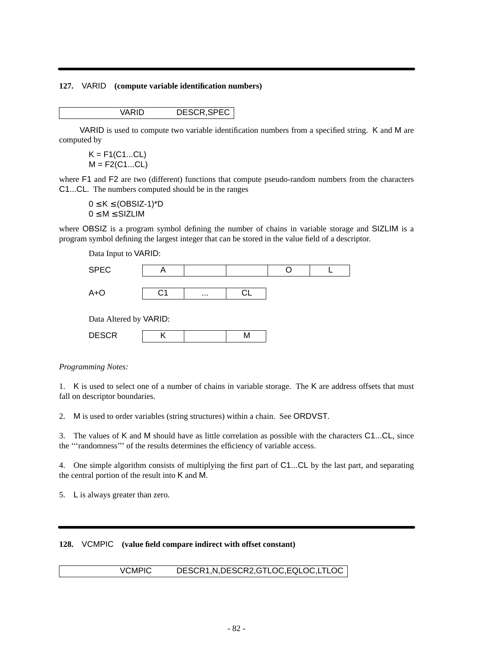### **127.** VARID **(compute variable identification numbers)**

### VARID DESCR,SPEC

VARID is used to compute two variable identification numbers from a specified string. K and M are computed by

 $K = F1(C1...CL)$  $M = F2(C1...CL)$ 

where F1 and F2 are two (different) functions that compute pseudo-random numbers from the characters C1...CL. The numbers computed should be in the ranges

 $0 \leq K \leq (OBSIZ-1)^*D$  $0 \le M \le SLZ$ LIM

where OBSIZ is a program symbol defining the number of chains in variable storage and SIZLIM is a program symbol defining the largest integer that can be stored in the value field of a descriptor.

Data Input to VARID:

| <b>SPEC</b>                                                                                                      |    |          |  |  |
|------------------------------------------------------------------------------------------------------------------|----|----------|--|--|
| $A + O$                                                                                                          | 31 | $\cdots$ |  |  |
| $D_{\text{max}}$ $\Lambda$ $\Lambda_{\text{max}}$ $\Lambda$ $\Lambda_{\text{max}}$ $\Lambda$ $\Lambda$ $D$ $D$ . |    |          |  |  |

Data Altered by VARID:

| $- - -$<br>---- |  |  |
|-----------------|--|--|
|                 |  |  |

*Programming Notes:*

1. K is used to select one of a number of chains in variable storage. The K are address offsets that must fall on descriptor boundaries.

2. M is used to order variables (string structures) within a chain. See ORDVST.

3. The values of K and M should have as little correlation as possible with the characters C1...CL, since the '''randomness''' of the results determines the efficiency of variable access.

4. One simple algorithm consists of multiplying the first part of C1...CL by the last part, and separating the central portion of the result into K and M.

5. L is always greater than zero.

# **128.** VCMPIC **(value field compare indirect with offset constant)**

VCMPIC DESCR1,N,DESCR2,GTLOC,EQLOC,LTLOC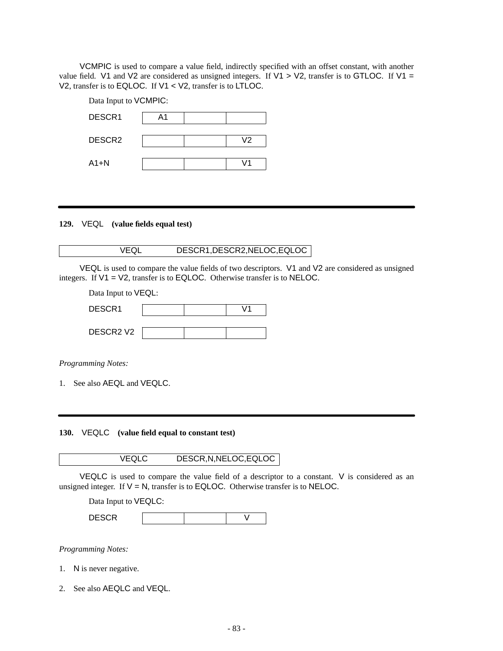VCMPIC is used to compare a value field, indirectly specified with an offset constant, with another value field. V1 and V2 are considered as unsigned integers. If V1  $>$  V2, transfer is to GTLOC. If V1  $=$ V2, transfer is to EQLOC. If V1 < V2, transfer is to LTLOC.

| Data Input to VCMPIC: |    |  |  |  |  |
|-----------------------|----|--|--|--|--|
| DESCR1<br>Α1          |    |  |  |  |  |
| DESCR <sub>2</sub>    | V2 |  |  |  |  |
| $A1 + N$              |    |  |  |  |  |

**129.** VEQL **(value fields equal test)**

### VEQL DESCR1,DESCR2,NELOC,EQLOC

VEQL is used to compare the value fields of two descriptors. V1 and V2 are considered as unsigned integers. If V1 = V2, transfer is to EQLOC. Otherwise transfer is to NELOC.

Data Input to VEQL:

| DESCR1                            |  | 71 |
|-----------------------------------|--|----|
|                                   |  |    |
| DESCR <sub>2</sub> V <sub>2</sub> |  |    |

*Programming Notes:*

1. See also AEQL and VEQLC.

**130.** VEQLC **(value field equal to constant test)**

VEQLC DESCR,N,NELOC,EQLOC

VEQLC is used to compare the value field of a descriptor to a constant. V is considered as an unsigned integer. If  $V = N$ , transfer is to EQLOC. Otherwise transfer is to NELOC.

Data Input to VEQLC:

DESCR | | | V

*Programming Notes:*

- 1. N is never negative.
- 2. See also AEQLC and VEQL.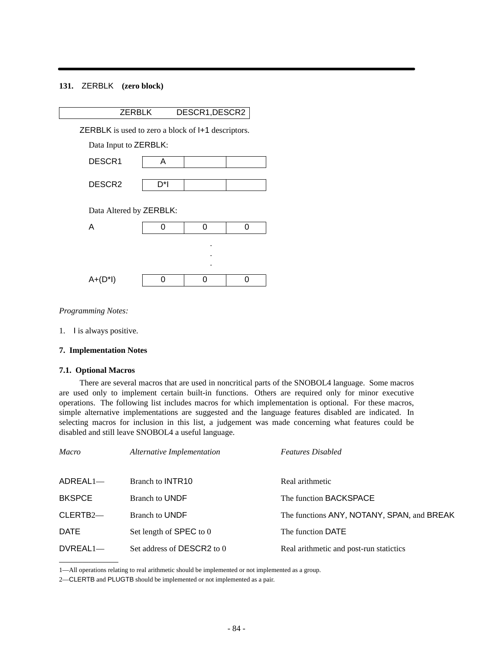# **131.** ZERBLK **(zero block)**

| <b>ZERBLK</b>                                      |     | DESCR1, DESCR2 |   |  |
|----------------------------------------------------|-----|----------------|---|--|
| ZERBLK is used to zero a block of I+1 descriptors. |     |                |   |  |
| Data Input to ZERBLK:                              |     |                |   |  |
| DESCR1                                             | A   |                |   |  |
| DESCR <sub>2</sub>                                 | D*l |                |   |  |
| Data Altered by ZERBLK:                            |     |                |   |  |
| Α                                                  | 0   | 0              | ი |  |
|                                                    |     |                |   |  |
|                                                    |     |                |   |  |
| A+(D*I)                                            | n   | O              | ი |  |
|                                                    |     |                |   |  |

*Programming Notes:*

1. I is always positive.

### **7. Implementation Notes**

#### **7.1. Optional Macros**

There are several macros that are used in noncritical parts of the SNOBOL4 language. Some macros are used only to implement certain built-in functions. Others are required only for minor executive operations. The following list includes macros for which implementation is optional. For these macros, simple alternative implementations are suggested and the language features disabled are indicated. In selecting macros for inclusion in this list, a judgement was made concerning what features could be disabled and still leave SNOBOL4 a useful language.

| Macro               | Alternative Implementation | <b>Features Disabled</b>                   |
|---------------------|----------------------------|--------------------------------------------|
| $ADREAL1$ —         | Branch to <b>INTR10</b>    | Real arithmetic                            |
| <b>BKSPCE</b>       | <b>Branch to UNDF</b>      | The function BACKSPACE                     |
| CLERTB <sub>2</sub> | <b>Branch to UNDF</b>      | The functions ANY, NOTANY, SPAN, and BREAK |
| <b>DATE</b>         | Set length of SPEC to 0    | The function DATE                          |
| $DVREAL1$ —         | Set address of DESCR2 to 0 | Real arithmetic and post-run statictics    |

<sup>1—</sup>All operations relating to real arithmetic should be implemented or not implemented as a group.

<sup>2—</sup>CLERTB and PLUGTB should be implemented or not implemented as a pair.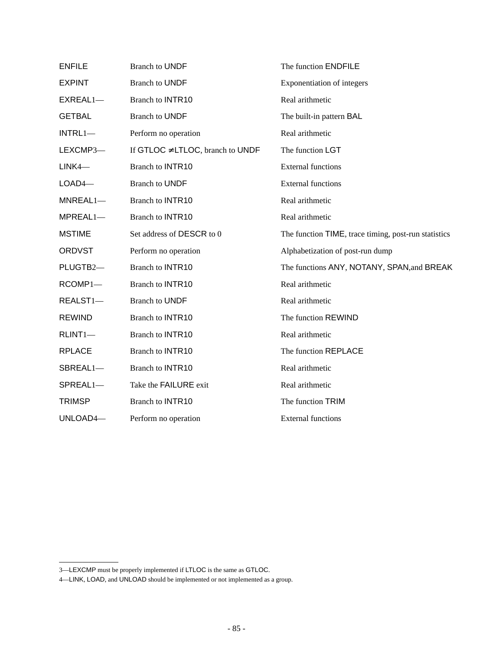| <b>ENFILE</b> | <b>Branch to UNDF</b>                 | The function ENDFILE                                 |
|---------------|---------------------------------------|------------------------------------------------------|
| <b>EXPINT</b> | <b>Branch to UNDF</b>                 | Exponentiation of integers                           |
| $EXREAL1$ —   | <b>Branch to INTR10</b>               | Real arithmetic                                      |
| <b>GETBAL</b> | <b>Branch to UNDF</b>                 | The built-in pattern BAL                             |
| $INTRL1-$     | Perform no operation                  | Real arithmetic                                      |
| LEXCMP3-      | If GTLOC $\neq$ LTLOC, branch to UNDF | The function LGT                                     |
| $LINK4-$      | <b>Branch to INTR10</b>               | <b>External functions</b>                            |
| $LOAD4-$      | <b>Branch to UNDF</b>                 | <b>External functions</b>                            |
| $MNEAL1-$     | <b>Branch to INTR10</b>               | Real arithmetic                                      |
| MPREAL1-      | <b>Branch to INTR10</b>               | Real arithmetic                                      |
| <b>MSTIME</b> | Set address of DESCR to 0             | The function TIME, trace timing, post-run statistics |
| <b>ORDVST</b> | Perform no operation                  | Alphabetization of post-run dump                     |
| PLUGTB2-      | <b>Branch to INTR10</b>               | The functions ANY, NOTANY, SPAN, and BREAK           |
| RCOMP1-       | <b>Branch to INTR10</b>               | Real arithmetic                                      |
| REALST1-      | <b>Branch to UNDF</b>                 | Real arithmetic                                      |
| <b>REWIND</b> | <b>Branch to INTR10</b>               | The function REWIND                                  |
| $RLINT1-$     | <b>Branch to INTR10</b>               | Real arithmetic                                      |
| <b>RPLACE</b> | <b>Branch to INTR10</b>               | The function REPLACE                                 |
| SBREAL1-      | <b>Branch to INTR10</b>               | Real arithmetic                                      |
| SPREAL1-      | Take the FAILURE exit                 | Real arithmetic                                      |
| <b>TRIMSP</b> | <b>Branch to INTR10</b>               | The function TRIM                                    |
| UNLOAD4-      | Perform no operation                  | <b>External functions</b>                            |

<sup>3—</sup>LEXCMP must be properly implemented if LTLOC is the same as GTLOC.

<sup>4—</sup>LINK, LOAD, and UNLOAD should be implemented or not implemented as a group.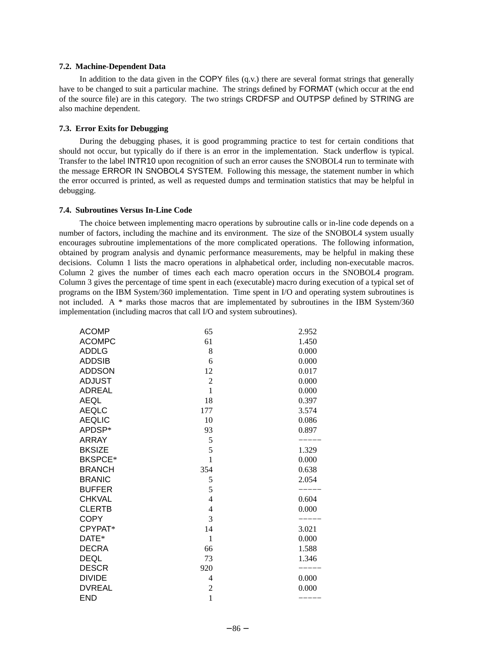#### **7.2. Machine-Dependent Data**

In addition to the data given in the COPY files  $(q.v.)$  there are several format strings that generally have to be changed to suit a particular machine. The strings defined by FORMAT (which occur at the end of the source file) are in this category. The two strings CRDFSP and OUTPSP defined by STRING are also machine dependent.

#### **7.3. Error Exits for Debugging**

During the debugging phases, it is good programming practice to test for certain conditions that should not occur, but typically do if there is an error in the implementation. Stack underflow is typical. Transfer to the label INTR10 upon recognition of such an error causes the SNOBOL4 run to terminate with the message ERROR IN SNOBOL4 SYSTEM. Following this message, the statement number in which the error occurred is printed, as well as requested dumps and termination statistics that may be helpful in debugging.

#### **7.4. Subroutines Versus In-Line Code**

The choice between implementing macro operations by subroutine calls or in-line code depends on a number of factors, including the machine and its environment. The size of the SNOBOL4 system usually encourages subroutine implementations of the more complicated operations. The following information, obtained by program analysis and dynamic performance measurements, may be helpful in making these decisions. Column 1 lists the macro operations in alphabetical order, including non-executable macros. Column 2 gives the number of times each each macro operation occurs in the SNOBOL4 program. Column 3 gives the percentage of time spent in each (executable) macro during execution of a typical set of programs on the IBM System/360 implementation. Time spent in I/O and operating system subroutines is not included. A\*marks those macros that are implementated by subroutines in the IBM System/360 implementation (including macros that call I/O and system subroutines).

| <b>ACOMP</b>   | 65             | 2.952 |
|----------------|----------------|-------|
| <b>ACOMPC</b>  | 61             | 1.450 |
| <b>ADDLG</b>   | 8              | 0.000 |
| <b>ADDSIB</b>  | 6              | 0.000 |
| <b>ADDSON</b>  | 12             | 0.017 |
| <b>ADJUST</b>  | $\overline{2}$ | 0.000 |
| <b>ADREAL</b>  | $\mathbf{1}$   | 0.000 |
| <b>AEQL</b>    | 18             | 0.397 |
| <b>AEQLC</b>   | 177            | 3.574 |
| <b>AEQLIC</b>  | 10             | 0.086 |
| APDSP*         | 93             | 0.897 |
| <b>ARRAY</b>   | 5              |       |
| <b>BKSIZE</b>  | 5              | 1.329 |
| <b>BKSPCE*</b> | 1              | 0.000 |
| <b>BRANCH</b>  | 354            | 0.638 |
| <b>BRANIC</b>  | 5              | 2.054 |
| <b>BUFFER</b>  | 5              |       |
| <b>CHKVAL</b>  | $\overline{4}$ | 0.604 |
| <b>CLERTB</b>  | 4              | 0.000 |
| <b>COPY</b>    | 3              |       |
| CPYPAT*        | 14             | 3.021 |
| DATE*          | 1              | 0.000 |
| <b>DECRA</b>   | 66             | 1.588 |
| <b>DEQL</b>    | 73             | 1.346 |
| <b>DESCR</b>   | 920            |       |
| <b>DIVIDE</b>  | 4              | 0.000 |
| <b>DVREAL</b>  | $\overline{2}$ | 0.000 |
| <b>END</b>     | $\mathbf{1}$   |       |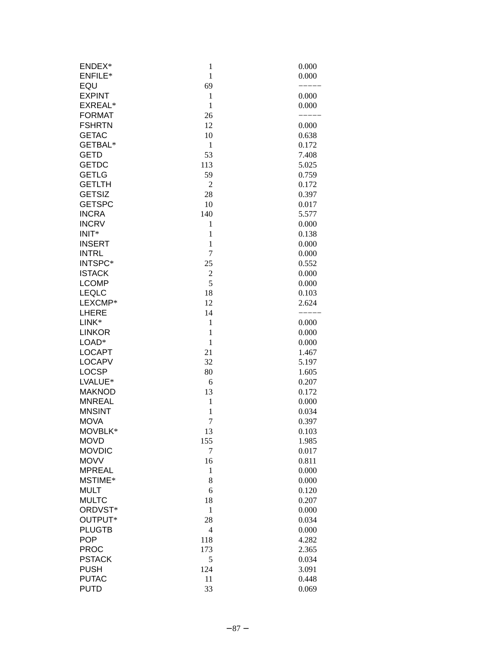| ENDEX*         | $\mathbf{1}$   | 0.000 |
|----------------|----------------|-------|
| <b>ENFILE*</b> | $\mathbf{1}$   | 0.000 |
| EQU            | 69             |       |
| <b>EXPINT</b>  | $\mathbf{1}$   | 0.000 |
| EXREAL*        | $\mathbf{1}$   | 0.000 |
| <b>FORMAT</b>  | 26             |       |
| <b>FSHRTN</b>  | 12             | 0.000 |
| <b>GETAC</b>   | 10             | 0.638 |
| GETBAL*        | $\mathbf{1}$   | 0.172 |
| <b>GETD</b>    | 53             | 7.408 |
| <b>GETDC</b>   | 113            | 5.025 |
| <b>GETLG</b>   | 59             | 0.759 |
| <b>GETLTH</b>  | $\overline{c}$ | 0.172 |
| <b>GETSIZ</b>  |                |       |
|                | 28             | 0.397 |
| <b>GETSPC</b>  | 10             | 0.017 |
| <b>INCRA</b>   | 140            | 5.577 |
| <b>INCRV</b>   | $\mathbf{1}$   | 0.000 |
| $INIT*$        | $\mathbf{1}$   | 0.138 |
| <b>INSERT</b>  | $\mathbf{1}$   | 0.000 |
| <b>INTRL</b>   | $\overline{7}$ | 0.000 |
| INTSPC*        | 25             | 0.552 |
| <b>ISTACK</b>  | $\overline{c}$ | 0.000 |
| <b>LCOMP</b>   | 5              | 0.000 |
| LEQLC          | 18             | 0.103 |
| LEXCMP*        | 12             | 2.624 |
| LHERE          | 14             |       |
| LINK*          | $\mathbf{1}$   | 0.000 |
| <b>LINKOR</b>  | $\mathbf{1}$   | 0.000 |
| LOAD*          | $\,1\,$        | 0.000 |
| <b>LOCAPT</b>  | 21             | 1.467 |
| <b>LOCAPV</b>  | 32             | 5.197 |
| <b>LOCSP</b>   | 80             | 1.605 |
| LVALUE*        | 6              | 0.207 |
| <b>MAKNOD</b>  | 13             | 0.172 |
| <b>MNREAL</b>  | $\,1$          | 0.000 |
| <b>MNSINT</b>  | $\mathbf{1}$   | 0.034 |
| <b>MOVA</b>    | $\overline{7}$ | 0.397 |
| MOVBLK*        | 13             | 0.103 |
| <b>MOVD</b>    | 155            | 1.985 |
| <b>MOVDIC</b>  | $\overline{7}$ | 0.017 |
| <b>MOVV</b>    | 16             | 0.811 |
| <b>MPREAL</b>  | $\mathbf{1}$   | 0.000 |
| MSTIME*        | 8              | 0.000 |
| <b>MULT</b>    | 6              | 0.120 |
| <b>MULTC</b>   | 18             | 0.207 |
| ORDVST*        | $\mathbf{1}$   | 0.000 |
| OUTPUT*        |                |       |
| <b>PLUGTB</b>  | 28             | 0.034 |
|                | 4              | 0.000 |
| <b>POP</b>     | 118            | 4.282 |
| <b>PROC</b>    | 173            | 2.365 |
| <b>PSTACK</b>  | 5              | 0.034 |
| <b>PUSH</b>    | 124            | 3.091 |
| <b>PUTAC</b>   | 11             | 0.448 |
| <b>PUTD</b>    | 33             | 0.069 |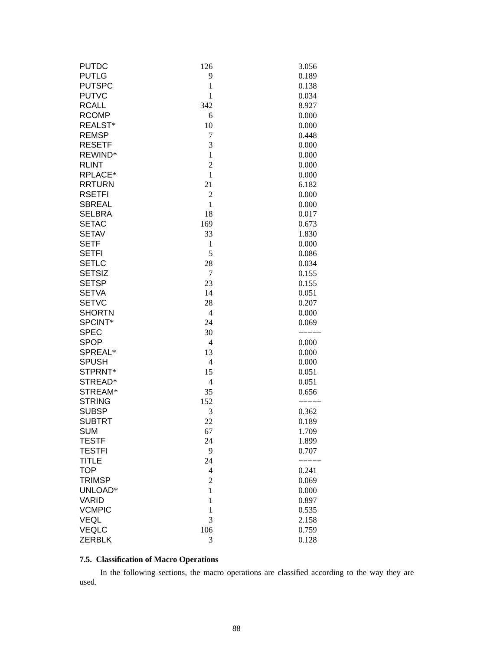| <b>PUTDC</b>  | 126              | 3.056 |
|---------------|------------------|-------|
| <b>PUTLG</b>  | 9                | 0.189 |
| <b>PUTSPC</b> | $\mathbf{1}$     | 0.138 |
| <b>PUTVC</b>  | $\mathbf{1}$     | 0.034 |
| <b>RCALL</b>  | 342              | 8.927 |
| <b>RCOMP</b>  | 6                | 0.000 |
| REALST*       | 10               | 0.000 |
| <b>REMSP</b>  | $\boldsymbol{7}$ | 0.448 |
| <b>RESETF</b> | 3                | 0.000 |
| REWIND*       | $\mathbf{1}$     | 0.000 |
| <b>RLINT</b>  | $\overline{c}$   | 0.000 |
| RPLACE*       | $\mathbf{1}$     | 0.000 |
| <b>RRTURN</b> | 21               | 6.182 |
| <b>RSETFI</b> | $\overline{c}$   | 0.000 |
| <b>SBREAL</b> | $\mathbf{1}$     | 0.000 |
| <b>SELBRA</b> | 18               | 0.017 |
| <b>SETAC</b>  | 169              | 0.673 |
| <b>SETAV</b>  | 33               | 1.830 |
| <b>SETF</b>   | $\mathbf{1}$     | 0.000 |
| <b>SETFI</b>  | 5                | 0.086 |
| <b>SETLC</b>  | 28               | 0.034 |
| <b>SETSIZ</b> | 7                | 0.155 |
| <b>SETSP</b>  | 23               | 0.155 |
| <b>SETVA</b>  | 14               | 0.051 |
| <b>SETVC</b>  | 28               | 0.207 |
| <b>SHORTN</b> | $\overline{4}$   | 0.000 |
| SPCINT*       | 24               | 0.069 |
| <b>SPEC</b>   | 30               |       |
| <b>SPOP</b>   | $\overline{4}$   | 0.000 |
| SPREAL*       | 13               | 0.000 |
| <b>SPUSH</b>  | $\overline{4}$   | 0.000 |
| STPRNT*       | 15               | 0.051 |
| STREAD*       | $\overline{4}$   | 0.051 |
| STREAM*       | 35               | 0.656 |
| <b>STRING</b> | 152              |       |
| <b>SUBSP</b>  | 3                | 0.362 |
| <b>SUBTRT</b> | 22               | 0.189 |
| SUM           | 67               | 1.709 |
| <b>TESTF</b>  | 24               | 1.899 |
| <b>TESTFI</b> | 9                | 0.707 |
| <b>TITLE</b>  | 24               |       |
| <b>TOP</b>    | $\overline{4}$   | 0.241 |
| <b>TRIMSP</b> | $\boldsymbol{2}$ | 0.069 |
| UNLOAD*       | $\mathbf{1}$     | 0.000 |
| <b>VARID</b>  | $\mathbf{1}$     | 0.897 |
| <b>VCMPIC</b> | $\mathbf{1}$     | 0.535 |
| VEQL          | 3                | 2.158 |
| <b>VEQLC</b>  | 106              | 0.759 |
| <b>ZERBLK</b> | 3                | 0.128 |

# **7.5. Classification of Macro Operations**

In the following sections, the macro operations are classified according to the way they are used.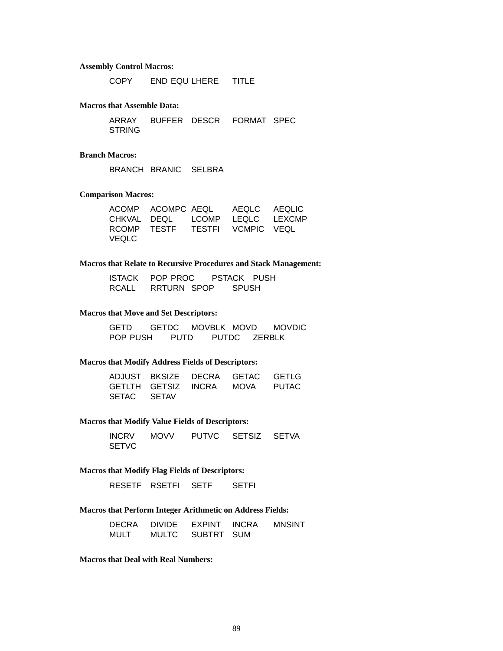#### **Assembly Control Macros:**

COPY END EQU LHERE TITLE

#### **Macros that Assemble Data:**

ARRAY BUFFER DESCR FORMAT SPEC STRING

### **Branch Macros:**

BRANCH BRANIC SELBRA

### **Comparison Macros:**

|              | ACOMP ACOMPC AEQL AEQLC AEQLIC |  |  |
|--------------|--------------------------------|--|--|
|              | CHKVAL DEQL LCOMP LEQLC LEXCMP |  |  |
|              | RCOMP TESTF TESTFI VCMPIC VEQL |  |  |
| <b>VEQLC</b> |                                |  |  |

### **Macros that Relate to Recursive Procedures and Stack Management:**

| <b>ISTACK</b> | POP PROC    | <b>PSTACK</b> | <b>PUSH</b> |
|---------------|-------------|---------------|-------------|
| RCALL         | RRTURN SPOP | <b>SPUSH</b>  |             |

### **Macros that Move and Set Descriptors:**

GETD GETDC MOVBLK MOVD MOVDIC POP PUSH PUTD PUTDC ZERBLK

#### **Macros that Modify Address Fields of Descriptors:**

|             | ADJUST BKSIZE DECRA GETAC GETLG |  |
|-------------|---------------------------------|--|
|             | GETLTH GETSIZ INCRA MOVA PUTAC  |  |
| SETAC SETAV |                                 |  |

### **Macros that Modify Value Fields of Descriptors:**

| <b>INCRV</b> | <b>MOVV</b> | PUTVC SETSIZ SETVA |  |
|--------------|-------------|--------------------|--|
| <b>SETVC</b> |             |                    |  |

### **Macros that Modify Flag Fields of Descriptors:**

RESETF RSETFI SETF SETFI

### **Macros that Perform Integer Arithmetic on Address Fields:**

| DECRA | <b>DIVIDE</b> | EXPINT     | <b>INCRA</b> | <b>MNSINT</b> |
|-------|---------------|------------|--------------|---------------|
| MULT  | <b>MULTC</b>  | SUBTRT SUM |              |               |

**Macros that Deal with Real Numbers:**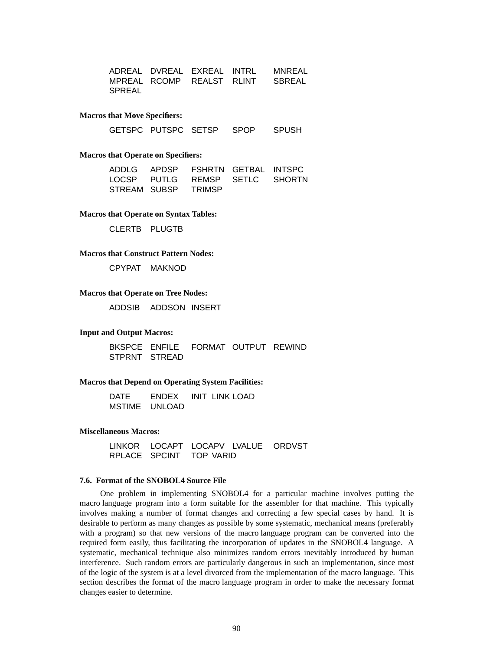|        |  | ADREAL DVREAL EXREAL INTRL - MNREAL |
|--------|--|-------------------------------------|
|        |  | MPREAL RCOMP REALST RLINT SBREAL    |
| SPREAL |  |                                     |

#### **Macros that Move Specifiers:**

GETSPC PUTSPC SETSP SPOP SPUSH

#### **Macros that Operate on Specifiers:**

|  | ADDLG APDSP FSHRTN GETBAL INTSPC |  |
|--|----------------------------------|--|
|  | LOCSP PUTLG REMSP SETLC SHORTN   |  |
|  | STREAM SUBSP TRIMSP              |  |

**Macros that Operate on Syntax Tables:**

CLERTB PLUGTB

#### **Macros that Construct Pattern Nodes:**

CPYPAT MAKNOD

### **Macros that Operate on Tree Nodes:**

ADDSIB ADDSON INSERT

#### **Input and Output Macros:**

BKSPCE ENFILE FORMAT OUTPUT REWIND STPRNT STREAD

#### **Macros that Depend on Operating System Facilities:**

DATE ENDEX INIT LINK LOAD MSTIME UNLOAD

#### **Miscellaneous Macros:**

LINKOR LOCAPT LOCAPV LVALUE ORDVST RPLACE SPCINT TOP VARID

### **7.6. Format of the SNOBOL4 Source File**

One problem in implementing SNOBOL4 for a particular machine involves putting the macro language program into a form suitable for the assembler for that machine. This typically involves making a number of format changes and correcting a few special cases by hand. It is desirable to perform as many changes as possible by some systematic, mechanical means (preferably with a program) so that new versions of the macro language program can be converted into the required form easily, thus facilitating the incorporation of updates in the SNOBOL4 language. A systematic, mechanical technique also minimizes random errors inevitably introduced by human interference. Such random errors are particularly dangerous in such an implementation, since most of the logic of the system is at a level divorced from the implementation of the macro language. This section describes the format of the macro language program in order to make the necessary format changes easier to determine.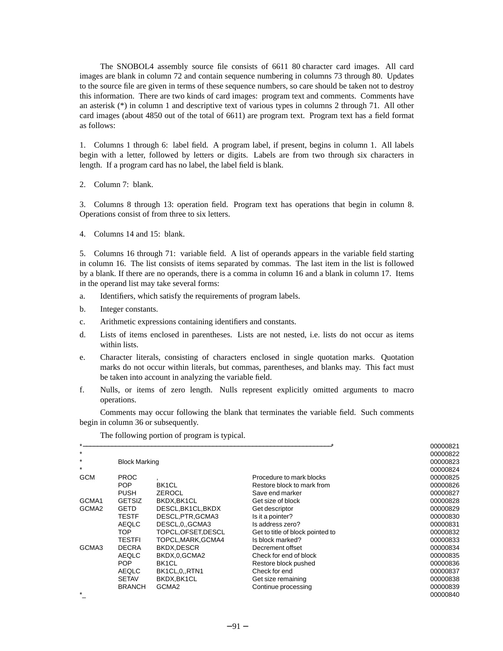The SNOBOL4 assembly source file consists of 6611 80 character card images. All card images are blank in column 72 and contain sequence numbering in columns 73 through 80. Updates to the source file are given in terms of these sequence numbers, so care should be taken not to destroy this information. There are two kinds of card images: program text and comments. Comments have an asterisk (\*) in column 1 and descriptive text of various types in columns 2 through 71. All other card images (about 4850 out of the total of 6611) are program text. Program text has a field format as follows:

1. Columns 1 through 6: label field. A program label, if present, begins in column 1. All labels begin with a letter, followed by letters or digits. Labels are from two through six characters in length. If a program card has no label, the label field is blank.

2. Column 7: blank.

3. Columns 8 through 13: operation field. Program text has operations that begin in column 8. Operations consist of from three to six letters.

4. Columns 14 and 15: blank.

5. Columns 16 through 71: variable field. A list of operands appears in the variable field starting in column 16. The list consists of items separated by commas. The last item in the list is followed by a blank. If there are no operands, there is a comma in column 16 and a blank in column 17. Items in the operand list may take several forms:

- a. Identifiers, which satisfy the requirements of program labels.
- b. Integer constants.
- c. Arithmetic expressions containing identifiers and constants.
- d. Lists of items enclosed in parentheses. Lists are not nested, i.e. lists do not occur as items within lists.
- e. Character literals, consisting of characters enclosed in single quotation marks. Quotation marks do not occur within literals, but commas, parentheses, and blanks may. This fact must be taken into account in analyzing the variable field.
- f. Nulls, or items of zero length. Nulls represent explicitly omitted arguments to macro operations.

Comments may occur following the blank that terminates the variable field. Such comments begin in column 36 or subsequently.

| $\star$           |                      |                     |                                  | 00000821 |
|-------------------|----------------------|---------------------|----------------------------------|----------|
| $\star$           |                      |                     |                                  | 00000822 |
| $\star$           | <b>Block Marking</b> |                     |                                  | 00000823 |
| $\star$           |                      |                     |                                  | 00000824 |
| <b>GCM</b>        | <b>PROC</b>          |                     | Procedure to mark blocks         | 00000825 |
|                   | POP                  | BK <sub>1</sub> CL  | Restore block to mark from       | 00000826 |
|                   | <b>PUSH</b>          | ZEROCL              | Save end marker                  | 00000827 |
| GCMA1             | <b>GETSIZ</b>        | BKDX, BK1CL         | Get size of block                | 00000828 |
| GCMA <sub>2</sub> | <b>GETD</b>          | DESCL, BK1CL, BKDX  | Get descriptor                   | 00000829 |
|                   | <b>TESTF</b>         | DESCL, PTR, GCMA3   | Is it a pointer?                 | 00000830 |
|                   | <b>AEQLC</b>         | DESCL, 0., GCMA3    | Is address zero?                 | 00000831 |
|                   | TOP.                 | TOPCL, OFSET, DESCL | Get to title of block pointed to | 00000832 |
|                   | TESTFI               | TOPCL, MARK, GCMA4  | Is block marked?                 | 00000833 |
| GCMA3             | <b>DECRA</b>         | BKDX,DESCR          | Decrement offset                 | 00000834 |
|                   | <b>AEQLC</b>         | BKDX,0,GCMA2        | Check for end of block           | 00000835 |
|                   | <b>POP</b>           | BK <sub>1</sub> CL  | Restore block pushed             | 00000836 |
|                   | <b>AEQLC</b>         | BK1CL,0,,RTN1       | Check for end                    | 00000837 |
|                   | <b>SETAV</b>         | BKDX, BK1CL         | Get size remaining               | 00000838 |
|                   | <b>BRANCH</b>        | GCMA <sub>2</sub>   | Continue processing              | 00000839 |
| $\star$           |                      |                     |                                  | 00000840 |

The following portion of program is typical.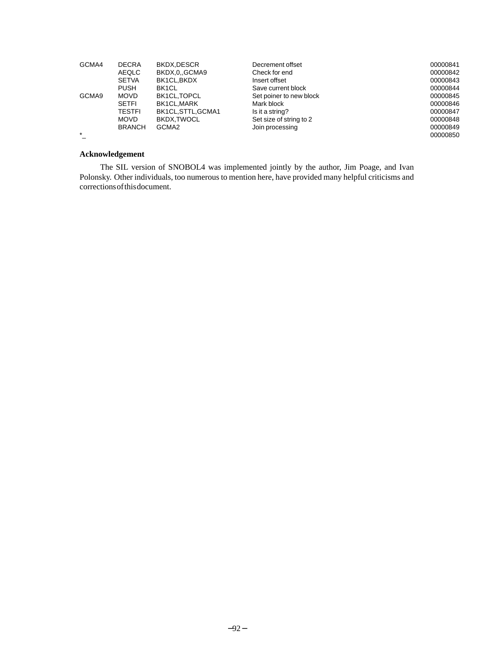| GCMA4   | <b>DECRA</b>  | BKDX.DESCR         | Decrement offset        | 00000841 |
|---------|---------------|--------------------|-------------------------|----------|
|         | AEQLC         | BKDX,0,,GCMA9      | Check for end           | 00000842 |
|         | <b>SETVA</b>  | BK1CL.BKDX         | Insert offset           | 00000843 |
|         | <b>PUSH</b>   | BK1CL              | Save current block      | 00000844 |
| GCMA9   | <b>MOVD</b>   | BK1CL.TOPCL        | Set poiner to new block | 00000845 |
|         | <b>SETFI</b>  | BK1CL.MARK         | Mark block              | 00000846 |
|         | <b>TESTFI</b> | BK1CL, STTL, GCMA1 | Is it a string?         | 00000847 |
|         | <b>MOVD</b>   | BKDX.TWOCL         | Set size of string to 2 | 00000848 |
|         | <b>BRANCH</b> | GCMA <sub>2</sub>  | Join processing         | 00000849 |
| $\star$ |               |                    |                         | 00000850 |

# **Acknowledgement**

The SIL version of SNOBOL4 was implemented jointly by the author, Jim Poage, and Ivan Polonsky. Other individuals, too numerous to mention here, have provided many helpful criticisms and corrections of this document.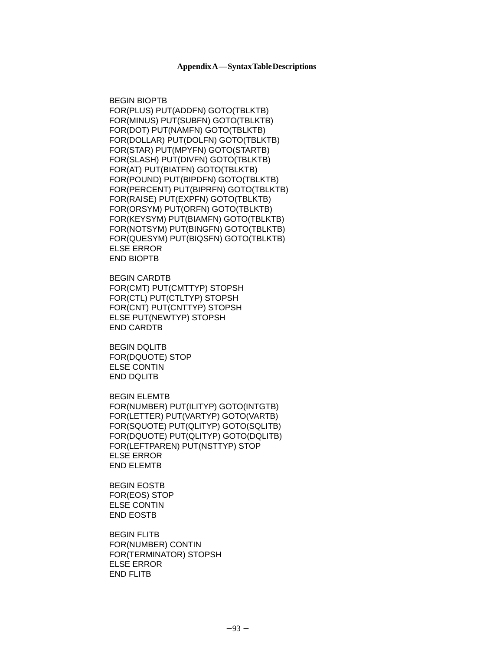BEGIN BIOPTB FOR(PLUS) PUT(ADDFN) GOTO(TBLKTB) FOR(MINUS) PUT(SUBFN) GOTO(TBLKTB) FOR(DOT) PUT(NAMFN) GOTO(TBLKTB) FOR(DOLLAR) PUT(DOLFN) GOTO(TBLKTB) FOR(STAR) PUT(MPYFN) GOTO(STARTB) FOR(SLASH) PUT(DIVFN) GOTO(TBLKTB) FOR(AT) PUT(BIATFN) GOTO(TBLKTB) FOR(POUND) PUT(BIPDFN) GOTO(TBLKTB) FOR(PERCENT) PUT(BIPRFN) GOTO(TBLKTB) FOR(RAISE) PUT(EXPFN) GOTO(TBLKTB) FOR(ORSYM) PUT(ORFN) GOTO(TBLKTB) FOR(KEYSYM) PUT(BIAMFN) GOTO(TBLKTB) FOR(NOTSYM) PUT(BINGFN) GOTO(TBLKTB) FOR(QUESYM) PUT(BIQSFN) GOTO(TBLKTB) ELSE ERROR END BIOPTB

BEGIN CARDTB FOR(CMT) PUT(CMTTYP) STOPSH FOR(CTL) PUT(CTLTYP) STOPSH FOR(CNT) PUT(CNTTYP) STOPSH ELSE PUT(NEWTYP) STOPSH END CARDTB

BEGIN DQLITB FOR(DQUOTE) STOP ELSE CONTIN END DQLITB

BEGIN ELEMTB FOR(NUMBER) PUT(ILITYP) GOTO(INTGTB) FOR(LETTER) PUT(VARTYP) GOTO(VARTB) FOR(SQUOTE) PUT(QLITYP) GOTO(SQLITB) FOR(DQUOTE) PUT(QLITYP) GOTO(DQLITB) FOR(LEFTPAREN) PUT(NSTTYP) STOP ELSE ERROR END ELEMTB

BEGIN EOSTB FOR(EOS) STOP ELSE CONTIN END EOSTB

BEGIN FLITB FOR(NUMBER) CONTIN FOR(TERMINATOR) STOPSH ELSE ERROR END FLITB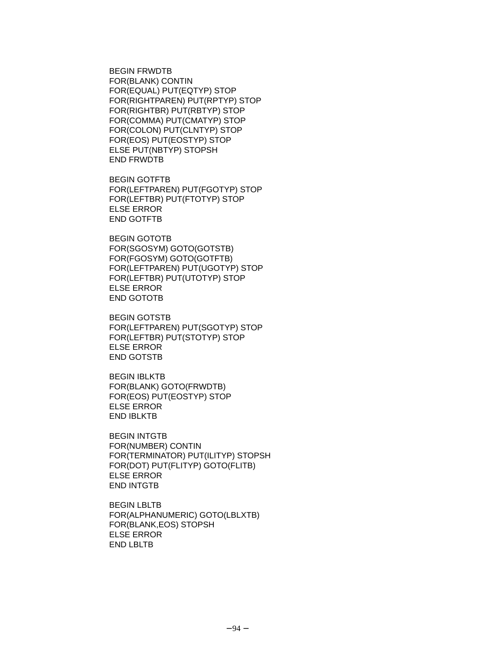BEGIN FRWDTB FOR(BLANK) CONTIN FOR(EQUAL) PUT(EQTYP) STOP FOR(RIGHTPAREN) PUT(RPTYP) STOP FOR(RIGHTBR) PUT(RBTYP) STOP FOR(COMMA) PUT(CMATYP) STOP FOR(COLON) PUT(CLNTYP) STOP FOR(EOS) PUT(EOSTYP) STOP ELSE PUT(NBTYP) STOPSH END FRWDTB

BEGIN GOTFTB FOR(LEFTPAREN) PUT(FGOTYP) STOP FOR(LEFTBR) PUT(FTOTYP) STOP ELSE ERROR END GOTFTB

BEGIN GOTOTB FOR(SGOSYM) GOTO(GOTSTB) FOR(FGOSYM) GOTO(GOTFTB) FOR(LEFTPAREN) PUT(UGOTYP) STOP FOR(LEFTBR) PUT(UTOTYP) STOP ELSE ERROR END GOTOTB

BEGIN GOTSTB FOR(LEFTPAREN) PUT(SGOTYP) STOP FOR(LEFTBR) PUT(STOTYP) STOP ELSE ERROR END GOTSTB

BEGIN IBLKTB FOR(BLANK) GOTO(FRWDTB) FOR(EOS) PUT(EOSTYP) STOP ELSE ERROR END IBLKTB

BEGIN INTGTB FOR(NUMBER) CONTIN FOR(TERMINATOR) PUT(ILITYP) STOPSH FOR(DOT) PUT(FLITYP) GOTO(FLITB) ELSE ERROR END INTGTB

BEGIN LBLTB FOR(ALPHANUMERIC) GOTO(LBLXTB) FOR(BLANK,EOS) STOPSH ELSE ERROR END LBLTB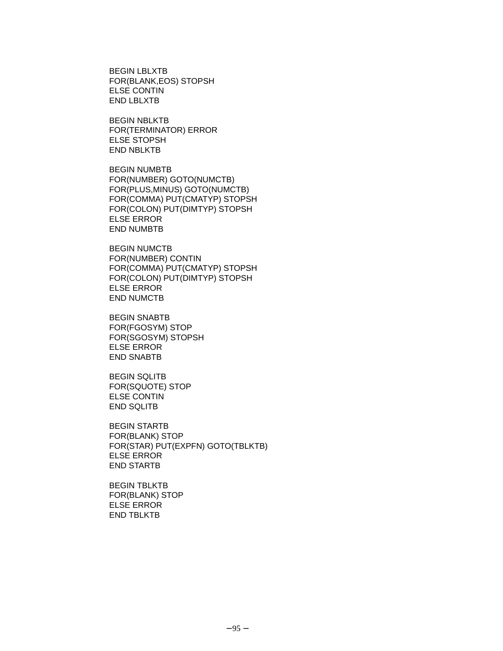BEGIN LBLXTB FOR(BLANK,EOS) STOPSH ELSE CONTIN END LBLXTB

BEGIN NBLKTB FOR(TERMINATOR) ERROR ELSE STOPSH END NBLKTB

BEGIN NUMBTB FOR(NUMBER) GOTO(NUMCTB) FOR(PLUS,MINUS) GOTO(NUMCTB) FOR(COMMA) PUT(CMATYP) STOPSH FOR(COLON) PUT(DIMTYP) STOPSH ELSE ERROR END NUMBTB

BEGIN NUMCTB FOR(NUMBER) CONTIN FOR(COMMA) PUT(CMATYP) STOPSH FOR(COLON) PUT(DIMTYP) STOPSH ELSE ERROR END NUMCTB

BEGIN SNABTB FOR(FGOSYM) STOP FOR(SGOSYM) STOPSH ELSE ERROR END SNABTB

BEGIN SQLITB FOR(SQUOTE) STOP ELSE CONTIN END SQLITB

BEGIN STARTB FOR(BLANK) STOP FOR(STAR) PUT(EXPFN) GOTO(TBLKTB) ELSE ERROR END STARTB

BEGIN TBLKTB FOR(BLANK) STOP ELSE ERROR END TBLKTB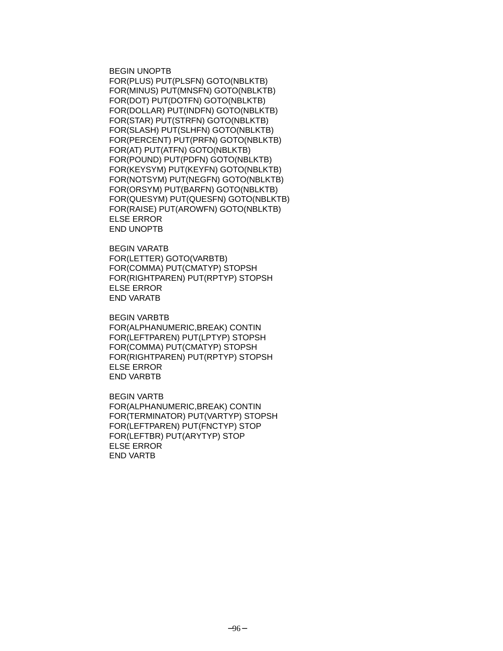BEGIN UNOPTB FOR(PLUS) PUT(PLSFN) GOTO(NBLKTB) FOR(MINUS) PUT(MNSFN) GOTO(NBLKTB) FOR(DOT) PUT(DOTFN) GOTO(NBLKTB) FOR(DOLLAR) PUT(INDFN) GOTO(NBLKTB) FOR(STAR) PUT(STRFN) GOTO(NBLKTB) FOR(SLASH) PUT(SLHFN) GOTO(NBLKTB) FOR(PERCENT) PUT(PRFN) GOTO(NBLKTB) FOR(AT) PUT(ATFN) GOTO(NBLKTB) FOR(POUND) PUT(PDFN) GOTO(NBLKTB) FOR(KEYSYM) PUT(KEYFN) GOTO(NBLKTB) FOR(NOTSYM) PUT(NEGFN) GOTO(NBLKTB) FOR(ORSYM) PUT(BARFN) GOTO(NBLKTB) FOR(QUESYM) PUT(QUESFN) GOTO(NBLKTB) FOR(RAISE) PUT(AROWFN) GOTO(NBLKTB) ELSE ERROR END UNOPTB

BEGIN VARATB FOR(LETTER) GOTO(VARBTB) FOR(COMMA) PUT(CMATYP) STOPSH FOR(RIGHTPAREN) PUT(RPTYP) STOPSH ELSE ERROR END VARATB

BEGIN VARBTB FOR(ALPHANUMERIC,BREAK) CONTIN FOR(LEFTPAREN) PUT(LPTYP) STOPSH FOR(COMMA) PUT(CMATYP) STOPSH FOR(RIGHTPAREN) PUT(RPTYP) STOPSH ELSE ERROR END VARBTB

BEGIN VARTB FOR(ALPHANUMERIC,BREAK) CONTIN FOR(TERMINATOR) PUT(VARTYP) STOPSH FOR(LEFTPAREN) PUT(FNCTYP) STOP FOR(LEFTBR) PUT(ARYTYP) STOP ELSE ERROR END VARTB